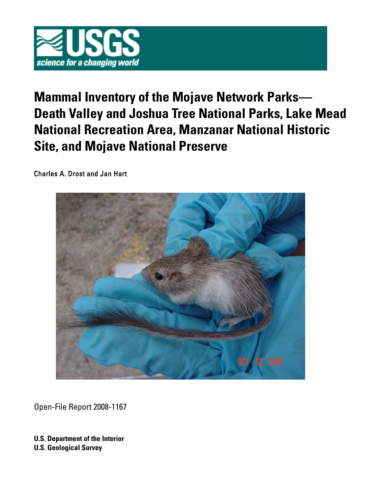

# **Mammal Inventory of the Mojave Network Parks— Death Valley and Joshua Tree National Parks, Lake Mead National Recreation Area, Manzanar National Historic Site, and Mojave National Preserve**

Charles A. Drost and Jan Hart



Open-File Report 2008-1167

**U.S. Department of the Interior U.S. Geological Survey**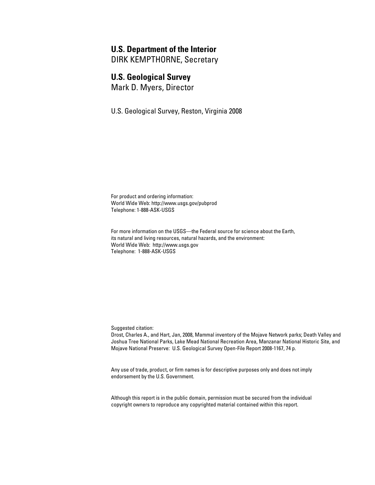## **U.S. Department of the Interior**

DIRK KEMPTHORNE, Secretary

## **U.S. Geological Survey**

Mark D. Myers, Director

U.S. Geological Survey, Reston, Virginia 2008

For product and ordering information: World Wide Web:<http://www.usgs.gov/pubprod> Telephone: 1-888-ASK-USGS

For more information on the USGS—the Federal source for science about the Earth, its natural and living resources, natural hazards, and the environment: World Wide Web: <http://www.usgs.gov> Telephone: 1-888-ASK-USGS

Suggested citation:

Drost, Charles A., and Hart, Jan, 2008, Mammal inventory of the Mojave Network parks; Death Valley and Joshua Tree National Parks, Lake Mead National Recreation Area, Manzanar National Historic Site, and Mojave National Preserve: U.S. Geological Survey Open-File Report 2008-1167, 74 p.

Any use of trade, product, or firm names is for descriptive purposes only and does not imply endorsement by the U.S. Government.

Although this report is in the public domain, permission must be secured from the individual copyright owners to reproduce any copyrighted material contained within this report.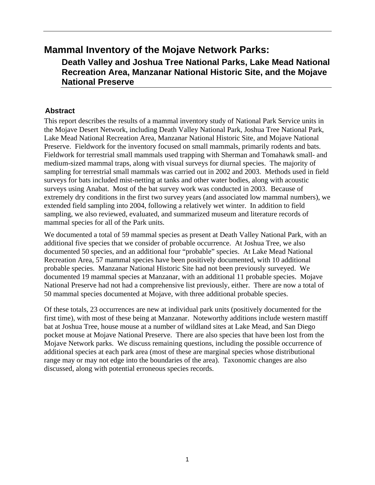# **Mammal Inventory of the Mojave Network Parks:**

**Death Valley and Joshua Tree National Parks, Lake Mead National Recreation Area, Manzanar National Historic Site, and the Mojave National Preserve** 

# **Abstract**

This report describes the results of a mammal inventory study of National Park Service units in the Mojave Desert Network, including Death Valley National Park, Joshua Tree National Park, Lake Mead National Recreation Area, Manzanar National Historic Site, and Mojave National Preserve. Fieldwork for the inventory focused on small mammals, primarily rodents and bats. Fieldwork for terrestrial small mammals used trapping with Sherman and Tomahawk small- and medium-sized mammal traps, along with visual surveys for diurnal species. The majority of sampling for terrestrial small mammals was carried out in 2002 and 2003. Methods used in field surveys for bats included mist-netting at tanks and other water bodies, along with acoustic surveys using Anabat. Most of the bat survey work was conducted in 2003. Because of extremely dry conditions in the first two survey years (and associated low mammal numbers), we extended field sampling into 2004, following a relatively wet winter. In addition to field sampling, we also reviewed, evaluated, and summarized museum and literature records of mammal species for all of the Park units.

We documented a total of 59 mammal species as present at Death Valley National Park, with an additional five species that we consider of probable occurrence. At Joshua Tree, we also documented 50 species, and an additional four "probable" species. At Lake Mead National Recreation Area, 57 mammal species have been positively documented, with 10 additional probable species. Manzanar National Historic Site had not been previously surveyed. We documented 19 mammal species at Manzanar, with an additional 11 probable species. Mojave National Preserve had not had a comprehensive list previously, either. There are now a total of 50 mammal species documented at Mojave, with three additional probable species.

Of these totals, 23 occurrences are new at individual park units (positively documented for the first time), with most of these being at Manzanar. Noteworthy additions include western mastiff bat at Joshua Tree, house mouse at a number of wildland sites at Lake Mead, and San Diego pocket mouse at Mojave National Preserve. There are also species that have been lost from the Mojave Network parks. We discuss remaining questions, including the possible occurrence of additional species at each park area (most of these are marginal species whose distributional range may or may not edge into the boundaries of the area). Taxonomic changes are also discussed, along with potential erroneous species records.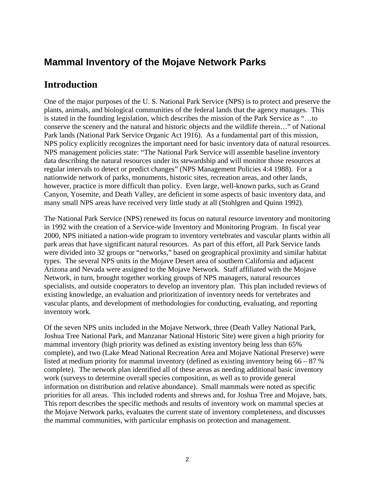# **Mammal Inventory of the Mojave Network Parks**

# **Introduction**

One of the major purposes of the U. S. National Park Service (NPS) is to protect and preserve the plants, animals, and biological communities of the federal lands that the agency manages. This is stated in the founding legislation, which describes the mission of the Park Service as "…to conserve the scenery and the natural and historic objects and the wildlife therein…" of National Park lands (National Park Service Organic Act 1916). As a fundamental part of this mission, NPS policy explicitly recognizes the important need for basic inventory data of natural resources. NPS management policies state: "The National Park Service will assemble baseline inventory data describing the natural resources under its stewardship and will monitor those resources at regular intervals to detect or predict changes" (NPS Management Policies 4:4 1988). For a nationwide network of parks, monuments, historic sites, recreation areas, and other lands, however, practice is more difficult than policy. Even large, well-known parks, such as Grand Canyon, Yosemite, and Death Valley, are deficient in some aspects of basic inventory data, and many small NPS areas have received very little study at all (Stohlgren and Quinn 1992).

The National Park Service (NPS) renewed its focus on natural resource inventory and monitoring in 1992 with the creation of a Service-wide Inventory and Monitoring Program. In fiscal year 2000, NPS initiated a nation-wide program to inventory vertebrates and vascular plants within all park areas that have significant natural resources. As part of this effort, all Park Service lands were divided into 32 groups or "networks," based on geographical proximity and similar habitat types. The several NPS units in the Mojave Desert area of southern California and adjacent Arizona and Nevada were assigned to the Mojave Network. Staff affiliated with the Mojave Network, in turn, brought together working groups of NPS managers, natural resources specialists, and outside cooperators to develop an inventory plan. This plan included reviews of existing knowledge, an evaluation and prioritization of inventory needs for vertebrates and vascular plants, and development of methodologies for conducting, evaluating, and reporting inventory work.

Of the seven NPS units included in the Mojave Network, three (Death Valley National Park, Joshua Tree National Park, and Manzanar National Historic Site) were given a high priority for mammal inventory (high priority was defined as existing inventory being less than 65% complete), and two (Lake Mead National Recreation Area and Mojave National Preserve) were listed at medium priority for mammal inventory (defined as existing inventory being 66 – 87 % complete). The network plan identified all of these areas as needing additional basic inventory work (surveys to determine overall species composition, as well as to provide general information on distribution and relative abundance). Small mammals were noted as specific priorities for all areas. This included rodents and shrews and, for Joshua Tree and Mojave, bats. This report describes the specific methods and results of inventory work on mammal species at the Mojave Network parks, evaluates the current state of inventory completeness, and discusses the mammal communities, with particular emphasis on protection and management.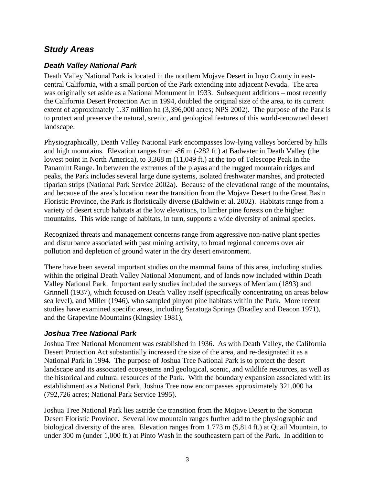# *Study Areas*

# *Death Valley National Park*

Death Valley National Park is located in the northern Mojave Desert in Inyo County in eastcentral California, with a small portion of the Park extending into adjacent Nevada. The area was originally set aside as a National Monument in 1933. Subsequent additions – most recently the California Desert Protection Act in 1994, doubled the original size of the area, to its current extent of approximately 1.37 million ha (3,396,000 acres; NPS 2002). The purpose of the Park is to protect and preserve the natural, scenic, and geological features of this world-renowned desert landscape.

Physiographically, Death Valley National Park encompasses low-lying valleys bordered by hills and high mountains. Elevation ranges from -86 m (-282 ft.) at Badwater in Death Valley (the lowest point in North America), to 3,368 m (11,049 ft.) at the top of Telescope Peak in the Panamint Range. In between the extremes of the playas and the rugged mountain ridges and peaks, the Park includes several large dune systems, isolated freshwater marshes, and protected riparian strips (National Park Service 2002a). Because of the elevational range of the mountains, and because of the area's location near the transition from the Mojave Desert to the Great Basin Floristic Province, the Park is floristically diverse (Baldwin et al. 2002). Habitats range from a variety of desert scrub habitats at the low elevations, to limber pine forests on the higher mountains. This wide range of habitats, in turn, supports a wide diversity of animal species.

Recognized threats and management concerns range from aggressive non-native plant species and disturbance associated with past mining activity, to broad regional concerns over air pollution and depletion of ground water in the dry desert environment.

There have been several important studies on the mammal fauna of this area, including studies within the original Death Valley National Monument, and of lands now included within Death Valley National Park. Important early studies included the surveys of Merriam (1893) and Grinnell (1937), which focused on Death Valley itself (specifically concentrating on areas below sea level), and Miller (1946), who sampled pinyon pine habitats within the Park. More recent studies have examined specific areas, including Saratoga Springs (Bradley and Deacon 1971), and the Grapevine Mountains (Kingsley 1981),

# *Joshua Tree National Park*

Joshua Tree National Monument was established in 1936. As with Death Valley, the California Desert Protection Act substantially increased the size of the area, and re-designated it as a National Park in 1994. The purpose of Joshua Tree National Park is to protect the desert landscape and its associated ecosystems and geological, scenic, and wildlife resources, as well as the historical and cultural resources of the Park. With the boundary expansion associated with its establishment as a National Park, Joshua Tree now encompasses approximately 321,000 ha (792,726 acres; National Park Service 1995).

Joshua Tree National Park lies astride the transition from the Mojave Desert to the Sonoran Desert Floristic Province. Several low mountain ranges further add to the physiographic and biological diversity of the area. Elevation ranges from 1.773 m (5,814 ft.) at Quail Mountain, to under 300 m (under 1,000 ft.) at Pinto Wash in the southeastern part of the Park. In addition to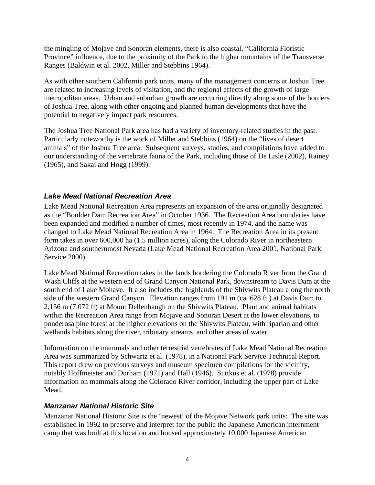the mingling of Mojave and Sonoran elements, there is also coastal, "California Floristic Province" influence, due to the proximity of the Park to the higher mountains of the Transverse Ranges (Baldwin et al. 2002, Miller and Stebbins 1964).

As with other southern California park units, many of the management concerns at Joshua Tree are related to increasing levels of visitation, and the regional effects of the growth of large metropolitan areas. Urban and suburban growth are occurring directly along some of the borders of Joshua Tree, along with other ongoing and planned human developments that have the potential to negatively impact park resources.

The Joshua Tree National Park area has had a variety of inventory-related studies in the past. Particularly noteworthy is the work of Miller and Stebbins (1964) on the "lives of desert animals" of the Joshua Tree area. Subsequent surveys, studies, and compilations have added to our understanding of the vertebrate fauna of the Park, including those of De Lisle (2002), Rainey (1965), and Sakai and Hogg (1999).

## *Lake Mead National Recreation Area*

Lake Mead National Recreation Area represents an expansion of the area originally designated as the "Boulder Dam Recreation Area" in October 1936. The Recreation Area boundaries have been expanded and modified a number of times, most recently in 1974, and the name was changed to Lake Mead National Recreation Area in 1964. The Recreation Area in its present form takes in over 600,000 ha (1.5 million acres), along the Colorado River in northeastern Arizona and southernmost Nevada (Lake Mead National Recreation Area 2001, National Park Service 2000).

Lake Mead National Recreation takes in the lands bordering the Colorado River from the Grand Wash Cliffs at the western end of Grand Canyon National Park, downstream to Davis Dam at the south end of Lake Mohave. It also includes the highlands of the Shivwits Plateau along the north side of the western Grand Canyon. Elevation ranges from 191 m (ca. 628 ft.) at Davis Dam to 2,156 m (7,072 ft) at Mount Dellenbaugh on the Shivwits Plateau. Plant and animal habitats within the Recreation Area range from Mojave and Sonoran Desert at the lower elevations, to ponderosa pine forest at the higher elevations on the Shivwits Plateau, with riparian and other wetlands habitats along the river, tributary streams, and other areas of water.

Information on the mammals and other terrestrial vertebrates of Lake Mead National Recreation Area was summarized by Schwartz et al. (1978), in a National Park Service Technical Report. This report drew on previous surveys and museum specimen compilations for the vicinity, notably Hoffmeister and Durham (1971) and Hall (1946). Suttkus et al. (1978) provide information on mammals along the Colorado River corridor, including the upper part of Lake Mead.

#### *Manzanar National Historic Site*

Manzanar National Historic Site is the 'newest' of the Mojave Network park units: The site was established in 1992 to preserve and interpret for the public the Japanese American internment camp that was built at this location and housed approximately 10,000 Japanese American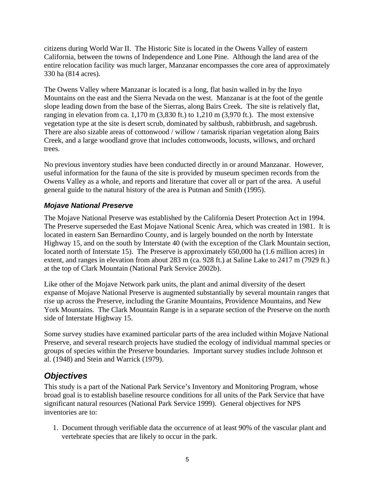citizens during World War II. The Historic Site is located in the Owens Valley of eastern California, between the towns of Independence and Lone Pine. Although the land area of the entire relocation facility was much larger, Manzanar encompasses the core area of approximately 330 ha (814 acres).

The Owens Valley where Manzanar is located is a long, flat basin walled in by the Inyo Mountains on the east and the Sierra Nevada on the west. Manzanar is at the foot of the gentle slope leading down from the base of the Sierras, along Bairs Creek. The site is relatively flat, ranging in elevation from ca. 1,170 m (3,830 ft.) to 1,210 m (3,970 ft.). The most extensive vegetation type at the site is desert scrub, dominated by saltbush, rabbitbrush, and sagebrush. There are also sizable areas of cottonwood / willow / tamarisk riparian vegetation along Bairs Creek, and a large woodland grove that includes cottonwoods, locusts, willows, and orchard trees.

No previous inventory studies have been conducted directly in or around Manzanar. However, useful information for the fauna of the site is provided by museum specimen records from the Owens Valley as a whole, and reports and literature that cover all or part of the area. A useful general guide to the natural history of the area is Putman and Smith (1995).

## *Mojave National Preserve*

The Mojave National Preserve was established by the California Desert Protection Act in 1994. The Preserve superseded the East Mojave National Scenic Area, which was created in 1981. It is located in eastern San Bernardino County, and is largely bounded on the north by Interstate Highway 15, and on the south by Interstate 40 (with the exception of the Clark Mountain section, located north of Interstate 15). The Preserve is approximately 650,000 ha (1.6 million acres) in extent, and ranges in elevation from about 283 m (ca. 928 ft.) at Saline Lake to 2417 m (7929 ft.) at the top of Clark Mountain (National Park Service 2002b).

Like other of the Mojave Network park units, the plant and animal diversity of the desert expanse of Mojave National Preserve is augmented substantially by several mountain ranges that rise up across the Preserve, including the Granite Mountains, Providence Mountains, and New York Mountains. The Clark Mountain Range is in a separate section of the Preserve on the north side of Interstate Highway 15.

Some survey studies have examined particular parts of the area included within Mojave National Preserve, and several research projects have studied the ecology of individual mammal species or groups of species within the Preserve boundaries. Important survey studies include Johnson et al. (1948) and Stein and Warrick (1979).

# *Objectives*

This study is a part of the National Park Service's Inventory and Monitoring Program, whose broad goal is to establish baseline resource conditions for all units of the Park Service that have significant natural resources (National Park Service 1999). General objectives for NPS inventories are to:

1. Document through verifiable data the occurrence of at least 90% of the vascular plant and vertebrate species that are likely to occur in the park.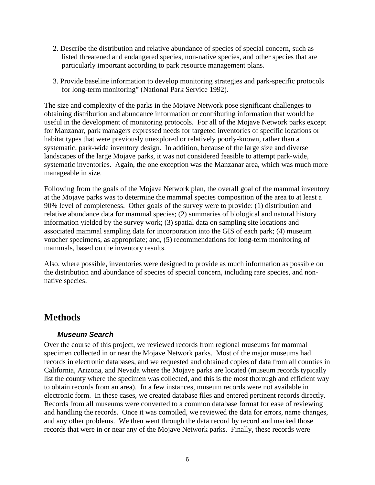- 2. Describe the distribution and relative abundance of species of special concern, such as listed threatened and endangered species, non-native species, and other species that are particularly important according to park resource management plans.
- 3. Provide baseline information to develop monitoring strategies and park-specific protocols for long-term monitoring" (National Park Service 1992).

The size and complexity of the parks in the Mojave Network pose significant challenges to obtaining distribution and abundance information or contributing information that would be useful in the development of monitoring protocols. For all of the Mojave Network parks except for Manzanar, park managers expressed needs for targeted inventories of specific locations or habitat types that were previously unexplored or relatively poorly-known, rather than a systematic, park-wide inventory design. In addition, because of the large size and diverse landscapes of the large Mojave parks, it was not considered feasible to attempt park-wide, systematic inventories. Again, the one exception was the Manzanar area, which was much more manageable in size.

Following from the goals of the Mojave Network plan, the overall goal of the mammal inventory at the Mojave parks was to determine the mammal species composition of the area to at least a 90% level of completeness. Other goals of the survey were to provide: (1) distribution and relative abundance data for mammal species; (2) summaries of biological and natural history information yielded by the survey work; (3) spatial data on sampling site locations and associated mammal sampling data for incorporation into the GIS of each park; (4) museum voucher specimens, as appropriate; and, (5) recommendations for long-term monitoring of mammals, based on the inventory results.

Also, where possible, inventories were designed to provide as much information as possible on the distribution and abundance of species of special concern, including rare species, and nonnative species.

# **Methods**

#### *Museum Search*

Over the course of this project, we reviewed records from regional museums for mammal specimen collected in or near the Mojave Network parks. Most of the major museums had records in electronic databases, and we requested and obtained copies of data from all counties in California, Arizona, and Nevada where the Mojave parks are located (museum records typically list the county where the specimen was collected, and this is the most thorough and efficient way to obtain records from an area). In a few instances, museum records were not available in electronic form. In these cases, we created database files and entered pertinent records directly. Records from all museums were converted to a common database format for ease of reviewing and handling the records. Once it was compiled, we reviewed the data for errors, name changes, and any other problems. We then went through the data record by record and marked those records that were in or near any of the Mojave Network parks. Finally, these records were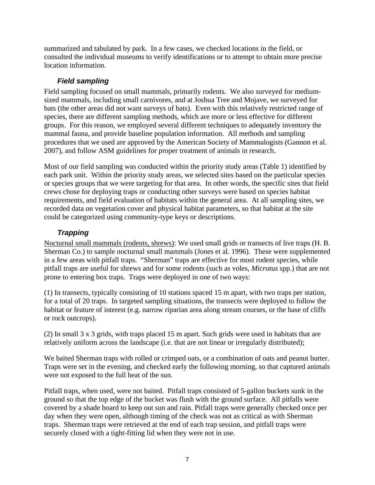summarized and tabulated by park. In a few cases, we checked locations in the field, or consulted the individual museums to verify identifications or to attempt to obtain more precise location information.

## *Field sampling*

Field sampling focused on small mammals, primarily rodents. We also surveyed for mediumsized mammals, including small carnivores, and at Joshua Tree and Mojave, we surveyed for bats (the other areas did not want surveys of bats). Even with this relatively restricted range of species, there are different sampling methods, which are more or less effective for different groups. For this reason, we employed several different techniques to adequately inventory the mammal fauna, and provide baseline population information. All methods and sampling procedures that we used are approved by the American Society of Mammalogists (Gannon et al. 2007), and follow ASM guidelines for proper treatment of animals in research.

Most of our field sampling was conducted within the priority study areas (Table 1) identified by each park unit. Within the priority study areas, we selected sites based on the particular species or species groups that we were targeting for that area. In other words, the specific sites that field crews chose for deploying traps or conducting other surveys were based on species habitat requirements, and field evaluation of habitats within the general area. At all sampling sites, we recorded data on vegetation cover and physical habitat parameters, so that habitat at the site could be categorized using community-type keys or descriptions.

# *Trapping*

Nocturnal small mammals (rodents, shrews): We used small grids or transects of live traps (H. B. Sherman Co.) to sample nocturnal small mammals (Jones et al. 1996). These were supplemented in a few areas with pitfall traps. "Sherman" traps are effective for most rodent species, while pitfall traps are useful for shrews and for some rodents (such as voles, *Microtus* spp.) that are not prone to entering box traps. Traps were deployed in one of two ways:

(1) In transects, typically consisting of 10 stations spaced 15 m apart, with two traps per station, for a total of 20 traps. In targeted sampling situations, the transects were deployed to follow the habitat or feature of interest (e.g. narrow riparian area along stream courses, or the base of cliffs or rock outcrops).

(2) In small 3 x 3 grids, with traps placed 15 m apart. Such grids were used in habitats that are relatively uniform across the landscape (i.e. that are not linear or irregularly distributed);

We baited Sherman traps with rolled or crimped oats, or a combination of oats and peanut butter. Traps were set in the evening, and checked early the following morning, so that captured animals were not exposed to the full heat of the sun.

Pitfall traps, when used, were not baited. Pitfall traps consisted of 5-gallon buckets sunk in the ground so that the top edge of the bucket was flush with the ground surface. All pitfalls were covered by a shade board to keep out sun and rain. Pitfall traps were generally checked once per day when they were open, although timing of the check was not as critical as with Sherman traps. Sherman traps were retrieved at the end of each trap session, and pitfall traps were securely closed with a tight-fitting lid when they were not in use.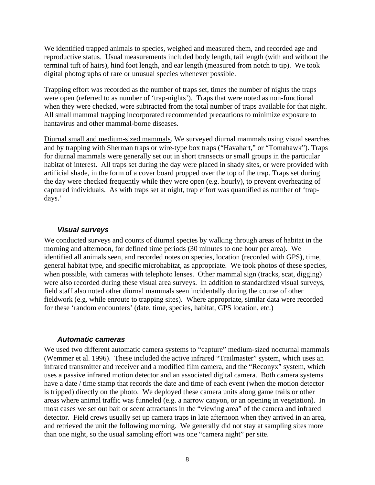We identified trapped animals to species, weighed and measured them, and recorded age and reproductive status. Usual measurements included body length, tail length (with and without the terminal tuft of hairs), hind foot length, and ear length (measured from notch to tip). We took digital photographs of rare or unusual species whenever possible.

Trapping effort was recorded as the number of traps set, times the number of nights the traps were open (referred to as number of 'trap-nights'). Traps that were noted as non-functional when they were checked, were subtracted from the total number of traps available for that night. All small mammal trapping incorporated recommended precautions to minimize exposure to hantavirus and other mammal-borne diseases.

Diurnal small and medium-sized mammals. We surveyed diurnal mammals using visual searches and by trapping with Sherman traps or wire-type box traps ("Havahart," or "Tomahawk"). Traps for diurnal mammals were generally set out in short transects or small groups in the particular habitat of interest. All traps set during the day were placed in shady sites, or were provided with artificial shade, in the form of a cover board propped over the top of the trap. Traps set during the day were checked frequently while they were open (e.g. hourly), to prevent overheating of captured individuals. As with traps set at night, trap effort was quantified as number of 'trapdays.'

#### *Visual surveys*

We conducted surveys and counts of diurnal species by walking through areas of habitat in the morning and afternoon, for defined time periods (30 minutes to one hour per area). We identified all animals seen, and recorded notes on species, location (recorded with GPS), time, general habitat type, and specific microhabitat, as appropriate. We took photos of these species, when possible, with cameras with telephoto lenses. Other mammal sign (tracks, scat, digging) were also recorded during these visual area surveys. In addition to standardized visual surveys, field staff also noted other diurnal mammals seen incidentally during the course of other fieldwork (e.g. while enroute to trapping sites). Where appropriate, similar data were recorded for these 'random encounters' (date, time, species, habitat, GPS location, etc.)

#### *Automatic cameras*

We used two different automatic camera systems to "capture" medium-sized nocturnal mammals (Wemmer et al. 1996). These included the active infrared "Trailmaster" system, which uses an infrared transmitter and receiver and a modified film camera, and the "Reconyx" system, which uses a passive infrared motion detector and an associated digital camera. Both camera systems have a date / time stamp that records the date and time of each event (when the motion detector is tripped) directly on the photo. We deployed these camera units along game trails or other areas where animal traffic was funneled (e.g. a narrow canyon, or an opening in vegetation). In most cases we set out bait or scent attractants in the "viewing area" of the camera and infrared detector. Field crews usually set up camera traps in late afternoon when they arrived in an area, and retrieved the unit the following morning. We generally did not stay at sampling sites more than one night, so the usual sampling effort was one "camera night" per site.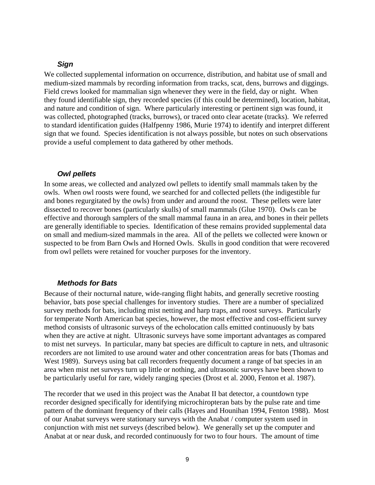#### *Sign*

We collected supplemental information on occurrence, distribution, and habitat use of small and medium-sized mammals by recording information from tracks, scat, dens, burrows and diggings. Field crews looked for mammalian sign whenever they were in the field, day or night. When they found identifiable sign, they recorded species (if this could be determined), location, habitat, and nature and condition of sign. Where particularly interesting or pertinent sign was found, it was collected, photographed (tracks, burrows), or traced onto clear acetate (tracks). We referred to standard identification guides (Halfpenny 1986, Murie 1974) to identify and interpret different sign that we found. Species identification is not always possible, but notes on such observations provide a useful complement to data gathered by other methods.

#### *Owl pellets*

In some areas, we collected and analyzed owl pellets to identify small mammals taken by the owls. When owl roosts were found, we searched for and collected pellets (the indigestible fur and bones regurgitated by the owls) from under and around the roost. These pellets were later dissected to recover bones (particularly skulls) of small mammals (Glue 1970). Owls can be effective and thorough samplers of the small mammal fauna in an area, and bones in their pellets are generally identifiable to species. Identification of these remains provided supplemental data on small and medium-sized mammals in the area. All of the pellets we collected were known or suspected to be from Barn Owls and Horned Owls. Skulls in good condition that were recovered from owl pellets were retained for voucher purposes for the inventory.

#### *Methods for Bats*

Because of their nocturnal nature, wide-ranging flight habits, and generally secretive roosting behavior, bats pose special challenges for inventory studies. There are a number of specialized survey methods for bats, including mist netting and harp traps, and roost surveys. Particularly for temperate North American bat species, however, the most effective and cost-efficient survey method consists of ultrasonic surveys of the echolocation calls emitted continuously by bats when they are active at night. Ultrasonic surveys have some important advantages as compared to mist net surveys. In particular, many bat species are difficult to capture in nets, and ultrasonic recorders are not limited to use around water and other concentration areas for bats (Thomas and West 1989). Surveys using bat call recorders frequently document a range of bat species in an area when mist net surveys turn up little or nothing, and ultrasonic surveys have been shown to be particularly useful for rare, widely ranging species (Drost et al. 2000, Fenton et al. 1987).

The recorder that we used in this project was the Anabat II bat detector, a countdown type recorder designed specifically for identifying microchiropteran bats by the pulse rate and time pattern of the dominant frequency of their calls (Hayes and Hounihan 1994, Fenton 1988). Most of our Anabat surveys were stationary surveys with the Anabat / computer system used in conjunction with mist net surveys (described below). We generally set up the computer and Anabat at or near dusk, and recorded continuously for two to four hours. The amount of time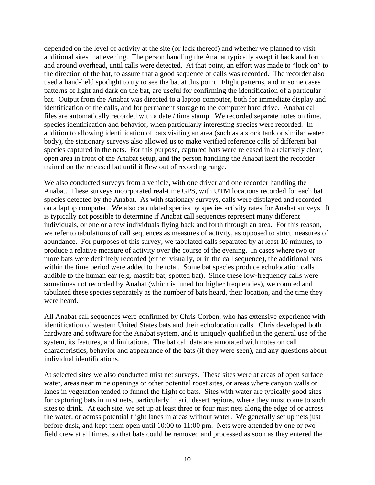depended on the level of activity at the site (or lack thereof) and whether we planned to visit additional sites that evening. The person handling the Anabat typically swept it back and forth and around overhead, until calls were detected. At that point, an effort was made to "lock on" to the direction of the bat, to assure that a good sequence of calls was recorded. The recorder also used a hand-held spotlight to try to see the bat at this point. Flight patterns, and in some cases patterns of light and dark on the bat, are useful for confirming the identification of a particular bat. Output from the Anabat was directed to a laptop computer, both for immediate display and identification of the calls, and for permanent storage to the computer hard drive. Anabat call files are automatically recorded with a date / time stamp. We recorded separate notes on time, species identification and behavior, when particularly interesting species were recorded. In addition to allowing identification of bats visiting an area (such as a stock tank or similar water body), the stationary surveys also allowed us to make verified reference calls of different bat species captured in the nets. For this purpose, captured bats were released in a relatively clear, open area in front of the Anabat setup, and the person handling the Anabat kept the recorder trained on the released bat until it flew out of recording range.

We also conducted surveys from a vehicle, with one driver and one recorder handling the Anabat. These surveys incorporated real-time GPS, with UTM locations recorded for each bat species detected by the Anabat. As with stationary surveys, calls were displayed and recorded on a laptop computer. We also calculated species by species activity rates for Anabat surveys. It is typically not possible to determine if Anabat call sequences represent many different individuals, or one or a few individuals flying back and forth through an area. For this reason, we refer to tabulations of call sequences as measures of activity, as opposed to strict measures of abundance. For purposes of this survey, we tabulated calls separated by at least 10 minutes, to produce a relative measure of activity over the course of the evening. In cases where two or more bats were definitely recorded (either visually, or in the call sequence), the additional bats within the time period were added to the total. Some bat species produce echolocation calls audible to the human ear (e.g. mastiff bat, spotted bat). Since these low-frequency calls were sometimes not recorded by Anabat (which is tuned for higher frequencies), we counted and tabulated these species separately as the number of bats heard, their location, and the time they were heard.

All Anabat call sequences were confirmed by Chris Corben, who has extensive experience with identification of western United States bats and their echolocation calls. Chris developed both hardware and software for the Anabat system, and is uniquely qualified in the general use of the system, its features, and limitations. The bat call data are annotated with notes on call characteristics, behavior and appearance of the bats (if they were seen), and any questions about individual identifications.

At selected sites we also conducted mist net surveys. These sites were at areas of open surface water, areas near mine openings or other potential roost sites, or areas where canyon walls or lanes in vegetation tended to funnel the flight of bats. Sites with water are typically good sites for capturing bats in mist nets, particularly in arid desert regions, where they must come to such sites to drink. At each site, we set up at least three or four mist nets along the edge of or across the water, or across potential flight lanes in areas without water. We generally set up nets just before dusk, and kept them open until 10:00 to 11:00 pm. Nets were attended by one or two field crew at all times, so that bats could be removed and processed as soon as they entered the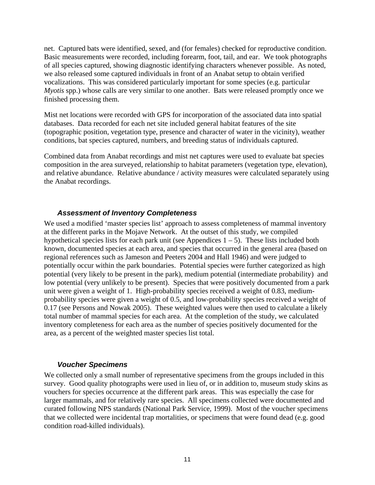net. Captured bats were identified, sexed, and (for females) checked for reproductive condition. Basic measurements were recorded, including forearm, foot, tail, and ear. We took photographs of all species captured, showing diagnostic identifying characters whenever possible. As noted, we also released some captured individuals in front of an Anabat setup to obtain verified vocalizations. This was considered particularly important for some species (e.g. particular *Myotis* spp.) whose calls are very similar to one another. Bats were released promptly once we finished processing them.

Mist net locations were recorded with GPS for incorporation of the associated data into spatial databases. Data recorded for each net site included general habitat features of the site (topographic position, vegetation type, presence and character of water in the vicinity), weather conditions, bat species captured, numbers, and breeding status of individuals captured.

Combined data from Anabat recordings and mist net captures were used to evaluate bat species composition in the area surveyed, relationship to habitat parameters (vegetation type, elevation), and relative abundance. Relative abundance / activity measures were calculated separately using the Anabat recordings.

#### *Assessment of Inventory Completeness*

We used a modified 'master species list' approach to assess completeness of mammal inventory at the different parks in the Mojave Network. At the outset of this study, we compiled hypothetical species lists for each park unit (see Appendices  $1 - 5$ ). These lists included both known, documented species at each area, and species that occurred in the general area (based on regional references such as Jameson and Peeters 2004 and Hall 1946) and were judged to potentially occur within the park boundaries. Potential species were further categorized as high potential (very likely to be present in the park), medium potential (intermediate probability) and low potential (very unlikely to be present). Species that were positively documented from a park unit were given a weight of 1. High-probability species received a weight of 0.83, mediumprobability species were given a weight of 0.5, and low-probability species received a weight of 0.17 (see Persons and Nowak 2005). These weighted values were then used to calculate a likely total number of mammal species for each area. At the completion of the study, we calculated inventory completeness for each area as the number of species positively documented for the area, as a percent of the weighted master species list total.

#### *Voucher Specimens*

We collected only a small number of representative specimens from the groups included in this survey. Good quality photographs were used in lieu of, or in addition to, museum study skins as vouchers for species occurrence at the different park areas. This was especially the case for larger mammals, and for relatively rare species. All specimens collected were documented and curated following NPS standards (National Park Service, 1999). Most of the voucher specimens that we collected were incidental trap mortalities, or specimens that were found dead (e.g. good condition road-killed individuals).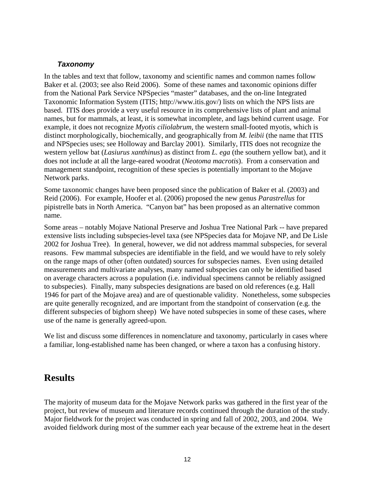#### *Taxonomy*

In the tables and text that follow, taxonomy and scientific names and common names follow Baker et al. (2003; see also Reid 2006). Some of these names and taxonomic opinions differ from the National Park Service NPSpecies "master" databases, and the on-line Integrated Taxonomic Information System (ITIS[; http://www.itis.gov/\)](http://www.itis.gov/) lists on which the NPS lists are based. ITIS does provide a very useful resource in its comprehensive lists of plant and animal names, but for mammals, at least, it is somewhat incomplete, and lags behind current usage. For example, it does not recognize *Myotis ciliolabrum*, the western small-footed myotis, which is distinct morphologically, biochemically, and geographically from *M. leibii* (the name that ITIS and NPSpecies uses; see Holloway and Barclay 2001). Similarly, ITIS does not recognize the western yellow bat (*Lasiurus xanthinus*) as distinct from *L. ega* (the southern yellow bat), and it does not include at all the large-eared woodrat (*Neotoma macrotis*). From a conservation and management standpoint, recognition of these species is potentially important to the Mojave Network parks.

Some taxonomic changes have been proposed since the publication of Baker et al. (2003) and Reid (2006). For example, Hoofer et al. (2006) proposed the new genus *Parastrellus* for pipistrelle bats in North America. "Canyon bat" has been proposed as an alternative common name.

Some areas – notably Mojave National Preserve and Joshua Tree National Park -- have prepared extensive lists including subspecies-level taxa (see NPSpecies data for Mojave NP, and De Lisle 2002 for Joshua Tree). In general, however, we did not address mammal subspecies, for several reasons. Few mammal subspecies are identifiable in the field, and we would have to rely solely on the range maps of other (often outdated) sources for subspecies names. Even using detailed measurements and multivariate analyses, many named subspecies can only be identified based on average characters across a population (i.e. individual specimens cannot be reliably assigned to subspecies). Finally, many subspecies designations are based on old references (e.g. Hall 1946 for part of the Mojave area) and are of questionable validity. Nonetheless, some subspecies are quite generally recognized, and are important from the standpoint of conservation (e.g. the different subspecies of bighorn sheep) We have noted subspecies in some of these cases, where use of the name is generally agreed-upon.

We list and discuss some differences in nomenclature and taxonomy, particularly in cases where a familiar, long-established name has been changed, or where a taxon has a confusing history.

# **Results**

The majority of museum data for the Mojave Network parks was gathered in the first year of the project, but review of museum and literature records continued through the duration of the study. Major fieldwork for the project was conducted in spring and fall of 2002, 2003, and 2004. We avoided fieldwork during most of the summer each year because of the extreme heat in the desert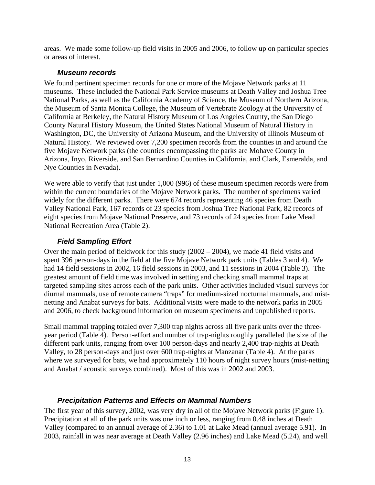areas. We made some follow-up field visits in 2005 and 2006, to follow up on particular species or areas of interest.

#### *Museum records*

We found pertinent specimen records for one or more of the Mojave Network parks at 11 museums. These included the National Park Service museums at Death Valley and Joshua Tree National Parks, as well as the California Academy of Science, the Museum of Northern Arizona, the Museum of Santa Monica College, the Museum of Vertebrate Zoology at the University of California at Berkeley, the Natural History Museum of Los Angeles County, the San Diego County Natural History Museum, the United States National Museum of Natural History in Washington, DC, the University of Arizona Museum, and the University of Illinois Museum of Natural History. We reviewed over 7,200 specimen records from the counties in and around the five Mojave Network parks (the counties encompassing the parks are Mohave County in Arizona, Inyo, Riverside, and San Bernardino Counties in California, and Clark, Esmeralda, and Nye Counties in Nevada).

We were able to verify that just under 1,000 (996) of these museum specimen records were from within the current boundaries of the Mojave Network parks. The number of specimens varied widely for the different parks. There were 674 records representing 46 species from Death Valley National Park, 167 records of 23 species from Joshua Tree National Park, 82 records of eight species from Mojave National Preserve, and 73 records of 24 species from Lake Mead National Recreation Area (Table 2).

#### *Field Sampling Effort*

Over the main period of fieldwork for this study (2002 – 2004), we made 41 field visits and spent 396 person-days in the field at the five Mojave Network park units (Tables 3 and 4). We had 14 field sessions in 2002, 16 field sessions in 2003, and 11 sessions in 2004 (Table 3). The greatest amount of field time was involved in setting and checking small mammal traps at targeted sampling sites across each of the park units. Other activities included visual surveys for diurnal mammals, use of remote camera "traps" for medium-sized nocturnal mammals, and mistnetting and Anabat surveys for bats. Additional visits were made to the network parks in 2005 and 2006, to check background information on museum specimens and unpublished reports.

Small mammal trapping totaled over 7,300 trap nights across all five park units over the threeyear period (Table 4). Person-effort and number of trap-nights roughly paralleled the size of the different park units, ranging from over 100 person-days and nearly 2,400 trap-nights at Death Valley, to 28 person-days and just over 600 trap-nights at Manzanar (Table 4). At the parks where we surveyed for bats, we had approximately 110 hours of night survey hours (mist-netting and Anabat / acoustic surveys combined). Most of this was in 2002 and 2003.

#### *Precipitation Patterns and Effects on Mammal Numbers*

The first year of this survey, 2002, was very dry in all of the Mojave Network parks (Figure 1). Precipitation at all of the park units was one inch or less, ranging from 0.48 inches at Death Valley (compared to an annual average of 2.36) to 1.01 at Lake Mead (annual average 5.91). In 2003, rainfall in was near average at Death Valley (2.96 inches) and Lake Mead (5.24), and well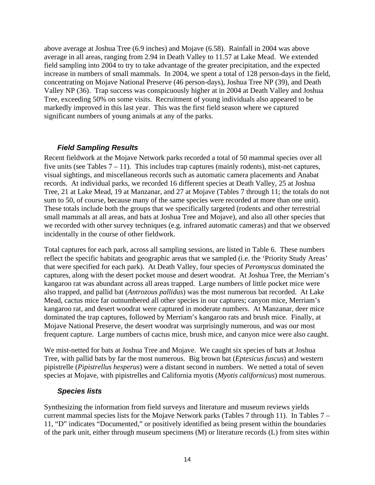above average at Joshua Tree (6.9 inches) and Mojave (6.58). Rainfall in 2004 was above average in all areas, ranging from 2.94 in Death Valley to 11.57 at Lake Mead. We extended field sampling into 2004 to try to take advantage of the greater precipitation, and the expected increase in numbers of small mammals. In 2004, we spent a total of 128 person-days in the field, concentrating on Mojave National Preserve (46 person-days), Joshua Tree NP (39), and Death Valley NP (36). Trap success was conspicuously higher at in 2004 at Death Valley and Joshua Tree, exceeding 50% on some visits. Recruitment of young individuals also appeared to be markedly improved in this last year. This was the first field season where we captured significant numbers of young animals at any of the parks.

## *Field Sampling Results*

Recent fieldwork at the Mojave Network parks recorded a total of 50 mammal species over all five units (see Tables  $7 - 11$ ). This includes trap captures (mainly rodents), mist-net captures, visual sightings, and miscellaneous records such as automatic camera placements and Anabat records. At individual parks, we recorded 16 different species at Death Valley, 25 at Joshua Tree, 21 at Lake Mead, 19 at Manzanar, and 27 at Mojave (Tables 7 through 11; the totals do not sum to 50, of course, because many of the same species were recorded at more than one unit). These totals include both the groups that we specifically targeted (rodents and other terrestrial small mammals at all areas, and bats at Joshua Tree and Mojave), and also all other species that we recorded with other survey techniques (e.g. infrared automatic cameras) and that we observed incidentally in the course of other fieldwork.

Total captures for each park, across all sampling sessions, are listed in Table 6. These numbers reflect the specific habitats and geographic areas that we sampled (i.e. the 'Priority Study Areas' that were specified for each park). At Death Valley, four species of *Peromyscus* dominated the captures, along with the desert pocket mouse and desert woodrat. At Joshua Tree, the Merriam's kangaroo rat was abundant across all areas trapped. Large numbers of little pocket mice were also trapped, and pallid bat (*Antrozous pallidus*) was the most numerous bat recorded. At Lake Mead, cactus mice far outnumbered all other species in our captures; canyon mice, Merriam's kangaroo rat, and desert woodrat were captured in moderate numbers. At Manzanar, deer mice dominated the trap captures, followed by Merriam's kangaroo rats and brush mice. Finally, at Mojave National Preserve, the desert woodrat was surprisingly numerous, and was our most frequent capture. Large numbers of cactus mice, brush mice, and canyon mice were also caught.

We mist-netted for bats at Joshua Tree and Mojave. We caught six species of bats at Joshua Tree, with pallid bats by far the most numerous. Big brown bat (*Eptesicus fuscus*) and western pipistrelle (*Pipistrellus hesperus*) were a distant second in numbers. We netted a total of seven species at Mojave, with pipistrelles and California myotis (*Myotis californicus*) most numerous.

#### *Species lists*

Synthesizing the information from field surveys and literature and museum reviews yields current mammal species lists for the Mojave Network parks (Tables 7 through 11). In Tables 7 – 11, "D" indicates "Documented," or positively identified as being present within the boundaries of the park unit, either through museum specimens (M) or literature records (L) from sites within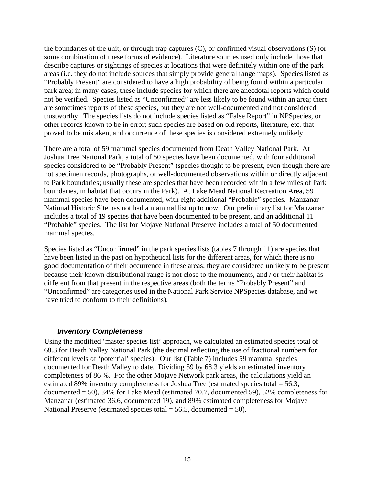the boundaries of the unit, or through trap captures (C), or confirmed visual observations (S) (or some combination of these forms of evidence). Literature sources used only include those that describe captures or sightings of species at locations that were definitely within one of the park areas (i.e. they do not include sources that simply provide general range maps). Species listed as "Probably Present" are considered to have a high probability of being found within a particular park area; in many cases, these include species for which there are anecdotal reports which could not be verified. Species listed as "Unconfirmed" are less likely to be found within an area; there are sometimes reports of these species, but they are not well-documented and not considered trustworthy. The species lists do not include species listed as "False Report" in NPSpecies, or other records known to be in error; such species are based on old reports, literature, etc. that proved to be mistaken, and occurrence of these species is considered extremely unlikely.

There are a total of 59 mammal species documented from Death Valley National Park. At Joshua Tree National Park, a total of 50 species have been documented, with four additional species considered to be "Probably Present" (species thought to be present, even though there are not specimen records, photographs, or well-documented observations within or directly adjacent to Park boundaries; usually these are species that have been recorded within a few miles of Park boundaries, in habitat that occurs in the Park). At Lake Mead National Recreation Area, 59 mammal species have been documented, with eight additional "Probable" species. Manzanar National Historic Site has not had a mammal list up to now. Our preliminary list for Manzanar includes a total of 19 species that have been documented to be present, and an additional 11 "Probable" species. The list for Mojave National Preserve includes a total of 50 documented mammal species.

Species listed as "Unconfirmed" in the park species lists (tables 7 through 11) are species that have been listed in the past on hypothetical lists for the different areas, for which there is no good documentation of their occurrence in these areas; they are considered unlikely to be present because their known distributional range is not close to the monuments, and / or their habitat is different from that present in the respective areas (both the terms "Probably Present" and "Unconfirmed" are categories used in the National Park Service NPSpecies database, and we have tried to conform to their definitions).

#### *Inventory Completeness*

Using the modified 'master species list' approach, we calculated an estimated species total of 68.3 for Death Valley National Park (the decimal reflecting the use of fractional numbers for different levels of 'potential' species). Our list (Table 7) includes 59 mammal species documented for Death Valley to date. Dividing 59 by 68.3 yields an estimated inventory completeness of 86 %. For the other Mojave Network park areas, the calculations yield an estimated 89% inventory completeness for Joshua Tree (estimated species total = 56.3, documented  $= 50$ ), 84% for Lake Mead (estimated 70.7, documented 59), 52% completeness for Manzanar (estimated 36.6, documented 19), and 89% estimated completeness for Mojave National Preserve (estimated species total  $= 56.5$ , documented  $= 50$ ).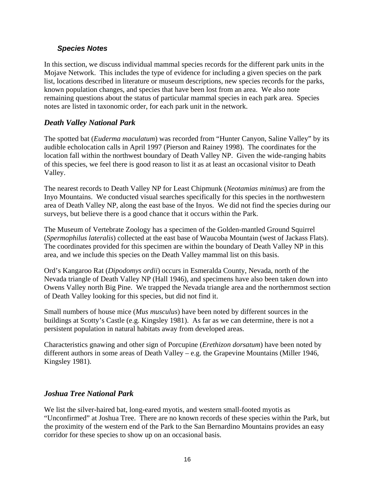#### *Species Notes*

In this section, we discuss individual mammal species records for the different park units in the Mojave Network. This includes the type of evidence for including a given species on the park list, locations described in literature or museum descriptions, new species records for the parks, known population changes, and species that have been lost from an area. We also note remaining questions about the status of particular mammal species in each park area. Species notes are listed in taxonomic order, for each park unit in the network.

## *Death Valley National Park*

The spotted bat (*Euderma maculatum*) was recorded from "Hunter Canyon, Saline Valley" by its audible echolocation calls in April 1997 (Pierson and Rainey 1998). The coordinates for the location fall within the northwest boundary of Death Valley NP. Given the wide-ranging habits of this species, we feel there is good reason to list it as at least an occasional visitor to Death Valley.

The nearest records to Death Valley NP for Least Chipmunk (*Neotamias minimus*) are from the Inyo Mountains. We conducted visual searches specifically for this species in the northwestern area of Death Valley NP, along the east base of the Inyos. We did not find the species during our surveys, but believe there is a good chance that it occurs within the Park.

The Museum of Vertebrate Zoology has a specimen of the Golden-mantled Ground Squirrel (*Spermophilus lateralis*) collected at the east base of Waucoba Mountain (west of Jackass Flats). The coordinates provided for this specimen are within the boundary of Death Valley NP in this area, and we include this species on the Death Valley mammal list on this basis.

Ord's Kangaroo Rat (*Dipodomys ordii*) occurs in Esmeralda County, Nevada, north of the Nevada triangle of Death Valley NP (Hall 1946), and specimens have also been taken down into Owens Valley north Big Pine. We trapped the Nevada triangle area and the northernmost section of Death Valley looking for this species, but did not find it.

Small numbers of house mice (*Mus musculus*) have been noted by different sources in the buildings at Scotty's Castle (e.g. Kingsley 1981). As far as we can determine, there is not a persistent population in natural habitats away from developed areas.

Characteristics gnawing and other sign of Porcupine (*Erethizon dorsatum*) have been noted by different authors in some areas of Death Valley – e.g. the Grapevine Mountains (Miller 1946, Kingsley 1981).

## *Joshua Tree National Park*

We list the silver-haired bat, long-eared myotis, and western small-footed myotis as "Unconfirmed" at Joshua Tree. There are no known records of these species within the Park, but the proximity of the western end of the Park to the San Bernardino Mountains provides an easy corridor for these species to show up on an occasional basis.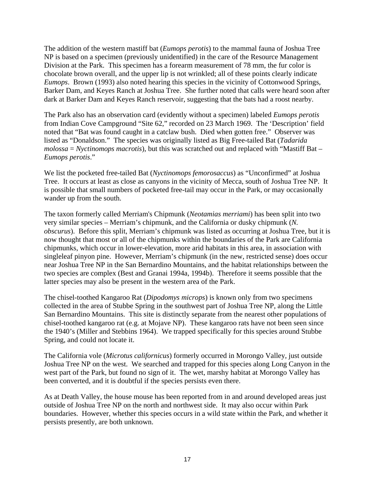The addition of the western mastiff bat (*Eumops perotis*) to the mammal fauna of Joshua Tree NP is based on a specimen (previously unidentified) in the care of the Resource Management Division at the Park. This specimen has a forearm measurement of 78 mm, the fur color is chocolate brown overall, and the upper lip is not wrinkled; all of these points clearly indicate *Eumops*. Brown (1993) also noted hearing this species in the vicinity of Cottonwood Springs, Barker Dam, and Keyes Ranch at Joshua Tree. She further noted that calls were heard soon after dark at Barker Dam and Keyes Ranch reservoir, suggesting that the bats had a roost nearby.

The Park also has an observation card (evidently without a specimen) labeled *Eumops perotis* from Indian Cove Campground "Site 62," recorded on 23 March 1969. The 'Description' field noted that "Bat was found caught in a catclaw bush. Died when gotten free." Observer was listed as "Donaldson." The species was originally listed as Big Free-tailed Bat (*Tadarida molossa* = *Nyctinomops macrotis*), but this was scratched out and replaced with "Mastiff Bat – *Eumops perotis*."

We list the pocketed free-tailed Bat (*Nyctinomops femorosaccus*) as "Unconfirmed" at Joshua Tree. It occurs at least as close as canyons in the vicinity of Mecca, south of Joshua Tree NP. It is possible that small numbers of pocketed free-tail may occur in the Park, or may occasionally wander up from the south.

The taxon formerly called Merriam's Chipmunk (*Neotamias merriami*) has been split into two very similar species – Merriam's chipmunk, and the California or dusky chipmunk (*N. obscurus*). Before this split, Merriam's chipmunk was listed as occurring at Joshua Tree, but it is now thought that most or all of the chipmunks within the boundaries of the Park are California chipmunks, which occur in lower-elevation, more arid habitats in this area, in association with singleleaf pinyon pine. However, Merriam's chipmunk (in the new, restricted sense) does occur near Joshua Tree NP in the San Bernardino Mountains, and the habitat relationships between the two species are complex (Best and Granai 1994a, 1994b). Therefore it seems possible that the latter species may also be present in the western area of the Park.

The chisel-toothed Kangaroo Rat (*Dipodomys microps*) is known only from two specimens collected in the area of Stubbe Spring in the southwest part of Joshua Tree NP, along the Little San Bernardino Mountains. This site is distinctly separate from the nearest other populations of chisel-toothed kangaroo rat (e.g. at Mojave NP). These kangaroo rats have not been seen since the 1940's (Miller and Stebbins 1964). We trapped specifically for this species around Stubbe Spring, and could not locate it.

The California vole (*Microtus californicus*) formerly occurred in Morongo Valley, just outside Joshua Tree NP on the west. We searched and trapped for this species along Long Canyon in the west part of the Park, but found no sign of it. The wet, marshy habitat at Morongo Valley has been converted, and it is doubtful if the species persists even there.

As at Death Valley, the house mouse has been reported from in and around developed areas just outside of Joshua Tree NP on the north and northwest side. It may also occur within Park boundaries. However, whether this species occurs in a wild state within the Park, and whether it persists presently, are both unknown.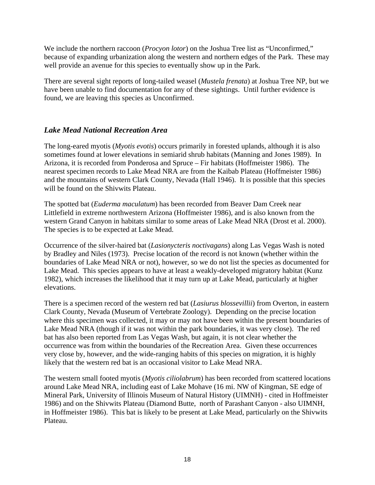We include the northern raccoon (*Procyon lotor*) on the Joshua Tree list as "Unconfirmed," because of expanding urbanization along the western and northern edges of the Park. These may well provide an avenue for this species to eventually show up in the Park.

There are several sight reports of long-tailed weasel (*Mustela frenata*) at Joshua Tree NP, but we have been unable to find documentation for any of these sightings. Until further evidence is found, we are leaving this species as Unconfirmed.

## *Lake Mead National Recreation Area*

The long-eared myotis (*Myotis evotis*) occurs primarily in forested uplands, although it is also sometimes found at lower elevations in semiarid shrub habitats (Manning and Jones 1989). In Arizona, it is recorded from Ponderosa and Spruce – Fir habitats (Hoffmeister 1986). The nearest specimen records to Lake Mead NRA are from the Kaibab Plateau (Hoffmeister 1986) and the mountains of western Clark County, Nevada (Hall 1946). It is possible that this species will be found on the Shivwits Plateau.

The spotted bat (*Euderma maculatum*) has been recorded from Beaver Dam Creek near Littlefield in extreme northwestern Arizona (Hoffmeister 1986), and is also known from the western Grand Canyon in habitats similar to some areas of Lake Mead NRA (Drost et al. 2000). The species is to be expected at Lake Mead.

Occurrence of the silver-haired bat (*Lasionycteris noctivagans*) along Las Vegas Wash is noted by Bradley and Niles (1973). Precise location of the record is not known (whether within the boundaries of Lake Mead NRA or not), however, so we do not list the species as documented for Lake Mead. This species appears to have at least a weakly-developed migratory habitat (Kunz 1982), which increases the likelihood that it may turn up at Lake Mead, particularly at higher elevations.

There is a specimen record of the western red bat (*Lasiurus blossevillii*) from Overton, in eastern Clark County, Nevada (Museum of Vertebrate Zoology). Depending on the precise location where this specimen was collected, it may or may not have been within the present boundaries of Lake Mead NRA (though if it was not within the park boundaries, it was very close). The red bat has also been reported from Las Vegas Wash, but again, it is not clear whether the occurrence was from within the boundaries of the Recreation Area. Given these occurrences very close by, however, and the wide-ranging habits of this species on migration, it is highly likely that the western red bat is an occasional visitor to Lake Mead NRA.

The western small footed myotis (*Myotis ciliolabrum*) has been recorded from scattered locations around Lake Mead NRA, including east of Lake Mohave (16 mi. NW of Kingman, SE edge of Mineral Park, University of Illinois Museum of Natural History (UIMNH) - cited in Hoffmeister 1986) and on the Shivwits Plateau (Diamond Butte, north of Parashant Canyon - also UIMNH, in Hoffmeister 1986). This bat is likely to be present at Lake Mead, particularly on the Shivwits Plateau.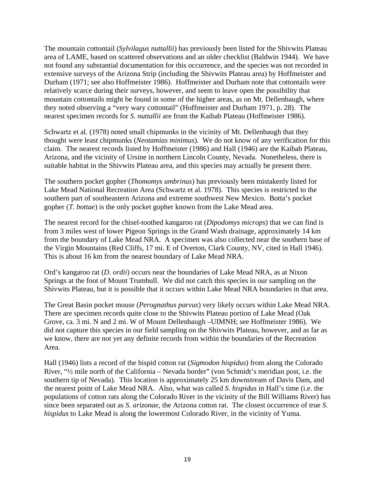The mountain cottontail (*Sylvilagus nuttallii*) has previously been listed for the Shivwits Plateau area of LAME, based on scattered observations and an older checklist (Baldwin 1944). We have not found any substantial documentation for this occurrence, and the species was not recorded in extensive surveys of the Arizona Strip (including the Shivwits Plateau area) by Hoffmeister and Durham (1971; see also Hoffmeister 1986). Hoffmeister and Durham note that cottontails were relatively scarce during their surveys, however, and seem to leave open the possibility that mountain cottontails might be found in some of the higher areas, as on Mt. Dellenbaugh, where they noted observing a "very wary cottontail" (Hoffmeister and Durham 1971, p. 28). The nearest specimen records for *S. nuttallii* are from the Kaibab Plateau (Hoffmeister 1986).

Schwartz et al. (1978) noted small chipmunks in the vicinity of Mt. Dellenbaugh that they thought were least chipmunks (*Neotamias minimus*). We do not know of any verification for this claim. The nearest records listed by Hoffmeister (1986) and Hall (1946) are the Kaibab Plateau, Arizona, and the vicinity of Ursine in northern Lincoln County, Nevada. Nonetheless, there is suitable habitat in the Shivwits Plateau area, and this species may actually be present there.

The southern pocket gopher (*Thomomys umbrinus*) has previously been mistakenly listed for Lake Mead National Recreation Area (Schwartz et al. 1978). This species is restricted to the southern part of southeastern Arizona and extreme southwest New Mexico. Botta's pocket gopher (*T. bottae*) is the only pocket gopher known from the Lake Mead area.

The nearest record for the chisel-toothed kangaroo rat (*Dipodomys microps*) that we can find is from 3 miles west of lower Pigeon Springs in the Grand Wash drainage, approximately 14 km from the boundary of Lake Mead NRA. A specimen was also collected near the southern base of the Virgin Mountains (Red Cliffs, 17 mi. E of Overton, Clark County, NV, cited in Hall 1946). This is about 16 km from the nearest boundary of Lake Mead NRA.

Ord's kangaroo rat (*D. ordii*) occurs near the boundaries of Lake Mead NRA, as at Nixon Springs at the foot of Mount Trumbull. We did not catch this species in our sampling on the Shivwits Plateau, but it is possible that it occurs within Lake Mead NRA boundaries in that area.

The Great Basin pocket mouse (*Perognathus parvus*) very likely occurs within Lake Mead NRA. There are specimen records quite close to the Shivwits Plateau portion of Lake Mead (Oak Grove, ca. 3 mi. N and 2 mi. W of Mount Dellenbaugh –UIMNH; see Hoffmeister 1986). We did not capture this species in our field sampling on the Shivwits Plateau, however, and as far as we know, there are not yet any definite records from within the boundaries of the Recreation Area.

Hall (1946) lists a record of the hispid cotton rat (*Sigmodon hispidus*) from along the Colorado River, "½ mile north of the California – Nevada border" (von Schmidt's meridian post, i.e. the southern tip of Nevada). This location is approximately 25 km downstream of Davis Dam, and the nearest point of Lake Mead NRA. Also, what was called *S. hispidus* in Hall's time (i.e. the populations of cotton rats along the Colorado River in the vicinity of the Bill Williams River) has since been separated out as *S. arizonae*, the Arizona cotton rat. The closest occurrence of true *S. hispidus* to Lake Mead is along the lowermost Colorado River, in the vicinity of Yuma.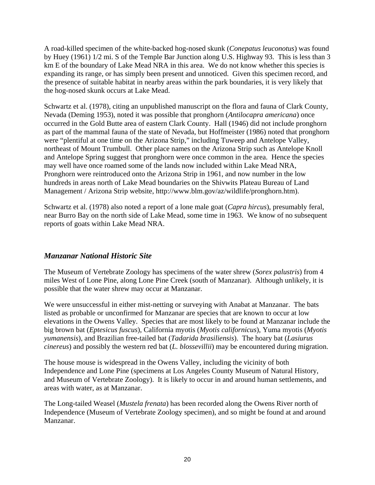A road-killed specimen of the white-backed hog-nosed skunk (*Conepatus leuconotus*) was found by Huey (1961) 1/2 mi. S of the Temple Bar Junction along U.S. Highway 93. This is less than 3 km E of the boundary of Lake Mead NRA in this area. We do not know whether this species is expanding its range, or has simply been present and unnoticed. Given this specimen record, and the presence of suitable habitat in nearby areas within the park boundaries, it is very likely that the hog-nosed skunk occurs at Lake Mead.

Schwartz et al. (1978), citing an unpublished manuscript on the flora and fauna of Clark County, Nevada (Deming 1953), noted it was possible that pronghorn (*Antilocapra americana*) once occurred in the Gold Butte area of eastern Clark County. Hall (1946) did not include pronghorn as part of the mammal fauna of the state of Nevada, but Hoffmeister (1986) noted that pronghorn were "plentiful at one time on the Arizona Strip," including Tuweep and Antelope Valley, northeast of Mount Trumbull. Other place names on the Arizona Strip such as Antelope Knoll and Antelope Spring suggest that pronghorn were once common in the area. Hence the species may well have once roamed some of the lands now included within Lake Mead NRA, Pronghorn were reintroduced onto the Arizona Strip in 1961, and now number in the low hundreds in areas north of Lake Mead boundaries on the Shivwits Plateau Bureau of Land Management / Arizona Strip website, <http://www.blm.gov/az/wildlife/pronghorn.htm>).

Schwartz et al. (1978) also noted a report of a lone male goat (*Capra hircus*), presumably feral, near Burro Bay on the north side of Lake Mead, some time in 1963. We know of no subsequent reports of goats within Lake Mead NRA.

## *Manzanar National Historic Site*

The Museum of Vertebrate Zoology has specimens of the water shrew (*Sorex palustris*) from 4 miles West of Lone Pine, along Lone Pine Creek (south of Manzanar). Although unlikely, it is possible that the water shrew may occur at Manzanar.

We were unsuccessful in either mist-netting or surveying with Anabat at Manzanar. The bats listed as probable or unconfirmed for Manzanar are species that are known to occur at low elevations in the Owens Valley. Species that are most likely to be found at Manzanar include the big brown bat (*Eptesicus fuscus*), California myotis (*Myotis californicus*), Yuma myotis (*Myotis yumanensis*), and Brazilian free-tailed bat (*Tadarida brasiliensis*). The hoary bat (*Lasiurus cinereus*) and possibly the western red bat (*L. blossevillii*) may be encountered during migration.

The house mouse is widespread in the Owens Valley, including the vicinity of both Independence and Lone Pine (specimens at Los Angeles County Museum of Natural History, and Museum of Vertebrate Zoology). It is likely to occur in and around human settlements, and areas with water, as at Manzanar.

The Long-tailed Weasel (*Mustela frenata*) has been recorded along the Owens River north of Independence (Museum of Vertebrate Zoology specimen), and so might be found at and around Manzanar.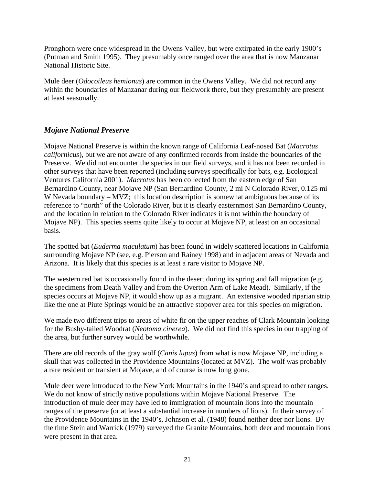Pronghorn were once widespread in the Owens Valley, but were extirpated in the early 1900's (Putman and Smith 1995). They presumably once ranged over the area that is now Manzanar National Historic Site.

Mule deer (*Odocoileus hemionus*) are common in the Owens Valley. We did not record any within the boundaries of Manzanar during our fieldwork there, but they presumably are present at least seasonally.

## *Mojave National Preserve*

Mojave National Preserve is within the known range of California Leaf-nosed Bat (*Macrotus californicus*), but we are not aware of any confirmed records from inside the boundaries of the Preserve. We did not encounter the species in our field surveys, and it has not been recorded in other surveys that have been reported (including surveys specifically for bats, e.g. Ecological Ventures California 2001). *Macrotus* has been collected from the eastern edge of San Bernardino County, near Mojave NP (San Bernardino County, 2 mi N Colorado River, 0.125 mi W Nevada boundary – MVZ; this location description is somewhat ambiguous because of its reference to "north" of the Colorado River, but it is clearly easternmost San Bernardino County, and the location in relation to the Colorado River indicates it is not within the boundary of Mojave NP). This species seems quite likely to occur at Mojave NP, at least on an occasional basis.

The spotted bat (*Euderma maculatum*) has been found in widely scattered locations in California surrounding Mojave NP (see, e.g. Pierson and Rainey 1998) and in adjacent areas of Nevada and Arizona. It is likely that this species is at least a rare visitor to Mojave NP.

The western red bat is occasionally found in the desert during its spring and fall migration (e.g. the specimens from Death Valley and from the Overton Arm of Lake Mead). Similarly, if the species occurs at Mojave NP, it would show up as a migrant. An extensive wooded riparian strip like the one at Piute Springs would be an attractive stopover area for this species on migration.

We made two different trips to areas of white fir on the upper reaches of Clark Mountain looking for the Bushy-tailed Woodrat (*Neotoma cinerea*). We did not find this species in our trapping of the area, but further survey would be worthwhile.

There are old records of the gray wolf (*Canis lupus*) from what is now Mojave NP, including a skull that was collected in the Providence Mountains (located at MVZ). The wolf was probably a rare resident or transient at Mojave, and of course is now long gone.

Mule deer were introduced to the New York Mountains in the 1940's and spread to other ranges. We do not know of strictly native populations within Mojave National Preserve. The introduction of mule deer may have led to immigration of mountain lions into the mountain ranges of the preserve (or at least a substantial increase in numbers of lions). In their survey of the Providence Mountains in the 1940's, Johnson et al. (1948) found neither deer nor lions. By the time Stein and Warrick (1979) surveyed the Granite Mountains, both deer and mountain lions were present in that area.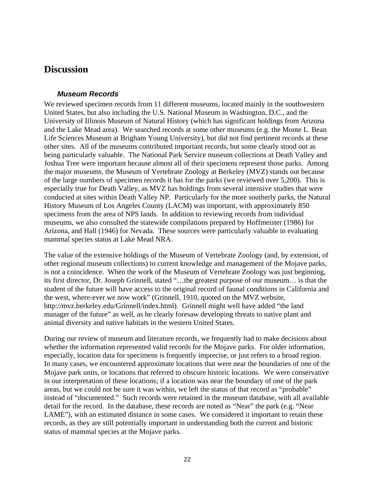# **Discussion**

#### *Museum Records*

We reviewed specimen records from 11 different museums, located mainly in the southwestern United States, but also including the U.S. National Museum in Washington, D.C., and the University of Illinois Museum of Natural History (which has significant holdings from Arizona and the Lake Mead area). We searched records at some other museums (e.g. the Monte L. Bean Life Sciences Museum at Brigham Young University), but did not find pertinent records at these other sites. All of the museums contributed important records, but some clearly stood out as being particularly valuable. The National Park Service museum collections at Death Valley and Joshua Tree were important because almost all of their specimens represent those parks. Among the major museums, the Museum of Vertebrate Zoology at Berkeley (MVZ) stands out because of the large numbers of specimen records it has for the parks (we reviewed over 5,200). This is especially true for Death Valley, as MVZ has holdings from several intensive studies that were conducted at sites within Death Valley NP. Particularly for the more southerly parks, the Natural History Museum of Los Angeles County (LACM) was important, with approximately 850 specimens from the area of NPS lands. In addition to reviewing records from individual museums, we also consulted the statewide compilations prepared by Hoffmeister (1986) for Arizona, and Hall (1946) for Nevada. These sources were particularly valuable in evaluating mammal species status at Lake Mead NRA.

The value of the extensive holdings of the Museum of Vertebrate Zoology (and, by extension, of other regional museum collections) to current knowledge and management of the Mojave parks, is not a coincidence. When the work of the Museum of Vertebrate Zoology was just beginning, its first director, Dr. Joseph Grinnell, stated "…the greatest purpose of our museum… is that the student of the future will have access to the original record of faunal conditions in California and the west, where-ever we now work" (Grinnell, 1910, quoted on the MVZ website, [http://mvz.berkeley.edu/Grinnell/index.html\). G](http://mvz.berkeley.edu/Grinnell/index.html)rinnell might well have added "the land manager of the future" as well, as he clearly foresaw developing threats to native plant and animal diversity and native habitats in the western United States.

During our review of museum and literature records, we frequently had to make decisions about whether the information represented valid records for the Mojave parks. For older information, especially, location data for specimens is frequently imprecise, or just refers to a broad region. In many cases, we encountered approximate locations that were near the boundaries of one of the Mojave park units, or locations that referred to obscure historic locations. We were conservative in our interpretation of these locations; if a location was near the boundary of one of the park areas, but we could not be sure it was within, we left the status of that record as "probable" instead of "documented." Such records were retained in the museum database, with all available detail for the record. In the database, these records are noted as "Near" the park (e.g. "Near LAME"), with an estimated distance in some cases. We considered it important to retain these records, as they are still potentially important in understanding both the current and historic status of mammal species at the Mojave parks.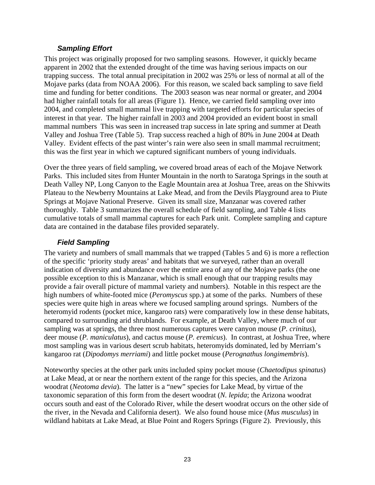#### *Sampling Effort*

This project was originally proposed for two sampling seasons. However, it quickly became apparent in 2002 that the extended drought of the time was having serious impacts on our trapping success. The total annual precipitation in 2002 was 25% or less of normal at all of the Mojave parks (data from NOAA 2006). For this reason, we scaled back sampling to save field time and funding for better conditions. The 2003 season was near normal or greater, and 2004 had higher rainfall totals for all areas (Figure 1). Hence, we carried field sampling over into 2004, and completed small mammal live trapping with targeted efforts for particular species of interest in that year. The higher rainfall in 2003 and 2004 provided an evident boost in small mammal numbers This was seen in increased trap success in late spring and summer at Death Valley and Joshua Tree (Table 5). Trap success reached a high of 80% in June 2004 at Death Valley. Evident effects of the past winter's rain were also seen in small mammal recruitment; this was the first year in which we captured significant numbers of young individuals.

Over the three years of field sampling, we covered broad areas of each of the Mojave Network Parks. This included sites from Hunter Mountain in the north to Saratoga Springs in the south at Death Valley NP, Long Canyon to the Eagle Mountain area at Joshua Tree, areas on the Shivwits Plateau to the Newberry Mountains at Lake Mead, and from the Devils Playground area to Piute Springs at Mojave National Preserve. Given its small size, Manzanar was covered rather thoroughly. Table 3 summarizes the overall schedule of field sampling, and Table 4 lists cumulative totals of small mammal captures for each Park unit. Complete sampling and capture data are contained in the database files provided separately.

#### *Field Sampling*

The variety and numbers of small mammals that we trapped (Tables 5 and 6) is more a reflection of the specific 'priority study areas' and habitats that we surveyed, rather than an overall indication of diversity and abundance over the entire area of any of the Mojave parks (the one possible exception to this is Manzanar, which is small enough that our trapping results may provide a fair overall picture of mammal variety and numbers). Notable in this respect are the high numbers of white-footed mice (*Peromyscus* spp.) at some of the parks. Numbers of these species were quite high in areas where we focused sampling around springs. Numbers of the heteromyid rodents (pocket mice, kangaroo rats) were comparatively low in these dense habitats, compared to surrounding arid shrublands. For example, at Death Valley, where much of our sampling was at springs, the three most numerous captures were canyon mouse (*P. crinitus*), deer mouse (*P. maniculatus*), and cactus mouse (*P. eremicus*). In contrast, at Joshua Tree, where most sampling was in various desert scrub habitats, heteromyids dominated, led by Merriam's kangaroo rat (*Dipodomys merriami*) and little pocket mouse (*Perognathus longimembris*).

Noteworthy species at the other park units included spiny pocket mouse (*Chaetodipus spinatus*) at Lake Mead, at or near the northern extent of the range for this species, and the Arizona woodrat (*Neotoma devia*). The latter is a "new" species for Lake Mead, by virtue of the taxonomic separation of this form from the desert woodrat (*N. lepida*; the Arizona woodrat occurs south and east of the Colorado River, while the desert woodrat occurs on the other side of the river, in the Nevada and California desert). We also found house mice (*Mus musculus*) in wildland habitats at Lake Mead, at Blue Point and Rogers Springs (Figure 2). Previously, this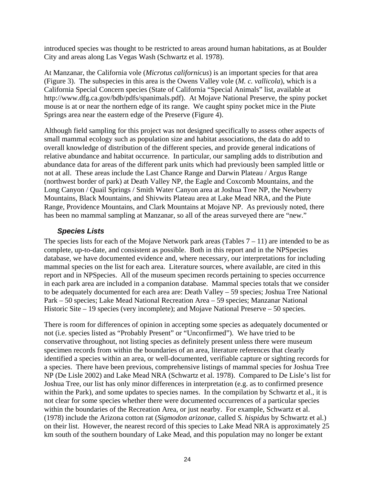introduced species was thought to be restricted to areas around human habitations, as at Boulder City and areas along Las Vegas Wash (Schwartz et al. 1978).

At Manzanar, the California vole (*Microtus californicus*) is an important species for that area (Figure 3). The subspecies in this area is the Owens Valley vole (*M. c. vallicola*), which is a California Special Concern species (State of California "Special Animals" list, available at [http://www.dfg.ca.gov/bdb/pdfs/spanimals.pdf\).](http://www.dfg.ca.gov/bdb/pdfs/spanimals.pdf) At Mojave National Preserve, the spiny pocket mouse is at or near the northern edge of its range. We caught spiny pocket mice in the Piute Springs area near the eastern edge of the Preserve (Figure 4).

Although field sampling for this project was not designed specifically to assess other aspects of small mammal ecology such as population size and habitat associations, the data do add to overall knowledge of distribution of the different species, and provide general indications of relative abundance and habitat occurrence. In particular, our sampling adds to distribution and abundance data for areas of the different park units which had previously been sampled little or not at all. These areas include the Last Chance Range and Darwin Plateau / Argus Range (northwest border of park) at Death Valley NP, the Eagle and Coxcomb Mountains, and the Long Canyon / Quail Springs / Smith Water Canyon area at Joshua Tree NP, the Newberry Mountains, Black Mountains, and Shivwits Plateau area at Lake Mead NRA, and the Piute Range, Providence Mountains, and Clark Mountains at Mojave NP. As previously noted, there has been no mammal sampling at Manzanar, so all of the areas surveyed there are "new."

#### *Species Lists*

The species lists for each of the Mojave Network park areas (Tables  $7 - 11$ ) are intended to be as complete, up-to-date, and consistent as possible. Both in this report and in the NPSpecies database, we have documented evidence and, where necessary, our interpretations for including mammal species on the list for each area. Literature sources, where available, are cited in this report and in NPSpecies. All of the museum specimen records pertaining to species occurrence in each park area are included in a companion database. Mammal species totals that we consider to be adequately documented for each area are: Death Valley – 59 species; Joshua Tree National Park – 50 species; Lake Mead National Recreation Area – 59 species; Manzanar National Historic Site – 19 species (very incomplete); and Mojave National Preserve – 50 species.

There is room for differences of opinion in accepting some species as adequately documented or not (i.e. species listed as "Probably Present" or "Unconfirmed"). We have tried to be conservative throughout, not listing species as definitely present unless there were museum specimen records from within the boundaries of an area, literature references that clearly identified a species within an area, or well-documented, verifiable capture or sighting records for a species. There have been previous, comprehensive listings of mammal species for Joshua Tree NP (De Lisle 2002) and Lake Mead NRA (Schwartz et al. 1978). Compared to De Lisle's list for Joshua Tree, our list has only minor differences in interpretation (e.g. as to confirmed presence within the Park), and some updates to species names. In the compilation by Schwartz et al., it is not clear for some species whether there were documented occurrences of a particular species within the boundaries of the Recreation Area, or just nearby. For example, Schwartz et al. (1978) include the Arizona cotton rat (*Sigmodon arizonae*, called *S. hispidus* by Schwartz et al.) on their list. However, the nearest record of this species to Lake Mead NRA is approximately 25 km south of the southern boundary of Lake Mead, and this population may no longer be extant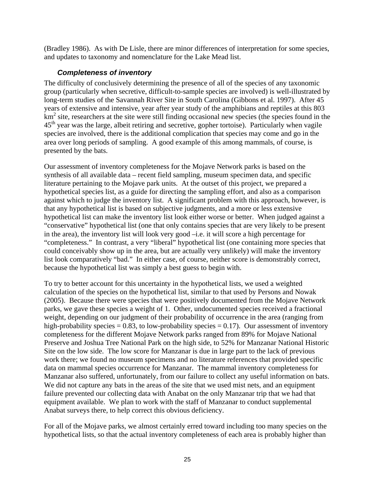(Bradley 1986). As with De Lisle, there are minor differences of interpretation for some species, and updates to taxonomy and nomenclature for the Lake Mead list.

#### *Completeness of inventory*

The difficulty of conclusively determining the presence of all of the species of any taxonomic group (particularly when secretive, difficult-to-sample species are involved) is well-illustrated by long-term studies of the Savannah River Site in South Carolina (Gibbons et al. 1997). After 45 years of extensive and intensive, year after year study of the amphibians and reptiles at this 803 km<sup>2</sup> site, researchers at the site were still finding occasional new species (the species found in the  $45<sup>th</sup>$  year was the large, albeit retiring and secretive, gopher tortoise). Particularly when vagile species are involved, there is the additional complication that species may come and go in the area over long periods of sampling. A good example of this among mammals, of course, is presented by the bats.

Our assessment of inventory completeness for the Mojave Network parks is based on the synthesis of all available data – recent field sampling, museum specimen data, and specific literature pertaining to the Mojave park units. At the outset of this project, we prepared a hypothetical species list, as a guide for directing the sampling effort, and also as a comparison against which to judge the inventory list. A significant problem with this approach, however, is that any hypothetical list is based on subjective judgments, and a more or less extensive hypothetical list can make the inventory list look either worse or better. When judged against a "conservative" hypothetical list (one that only contains species that are very likely to be present in the area), the inventory list will look very good –i.e. it will score a high percentage for "completeness." In contrast, a very "liberal" hypothetical list (one containing more species that could conceivably show up in the area, but are actually very unlikely) will make the inventory list look comparatively "bad." In either case, of course, neither score is demonstrably correct, because the hypothetical list was simply a best guess to begin with.

To try to better account for this uncertainty in the hypothetical lists, we used a weighted calculation of the species on the hypothetical list, similar to that used by Persons and Nowak (2005). Because there were species that were positively documented from the Mojave Network parks, we gave these species a weight of 1. Other, undocumented species received a fractional weight, depending on our judgment of their probability of occurrence in the area (ranging from high-probability species  $= 0.83$ , to low-probability species  $= 0.17$ ). Our assessment of inventory completeness for the different Mojave Network parks ranged from 89% for Mojave National Preserve and Joshua Tree National Park on the high side, to 52% for Manzanar National Historic Site on the low side. The low score for Manzanar is due in large part to the lack of previous work there; we found no museum specimens and no literature references that provided specific data on mammal species occurrence for Manzanar. The mammal inventory completeness for Manzanar also suffered, unfortunately, from our failure to collect any useful information on bats. We did not capture any bats in the areas of the site that we used mist nets, and an equipment failure prevented our collecting data with Anabat on the only Manzanar trip that we had that equipment available. We plan to work with the staff of Manzanar to conduct supplemental Anabat surveys there, to help correct this obvious deficiency.

For all of the Mojave parks, we almost certainly erred toward including too many species on the hypothetical lists, so that the actual inventory completeness of each area is probably higher than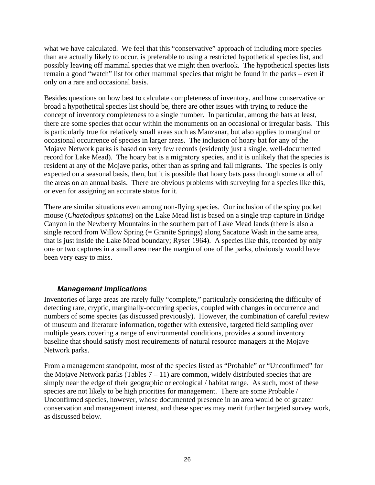what we have calculated. We feel that this "conservative" approach of including more species than are actually likely to occur, is preferable to using a restricted hypothetical species list, and possibly leaving off mammal species that we might then overlook. The hypothetical species lists remain a good "watch" list for other mammal species that might be found in the parks – even if only on a rare and occasional basis.

Besides questions on how best to calculate completeness of inventory, and how conservative or broad a hypothetical species list should be, there are other issues with trying to reduce the concept of inventory completeness to a single number. In particular, among the bats at least, there are some species that occur within the monuments on an occasional or irregular basis. This is particularly true for relatively small areas such as Manzanar, but also applies to marginal or occasional occurrence of species in larger areas. The inclusion of hoary bat for any of the Mojave Network parks is based on very few records (evidently just a single, well-documented record for Lake Mead). The hoary bat is a migratory species, and it is unlikely that the species is resident at any of the Mojave parks, other than as spring and fall migrants. The species is only expected on a seasonal basis, then, but it is possible that hoary bats pass through some or all of the areas on an annual basis. There are obvious problems with surveying for a species like this, or even for assigning an accurate status for it.

There are similar situations even among non-flying species. Our inclusion of the spiny pocket mouse (*Chaetodipus spinatus*) on the Lake Mead list is based on a single trap capture in Bridge Canyon in the Newberry Mountains in the southern part of Lake Mead lands (there is also a single record from Willow Spring (= Granite Springs) along Sacatone Wash in the same area, that is just inside the Lake Mead boundary; Ryser 1964). A species like this, recorded by only one or two captures in a small area near the margin of one of the parks, obviously would have been very easy to miss.

#### *Management Implications*

Inventories of large areas are rarely fully "complete," particularly considering the difficulty of detecting rare, cryptic, marginally-occurring species, coupled with changes in occurrence and numbers of some species (as discussed previously). However, the combination of careful review of museum and literature information, together with extensive, targeted field sampling over multiple years covering a range of environmental conditions, provides a sound inventory baseline that should satisfy most requirements of natural resource managers at the Mojave Network parks.

From a management standpoint, most of the species listed as "Probable" or "Unconfirmed" for the Mojave Network parks (Tables  $7 - 11$ ) are common, widely distributed species that are simply near the edge of their geographic or ecological / habitat range. As such, most of these species are not likely to be high priorities for management. There are some Probable / Unconfirmed species, however, whose documented presence in an area would be of greater conservation and management interest, and these species may merit further targeted survey work, as discussed below.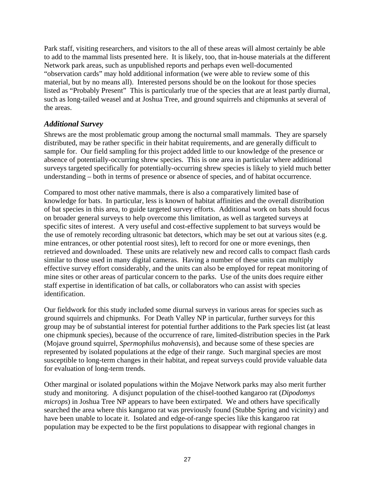Park staff, visiting researchers, and visitors to the all of these areas will almost certainly be able to add to the mammal lists presented here. It is likely, too, that in-house materials at the different Network park areas, such as unpublished reports and perhaps even well-documented "observation cards" may hold additional information (we were able to review some of this material, but by no means all). Interested persons should be on the lookout for those species listed as "Probably Present" This is particularly true of the species that are at least partly diurnal, such as long-tailed weasel and at Joshua Tree, and ground squirrels and chipmunks at several of the areas.

## *Additional Survey*

Shrews are the most problematic group among the nocturnal small mammals. They are sparsely distributed, may be rather specific in their habitat requirements, and are generally difficult to sample for. Our field sampling for this project added little to our knowledge of the presence or absence of potentially-occurring shrew species. This is one area in particular where additional surveys targeted specifically for potentially-occurring shrew species is likely to yield much better understanding – both in terms of presence or absence of species, and of habitat occurrence.

Compared to most other native mammals, there is also a comparatively limited base of knowledge for bats. In particular, less is known of habitat affinities and the overall distribution of bat species in this area, to guide targeted survey efforts. Additional work on bats should focus on broader general surveys to help overcome this limitation, as well as targeted surveys at specific sites of interest. A very useful and cost-effective supplement to bat surveys would be the use of remotely recording ultrasonic bat detectors, which may be set out at various sites (e.g. mine entrances, or other potential roost sites), left to record for one or more evenings, then retrieved and downloaded. These units are relatively new and record calls to compact flash cards similar to those used in many digital cameras. Having a number of these units can multiply effective survey effort considerably, and the units can also be employed for repeat monitoring of mine sites or other areas of particular concern to the parks. Use of the units does require either staff expertise in identification of bat calls, or collaborators who can assist with species identification.

Our fieldwork for this study included some diurnal surveys in various areas for species such as ground squirrels and chipmunks. For Death Valley NP in particular, further surveys for this group may be of substantial interest for potential further additions to the Park species list (at least one chipmunk species), because of the occurrence of rare, limited-distribution species in the Park (Mojave ground squirrel, *Spermophilus mohavensis*), and because some of these species are represented by isolated populations at the edge of their range. Such marginal species are most susceptible to long-term changes in their habitat, and repeat surveys could provide valuable data for evaluation of long-term trends.

Other marginal or isolated populations within the Mojave Network parks may also merit further study and monitoring. A disjunct population of the chisel-toothed kangaroo rat (*Dipodomys microps*) in Joshua Tree NP appears to have been extirpated. We and others have specifically searched the area where this kangaroo rat was previously found (Stubbe Spring and vicinity) and have been unable to locate it. Isolated and edge-of-range species like this kangaroo rat population may be expected to be the first populations to disappear with regional changes in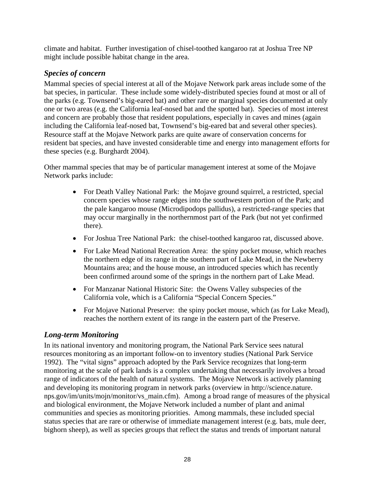climate and habitat. Further investigation of chisel-toothed kangaroo rat at Joshua Tree NP might include possible habitat change in the area.

# *Species of concern*

Mammal species of special interest at all of the Mojave Network park areas include some of the bat species, in particular. These include some widely-distributed species found at most or all of the parks (e.g. Townsend's big-eared bat) and other rare or marginal species documented at only one or two areas (e.g. the California leaf-nosed bat and the spotted bat). Species of most interest and concern are probably those that resident populations, especially in caves and mines (again including the California leaf-nosed bat, Townsend's big-eared bat and several other species). Resource staff at the Mojave Network parks are quite aware of conservation concerns for resident bat species, and have invested considerable time and energy into management efforts for these species (e.g. Burghardt 2004).

Other mammal species that may be of particular management interest at some of the Mojave Network parks include:

- For Death Valley National Park: the Mojave ground squirrel, a restricted, special concern species whose range edges into the southwestern portion of the Park; and the pale kangaroo mouse (Microdipodops pallidus), a restricted-range species that may occur marginally in the northernmost part of the Park (but not yet confirmed there).
- For Joshua Tree National Park: the chisel-toothed kangaroo rat, discussed above.
- For Lake Mead National Recreation Area: the spiny pocket mouse, which reaches the northern edge of its range in the southern part of Lake Mead, in the Newberry Mountains area; and the house mouse, an introduced species which has recently been confirmed around some of the springs in the northern part of Lake Mead.
- For Manzanar National Historic Site: the Owens Valley subspecies of the California vole, which is a California "Special Concern Species."
- For Mojave National Preserve: the spiny pocket mouse, which (as for Lake Mead), reaches the northern extent of its range in the eastern part of the Preserve.

## *Long-term Monitoring*

In its national inventory and monitoring program, the National Park Service sees natural resources monitoring as an important follow-on to inventory studies (National Park Service 1992). The "vital signs" approach adopted by the Park Service recognizes that long-term monitoring at the scale of park lands is a complex undertaking that necessarily involves a broad range of indicators of the health of natural systems. The Mojave Network is actively planning and developing its monitoring program in network parks (overview in [http://science.nature.](http://science.nature.nps.gov/im/units/mojn/monitor/vs_main.cfm)  [nps.gov/im/units/mojn/monitor/vs\\_main.cfm\).](http://science.nature.nps.gov/im/units/mojn/monitor/vs_main.cfm) Among a broad range of measures of the physical and biological environment, the Mojave Network included a number of plant and animal communities and species as monitoring priorities. Among mammals, these included special status species that are rare or otherwise of immediate management interest (e.g. bats, mule deer, bighorn sheep), as well as species groups that reflect the status and trends of important natural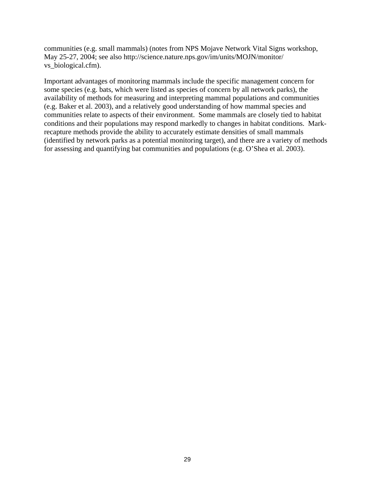communities (e.g. small mammals) (notes from NPS Mojave Network Vital Signs workshop, May 25-27, 2004; see also [http://science.nature.nps.gov/im/units/MOJN/monitor/](http://science.nature.nps.gov/im/units/MOJN/monitor/vs_biological.cfm)  [vs\\_biological.cfm\).](http://science.nature.nps.gov/im/units/MOJN/monitor/vs_biological.cfm) 

Important advantages of monitoring mammals include the specific management concern for some species (e.g. bats, which were listed as species of concern by all network parks), the availability of methods for measuring and interpreting mammal populations and communities (e.g. Baker et al. 2003), and a relatively good understanding of how mammal species and communities relate to aspects of their environment. Some mammals are closely tied to habitat conditions and their populations may respond markedly to changes in habitat conditions. Markrecapture methods provide the ability to accurately estimate densities of small mammals (identified by network parks as a potential monitoring target), and there are a variety of methods for assessing and quantifying bat communities and populations (e.g. O'Shea et al. 2003).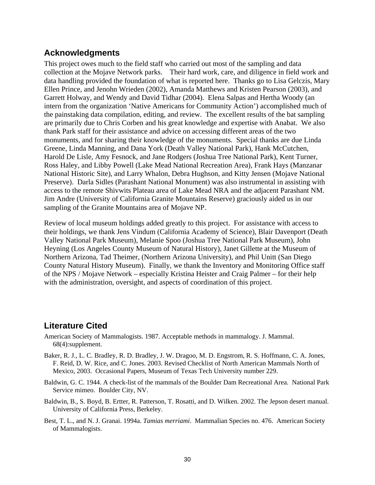# **Acknowledgments**

This project owes much to the field staff who carried out most of the sampling and data collection at the Mojave Network parks. Their hard work, care, and diligence in field work and data handling provided the foundation of what is reported here. Thanks go to Lisa Gelczis, Mary Ellen Prince, and Jenohn Wrieden (2002), Amanda Matthews and Kristen Pearson (2003), and Garrett Holway, and Wendy and David Tidhar (2004). Elena Salpas and Hertha Woody (an intern from the organization 'Native Americans for Community Action') accomplished much of the painstaking data compilation, editing, and review. The excellent results of the bat sampling are primarily due to Chris Corben and his great knowledge and expertise with Anabat. We also thank Park staff for their assistance and advice on accessing different areas of the two monuments, and for sharing their knowledge of the monuments. Special thanks are due Linda Greene, Linda Manning, and Dana York (Death Valley National Park), Hank McCutchen, Harold De Lisle, Amy Fesnock, and Jane Rodgers (Joshua Tree National Park), Kent Turner, Ross Haley, and Libby Powell (Lake Mead National Recreation Area), Frank Hays (Manzanar National Historic Site), and Larry Whalon, Debra Hughson, and Kitty Jensen (Mojave National Preserve). Darla Sidles (Parashant National Monument) was also instrumental in assisting with access to the remote Shivwits Plateau area of Lake Mead NRA and the adjacent Parashant NM. Jim Andre (University of California Granite Mountains Reserve) graciously aided us in our sampling of the Granite Mountains area of Mojave NP.

Review of local museum holdings added greatly to this project. For assistance with access to their holdings, we thank Jens Vindum (California Academy of Science), Blair Davenport (Death Valley National Park Museum), Melanie Spoo (Joshua Tree National Park Museum), John Heyning (Los Angeles County Museum of Natural History), Janet Gillette at the Museum of Northern Arizona, Tad Theimer, (Northern Arizona University), and Phil Unitt (San Diego County Natural History Museum). Finally, we thank the Inventory and Monitoring Office staff of the NPS / Mojave Network – especially Kristina Heister and Craig Palmer – for their help with the administration, oversight, and aspects of coordination of this project.

# **Literature Cited**

- American Society of Mammalogists. 1987. Acceptable methods in mammalogy. J. Mammal. 68(4):supplement.
- Baker, R. J., L. C. Bradley, R. D. Bradley, J. W. Dragoo, M. D. Engstrom, R. S. Hoffmann, C. A. Jones, F. Reid, D. W. Rice, and C. Jones. 2003. Revised Checklist of North American Mammals North of Mexico, 2003. Occasional Papers, Museum of Texas Tech University number 229.
- Baldwin, G. C. 1944. A check-list of the mammals of the Boulder Dam Recreational Area. National Park Service mimeo. Boulder City, NV.
- Baldwin, B., S. Boyd, B. Ertter, R. Patterson, T. Rosatti, and D. Wilken. 2002. The Jepson desert manual. University of California Press, Berkeley.
- Best, T. L., and N. J. Granai. 1994a. *Tamias merriami*. Mammalian Species no. 476. American Society of Mammalogists.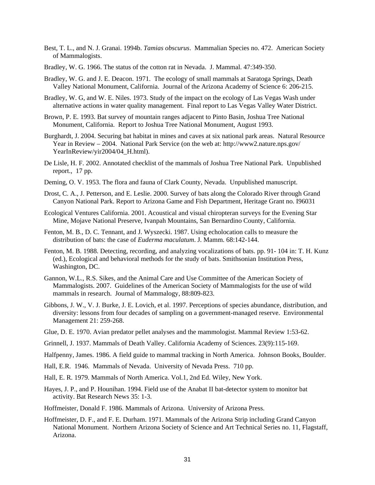- Best, T. L., and N. J. Granai. 1994b. *Tamias obscurus*. Mammalian Species no. 472. American Society of Mammalogists.
- Bradley, W. G. 1966. The status of the cotton rat in Nevada. J. Mammal. 47:349-350.
- Bradley, W. G. and J. E. Deacon. 1971. The ecology of small mammals at Saratoga Springs, Death Valley National Monument, California. Journal of the Arizona Academy of Science 6: 206-215.
- Bradley, W. G, and W. E. Niles. 1973. Study of the impact on the ecology of Las Vegas Wash under alternative actions in water quality management. Final report to Las Vegas Valley Water District.
- Brown, P. E. 1993. Bat survey of mountain ranges adjacent to Pinto Basin, Joshua Tree National Monument, California. Report to Joshua Tree National Monument, August 1993.
- Burghardt, J. 2004. Securing bat habitat in mines and caves at six national park areas. Natural Resource Year in Review – 2004. National Park Service (on the web at: [http://www2.nature.nps.gov/](http://www2.nature.nps.gov/YearInReview/yir2004/04_H.html)  YearInReview/yir2004/04 H.html).
- De Lisle, H. F. 2002. Annotated checklist of the mammals of Joshua Tree National Park. Unpublished report., 17 pp.
- Deming, O. V. 1953. The flora and fauna of Clark County, Nevada. Unpublished manuscript.
- Drost, C. A., J. Petterson, and E. Leslie. 2000. Survey of bats along the Colorado River through Grand Canyon National Park. Report to Arizona Game and Fish Department, Heritage Grant no. I96031
- Ecological Ventures California. 2001. Acoustical and visual chiropteran surveys for the Evening Star Mine, Mojave National Preserve, Ivanpah Mountains, San Bernardino County, California.
- Fenton, M. B., D. C. Tennant, and J. Wyszecki. 1987. Using echolocation calls to measure the distribution of bats: the case of *Euderma maculatum*. J. Mamm. 68:142-144.
- Fenton, M. B. 1988. Detecting, recording, and analyzing vocalizations of bats. pp. 91- 104 in: T. H. Kunz (ed.), Ecological and behavioral methods for the study of bats. Smithsonian Institution Press, Washington, DC.
- Gannon, W.L., R.S. Sikes, and the Animal Care and Use Committee of the American Society of Mammalogists. 2007. Guidelines of the American Society of Mammalogists for the use of wild mammals in research. Journal of Mammalogy, 88:809-823.
- Gibbons, J. W., V. J. Burke, J. E. Lovich, et al. 1997. Perceptions of species abundance, distribution, and diversity: lessons from four decades of sampling on a government-managed reserve. Environmental Management 21: 259-268.
- Glue, D. E. 1970. Avian predator pellet analyses and the mammologist. Mammal Review 1:53-62.
- Grinnell, J. 1937. Mammals of Death Valley. California Academy of Sciences. 23(9):115-169.
- Halfpenny, James. 1986. A field guide to mammal tracking in North America. Johnson Books, Boulder.
- Hall, E.R. 1946. Mammals of Nevada. University of Nevada Press. 710 pp.
- Hall, E. R. 1979. Mammals of North America. Vol.1, 2nd Ed. Wiley, New York.
- Hayes, J. P., and P. Hounihan. 1994. Field use of the Anabat II bat-detector system to monitor bat activity. Bat Research News 35: 1-3.
- Hoffmeister, Donald F. 1986. Mammals of Arizona. University of Arizona Press.
- Hoffmeister, D. F., and F. E. Durham. 1971. Mammals of the Arizona Strip including Grand Canyon National Monument. Northern Arizona Society of Science and Art Technical Series no. 11, Flagstaff, Arizona.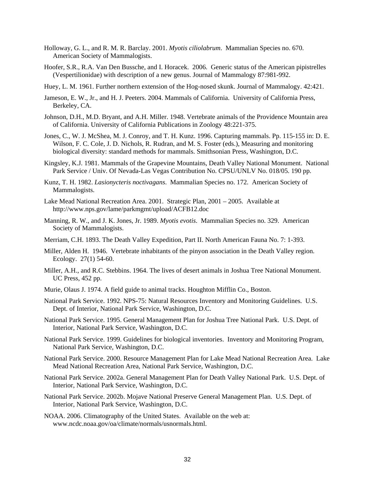- Holloway, G. L., and R. M. R. Barclay. 2001. *Myotis ciliolabrum*. Mammalian Species no. 670. American Society of Mammalogists.
- Hoofer, S.R., R.A. Van Den Bussche, and I. Horacek. 2006. Generic status of the American pipistrelles (Vespertilionidae) with description of a new genus. Journal of Mammalogy 87:981-992.
- Huey, L. M. 1961. Further northern extension of the Hog-nosed skunk. Journal of Mammalogy. 42:421.
- Jameson, E. W., Jr., and H. J. Peeters. 2004. Mammals of California. University of California Press, Berkeley, CA.
- Johnson, D.H., M.D. Bryant, and A.H. Miller. 1948. Vertebrate animals of the Providence Mountain area of California. University of California Publications in Zoology 48:221-375.
- Jones, C., W. J. McShea, M. J. Conroy, and T. H. Kunz. 1996. Capturing mammals. Pp. 115-155 in: D. E. Wilson, F. C. Cole, J. D. Nichols, R. Rudran, and M. S. Foster (eds.), Measuring and monitoring biological diversity: standard methods for mammals. Smithsonian Press, Washington, D.C.
- Kingsley, K.J. 1981. Mammals of the Grapevine Mountains, Death Valley National Monument. National Park Service / Univ. Of Nevada-Las Vegas Contribution No. CPSU/UNLV No. 018/05. 190 pp.
- Kunz, T. H. 1982. *Lasionycteris noctivagans*. Mammalian Species no. 172. American Society of Mammalogists.
- Lake Mead National Recreation Area. 2001. Strategic Plan, 2001 2005. Available at <http://www.nps.gov/lame/parkmgmt/upload/ACFB12.doc>
- Manning, R. W., and J. K. Jones, Jr. 1989. *Myotis evotis*. Mammalian Species no. 329. American Society of Mammalogists.
- Merriam, C.H. 1893. The Death Valley Expedition, Part II. North American Fauna No. 7: 1-393.
- Miller, Alden H. 1946. Vertebrate inhabitants of the pinyon association in the Death Valley region. Ecology. 27(1) 54-60.
- Miller, A.H., and R.C. Stebbins. 1964. The lives of desert animals in Joshua Tree National Monument. UC Press, 452 pp.
- Murie, Olaus J. 1974. A field guide to animal tracks. Houghton Mifflin Co., Boston.
- National Park Service. 1992. NPS-75: Natural Resources Inventory and Monitoring Guidelines. U.S. Dept. of Interior, National Park Service, Washington, D.C.
- National Park Service. 1995. General Management Plan for Joshua Tree National Park. U.S. Dept. of Interior, National Park Service, Washington, D.C.
- National Park Service. 1999. Guidelines for biological inventories. Inventory and Monitoring Program, National Park Service, Washington, D.C.
- National Park Service. 2000. Resource Management Plan for Lake Mead National Recreation Area. Lake Mead National Recreation Area, National Park Service, Washington, D.C.
- National Park Service. 2002a. General Management Plan for Death Valley National Park. U.S. Dept. of Interior, National Park Service, Washington, D.C.
- National Park Service. 2002b. Mojave National Preserve General Management Plan. U.S. Dept. of Interior, National Park Service, Washington, D.C.
- NOAA. 2006. Climatography of the United States. Available on the web at: [www.ncdc.noaa.gov/oa/climate/normals/usnormals.html.](http://www.ncdc.noaa.gov/oa/climate/normals/usnormals.html)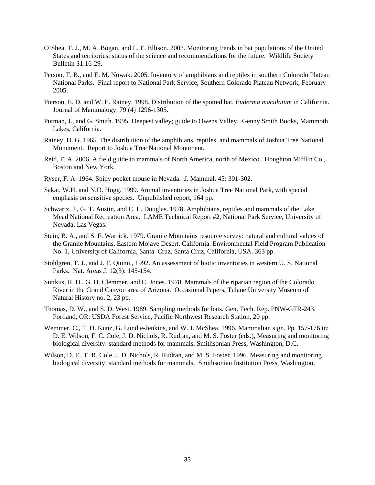- O'Shea, T. J., M. A. Bogan, and L. E. Ellison. 2003. Monitoring trends in bat populations of the United States and territories: status of the science and recommendations for the future. Wildlife Society Bulletin 31:16-29.
- Person, T. B., and E. M. Nowak. 2005. Inventory of amphibians and reptiles in southern Colorado Plateau National Parks. Final report to National Park Service, Southern Colorado Plateau Network, February 2005.
- Pierson, E. D. and W. E. Rainey. 1998. Distribution of the spotted bat, *Euderma maculatum* in California. Journal of Mammalogy. 79 (4) 1296-1305.
- Putman, J., and G. Smith. 1995. Deepest valley; guide to Owens Valley. Genny Smith Books, Mammoth Lakes, California.
- Rainey, D. G. 1965. The distribution of the amphibians, reptiles, and mammals of Joshua Tree National Monument. Report to Joshua Tree National Monument.
- Reid, F. A. 2006. A field guide to mammals of North America, north of Mexico. Houghton Mifflin Co., Boston and New York.
- Ryser, F. A. 1964. Spiny pocket mouse in Nevada. J. Mammal. 45: 301-302.
- Sakai, W.H. and N.D. Hogg. 1999. Animal inventories in Joshua Tree National Park, with special emphasis on sensitive species. Unpublished report, 164 pp.
- Schwartz, J., G. T. Austin, and C. L. Douglas. 1978. Amphibians, reptiles and mammals of the Lake Mead National Recreation Area. LAME Technical Report #2, National Park Service, University of Nevada, Las Vegas.
- Stein, B. A., and S. F. Warrick. 1979. Granite Mountains resource survey: natural and cultural values of the Granite Mountains, Eastern Mojave Desert, California. Environmental Field Program Publication No. 1, University of California, Santa Cruz, Santa Cruz, California, USA. 363 pp.
- Stohlgren, T. J., and J. F. Quinn., 1992. An assessment of biotic inventories in western U. S. National Parks. Nat. Areas J. 12(3): 145-154.
- Suttkus, R. D., G. H. Clemmer, and C. Jones. 1978. Mammals of the riparian region of the Colorado River in the Grand Canyon area of Arizona. Occasional Papers, Tulane University Museum of Natural History no. 2, 23 pp.
- Thomas, D. W., and S. D. West. 1989. Sampling methods for bats. Gen. Tech. Rep. PNW-GTR-243. Portland, OR: USDA Forest Service, Pacific Northwest Research Station, 20 pp.
- Wemmer, C., T. H. Kunz, G. Lundie-Jenkins, and W. J. McShea. 1996. Mammalian sign. Pp. 157-176 in: D. E. Wilson, F. C. Cole, J. D. Nichols, R. Rudran, and M. S. Foster (eds.), Measuring and monitoring biological diversity: standard methods for mammals. Smithsonian Press, Washington, D.C.
- Wilson, D. E., F. R. Cole, J. D. Nichols, R. Rudran, and M. S. Foster. 1996. Measuring and monitoring biological diversity: standard methods for mammals. Smithsonian Institution Press, Washington.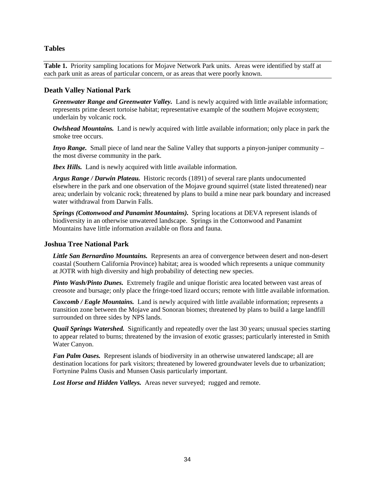#### **Tables**

**Table 1.** Priority sampling locations for Mojave Network Park units. Areas were identified by staff at each park unit as areas of particular concern, or as areas that were poorly known.

#### **Death Valley National Park**

*Greenwater Range and Greenwater Valley.* Land is newly acquired with little available information; represents prime desert tortoise habitat; representative example of the southern Mojave ecosystem; underlain by volcanic rock.

*Owlshead Mountains.* Land is newly acquired with little available information; only place in park the smoke tree occurs.

*Inyo Range.* Small piece of land near the Saline Valley that supports a pinyon-juniper community – the most diverse community in the park.

*Ibex Hills.* Land is newly acquired with little available information.

*Argus Range / Darwin Plateau.* Historic records (1891) of several rare plants undocumented elsewhere in the park and one observation of the Mojave ground squirrel (state listed threatened) near area; underlain by volcanic rock; threatened by plans to build a mine near park boundary and increased water withdrawal from Darwin Falls.

*Springs (Cottonwood and Panamint Mountains).* Spring locations at DEVA represent islands of biodiversity in an otherwise unwatered landscape. Springs in the Cottonwood and Panamint Mountains have little information available on flora and fauna.

#### **Joshua Tree National Park**

*Little San Bernardino Mountains.* Represents an area of convergence between desert and non-desert coastal (Southern California Province) habitat; area is wooded which represents a unique community at JOTR with high diversity and high probability of detecting new species.

*Pinto Wash/Pinto Dunes.* Extremely fragile and unique floristic area located between vast areas of creosote and bursage; only place the fringe-toed lizard occurs; remote with little available information.

*Coxcomb / Eagle Mountains.* Land is newly acquired with little available information; represents a transition zone between the Mojave and Sonoran biomes; threatened by plans to build a large landfill surrounded on three sides by NPS lands.

*Quail Springs Watershed.* Significantly and repeatedly over the last 30 years; unusual species starting to appear related to burns; threatened by the invasion of exotic grasses; particularly interested in Smith Water Canyon.

*Fan Palm Oases.* Represent islands of biodiversity in an otherwise unwatered landscape; all are destination locations for park visitors; threatened by lowered groundwater levels due to urbanization; Fortynine Palms Oasis and Munsen Oasis particularly important.

Lost Horse and Hidden Valleys. Areas never surveyed; rugged and remote.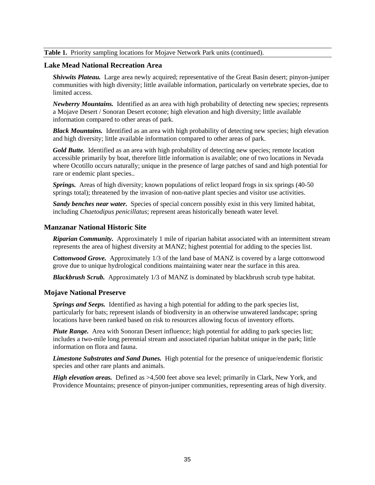### **Table 1.** Priority sampling locations for Mojave Network Park units (continued).

## **Lake Mead National Recreation Area**

*Shivwits Plateau.* Large area newly acquired; representative of the Great Basin desert; pinyon-juniper communities with high diversity; little available information, particularly on vertebrate species, due to limited access.

*Newberry Mountains.* Identified as an area with high probability of detecting new species; represents a Mojave Desert / Sonoran Desert ecotone; high elevation and high diversity; little available information compared to other areas of park.

*Black Mountains.* Identified as an area with high probability of detecting new species; high elevation and high diversity; little available information compared to other areas of park.

*Gold Butte.* Identified as an area with high probability of detecting new species; remote location accessible primarily by boat, therefore little information is available; one of two locations in Nevada where Ocotillo occurs naturally; unique in the presence of large patches of sand and high potential for rare or endemic plant species..

*Springs.* Areas of high diversity; known populations of relict leopard frogs in six springs (40-50 springs total); threatened by the invasion of non-native plant species and visitor use activities.

*Sandy benches near water.* Species of special concern possibly exist in this very limited habitat, including *Chaetodipus penicillatus*; represent areas historically beneath water level.

### **Manzanar National Historic Site**

*Riparian Community.* Approximately 1 mile of riparian habitat associated with an intermittent stream represents the area of highest diversity at MANZ; highest potential for adding to the species list.

*Cottonwood Grove.* Approximately 1/3 of the land base of MANZ is covered by a large cottonwood grove due to unique hydrological conditions maintaining water near the surface in this area.

*Blackbrush Scrub.* Approximately 1/3 of MANZ is dominated by blackbrush scrub type habitat.

#### **Mojave National Preserve**

*Springs and Seeps.* Identified as having a high potential for adding to the park species list, particularly for bats; represent islands of biodiversity in an otherwise unwatered landscape; spring locations have been ranked based on risk to resources allowing focus of inventory efforts.

*Piute Range.* Area with Sonoran Desert influence; high potential for adding to park species list; includes a two-mile long perennial stream and associated riparian habitat unique in the park; little information on flora and fauna.

*Limestone Substrates and Sand Dunes.* High potential for the presence of unique/endemic floristic species and other rare plants and animals.

*High elevation areas.* Defined as >4,500 feet above sea level; primarily in Clark, New York, and Providence Mountains; presence of pinyon-juniper communities, representing areas of high diversity.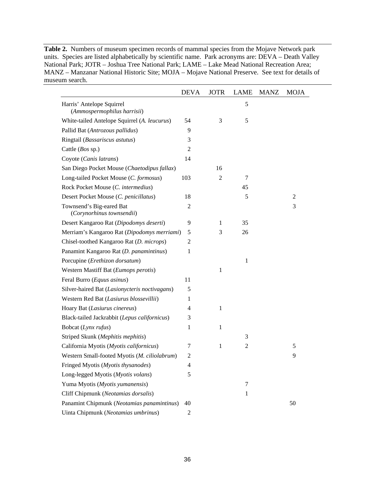**Table 2.** Numbers of museum specimen records of mammal species from the Mojave Network park units. Species are listed alphabetically by scientific name. Park acronyms are: DEVA – Death Valley National Park; JOTR – Joshua Tree National Park; LAME – Lake Mead National Recreation Area; MANZ – Manzanar National Historic Site; MOJA – Mojave National Preserve. See text for details of museum search.

|                                                          | <b>DEVA</b>    | <b>JOTR</b>    | LAME          | <b>MANZ</b> | <b>MOJA</b>    |
|----------------------------------------------------------|----------------|----------------|---------------|-------------|----------------|
| Harris' Antelope Squirrel<br>(Ammospermophilus harrisii) |                |                | 5             |             |                |
| White-tailed Antelope Squirrel (A. leucurus)             | 54             | 3              | 5             |             |                |
| Pallid Bat (Antrozous pallidus)                          | 9              |                |               |             |                |
| Ringtail (Bassariscus astutus)                           | 3              |                |               |             |                |
| Cattle (Bos sp.)                                         | $\mathbf{2}$   |                |               |             |                |
| Coyote (Canis latrans)                                   | 14             |                |               |             |                |
| San Diego Pocket Mouse (Chaetodipus fallax)              |                | 16             |               |             |                |
| Long-tailed Pocket Mouse (C. formosus)                   | 103            | $\overline{2}$ | 7             |             |                |
| Rock Pocket Mouse (C. intermedius)                       |                |                | 45            |             |                |
| Desert Pocket Mouse (C. penicillatus)                    | 18             |                | 5             |             | $\overline{2}$ |
| Townsend's Big-eared Bat<br>(Corynorhinus townsendii)    | $\overline{c}$ |                |               |             | 3              |
| Desert Kangaroo Rat (Dipodomys deserti)                  | 9              | $\mathbf{1}$   | 35            |             |                |
| Merriam's Kangaroo Rat (Dipodomys merriami)              | 5              | 3              | 26            |             |                |
| Chisel-toothed Kangaroo Rat (D. microps)                 | 2              |                |               |             |                |
| Panamint Kangaroo Rat (D. panamintinus)                  | 1              |                |               |             |                |
| Porcupine (Erethizon dorsatum)                           |                |                | 1             |             |                |
| Western Mastiff Bat (Eumops perotis)                     |                | 1              |               |             |                |
| Feral Burro (Equus asinus)                               | 11             |                |               |             |                |
| Silver-haired Bat (Lasionycteris noctivagans)            | 5              |                |               |             |                |
| Western Red Bat (Lasiurus blossevillii)                  | 1              |                |               |             |                |
| Hoary Bat (Lasiurus cinereus)                            | 4              | 1              |               |             |                |
| Black-tailed Jackrabbit (Lepus californicus)             | 3              |                |               |             |                |
| Bobcat (Lynx rufus)                                      | 1              | 1              |               |             |                |
| Striped Skunk (Mephitis mephitis)                        |                |                | 3             |             |                |
| California Myotis (Myotis californicus)                  | 7              | $\mathbf{1}$   | $\mathfrak 2$ |             | 5              |
| Western Small-footed Myotis (M. ciliolabrum)             | 2              |                |               |             | 9              |
| Fringed Myotis (Myotis thysanodes)                       | 4              |                |               |             |                |
| Long-legged Myotis (Myotis volans)                       | 5              |                |               |             |                |
| Yuma Myotis (Myotis yumanensis)                          |                |                | $\tau$        |             |                |
| Cliff Chipmunk (Neotamias dorsalis)                      |                |                | $\mathbf{1}$  |             |                |
| Panamint Chipmunk (Neotamias panamintinus)               | 40             |                |               |             | 50             |
| Uinta Chipmunk (Neotamias umbrinus)                      | $\overline{c}$ |                |               |             |                |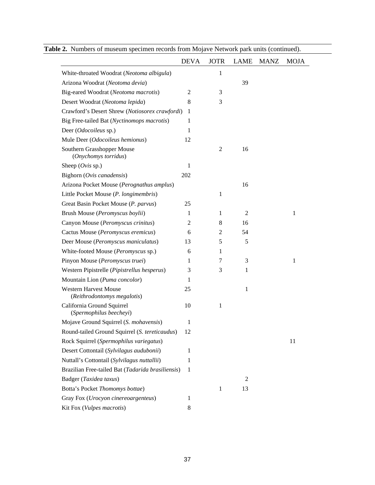|                                                             | <b>DEVA</b>    | <b>JOTR</b>    | <b>LAME</b>    | <b>MANZ</b> | <b>MOJA</b>  |
|-------------------------------------------------------------|----------------|----------------|----------------|-------------|--------------|
| White-throated Woodrat (Neotoma albigula)                   |                | 1              |                |             |              |
| Arizona Woodrat (Neotoma devia)                             |                |                | 39             |             |              |
| Big-eared Woodrat (Neotoma macrotis)                        | $\overline{2}$ | 3              |                |             |              |
| Desert Woodrat (Neotoma lepida)                             | 8              | 3              |                |             |              |
| Crawford's Desert Shrew (Notiosorex crawfordi)              | 1              |                |                |             |              |
| Big Free-tailed Bat (Nyctinomops macrotis)                  | 1              |                |                |             |              |
| Deer (Odocoileus sp.)                                       | 1              |                |                |             |              |
| Mule Deer (Odocoileus hemionus)                             | 12             |                |                |             |              |
| Southern Grasshopper Mouse<br>(Onychomys torridus)          |                | $\overline{2}$ | 16             |             |              |
| Sheep $(Ovis sp.)$                                          | 1              |                |                |             |              |
| Bighorn (Ovis canadensis)                                   | 202            |                |                |             |              |
| Arizona Pocket Mouse (Perognathus amplus)                   |                |                | 16             |             |              |
| Little Pocket Mouse (P. longimembris)                       |                | 1              |                |             |              |
| Great Basin Pocket Mouse (P. parvus)                        | 25             |                |                |             |              |
| Brush Mouse (Peromyscus boylii)                             | 1              | 1              | $\overline{c}$ |             | $\mathbf{1}$ |
| Canyon Mouse (Peromyscus crinitus)                          | $\overline{2}$ | 8              | 16             |             |              |
| Cactus Mouse (Peromyscus eremicus)                          | 6              | 2              | 54             |             |              |
| Deer Mouse (Peromyscus maniculatus)                         | 13             | 5              | 5              |             |              |
| White-footed Mouse (Peromyscus sp.)                         | 6              | 1              |                |             |              |
| Pinyon Mouse (Peromyscus truei)                             | 1              | 7              | 3              |             | 1            |
| Western Pipistrelle (Pipistrellus hesperus)                 | 3              | 3              | $\mathbf{1}$   |             |              |
| Mountain Lion (Puma concolor)                               | 1              |                |                |             |              |
| <b>Western Harvest Mouse</b><br>(Reithrodontomys megalotis) | 25             |                | 1              |             |              |
| California Ground Squirrel<br>(Spermophilus beecheyi)       | 10             | 1              |                |             |              |
| Mojave Ground Squirrel (S. mohavensis)                      | 1              |                |                |             |              |
| Round-tailed Ground Squirrel (S. tereticaudus)              | 12             |                |                |             |              |
| Rock Squirrel (Spermophilus variegatus)                     |                |                |                |             | 11           |
| Desert Cottontail (Sylvilagus audubonii)                    | 1              |                |                |             |              |
| Nuttall's Cottontail (Sylvilagus nuttallii)                 | 1              |                |                |             |              |
| Brazilian Free-tailed Bat (Tadarida brasiliensis)           | 1              |                |                |             |              |
| Badger (Taxidea taxus)                                      |                |                | 2              |             |              |
| Botta's Pocket Thomomys bottae)                             |                | 1              | 13             |             |              |
| Gray Fox (Urocyon cinereoargenteus)                         | 1              |                |                |             |              |
| Kit Fox (Vulpes macrotis)                                   | 8              |                |                |             |              |

**Table 2.** Numbers of museum specimen records from Mojave Network park units (continued).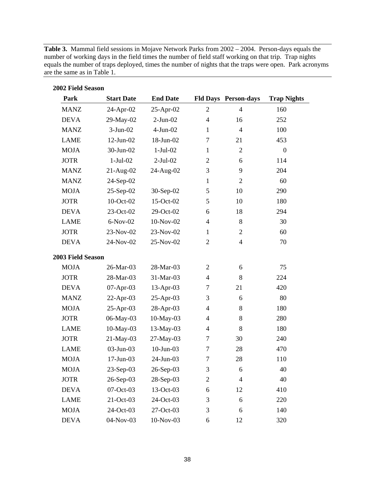**Table 3.** Mammal field sessions in Mojave Network Parks from 2002 – 2004. Person-days equals the number of working days in the field times the number of field staff working on that trip. Trap nights equals the number of traps deployed, times the number of nights that the traps were open. Park acronyms are the same as in Table 1.

| 2002 Field Season |                   |                 |                |                             |                    |
|-------------------|-------------------|-----------------|----------------|-----------------------------|--------------------|
| Park              | <b>Start Date</b> | <b>End Date</b> |                | <b>Fld Days Person-days</b> | <b>Trap Nights</b> |
| <b>MANZ</b>       | 24-Apr-02         | 25-Apr-02       | $\overline{2}$ | $\overline{4}$              | 160                |
| <b>DEVA</b>       | 29-May-02         | $2-Jun-02$      | $\overline{4}$ | 16                          | 252                |
| <b>MANZ</b>       | $3-Jun-02$        | $4-Jun-02$      | $\mathbf{1}$   | $\overline{4}$              | 100                |
| <b>LAME</b>       | $12$ -Jun- $02$   | 18-Jun-02       | 7              | 21                          | 453                |
| <b>MOJA</b>       | 30-Jun-02         | $1-Jul-02$      | $\mathbf{1}$   | $\overline{2}$              | $\boldsymbol{0}$   |
| <b>JOTR</b>       | $1-Jul-02$        | $2-Jul-02$      | $\overline{2}$ | 6                           | 114                |
| <b>MANZ</b>       | $21-Aug-02$       | 24-Aug-02       | 3              | 9                           | 204                |
| <b>MANZ</b>       | 24-Sep-02         |                 | $\mathbf{1}$   | $\overline{2}$              | 60                 |
| <b>MOJA</b>       | $25-Sep-02$       | 30-Sep-02       | 5              | 10                          | 290                |
| <b>JOTR</b>       | 10-Oct-02         | 15-Oct-02       | 5              | 10                          | 180                |
| <b>DEVA</b>       | 23-Oct-02         | 29-Oct-02       | 6              | 18                          | 294                |
| <b>LAME</b>       | $6-Nov-02$        | 10-Nov-02       | $\overline{4}$ | 8                           | 30                 |
| <b>JOTR</b>       | 23-Nov-02         | 23-Nov-02       | $\mathbf{1}$   | $\overline{c}$              | 60                 |
| <b>DEVA</b>       | 24-Nov-02         | 25-Nov-02       | $\mathbf{2}$   | $\overline{4}$              | 70                 |
| 2003 Field Season |                   |                 |                |                             |                    |
| <b>MOJA</b>       | 26-Mar-03         | 28-Mar-03       | $\overline{2}$ | 6                           | 75                 |
| <b>JOTR</b>       | 28-Mar-03         | 31-Mar-03       | $\overline{4}$ | 8                           | 224                |
| <b>DEVA</b>       | $07-Apr-03$       | 13-Apr-03       | 7              | 21                          | 420                |
| <b>MANZ</b>       | $22-Apr-03$       | 25-Apr-03       | 3              | 6                           | 80                 |
| <b>MOJA</b>       | $25$ -Apr-03      | 28-Apr-03       | 4              | 8                           | 180                |
| <b>JOTR</b>       | 06-May-03         | 10-May-03       | $\overline{4}$ | 8                           | 280                |
| <b>LAME</b>       | $10$ -May-03      | 13-May-03       | $\overline{4}$ | 8                           | 180                |
| <b>JOTR</b>       | 21-May-03         | 27-May-03       | 7              | 30                          | 240                |
| <b>LAME</b>       | 03-Jun-03         | $10$ -Jun-03    | 7              | 28                          | 470                |
| <b>MOJA</b>       | 17-Jun-03         | 24-Jun-03       | $\tau$         | 28                          | 110                |
| <b>MOJA</b>       | 23-Sep-03         | 26-Sep-03       | 3              | 6                           | 40                 |
| <b>JOTR</b>       | 26-Sep-03         | 28-Sep-03       | $\mathbf{2}$   | $\overline{4}$              | 40                 |
| <b>DEVA</b>       | 07-Oct-03         | 13-Oct-03       | 6              | 12                          | 410                |
| <b>LAME</b>       | 21-Oct-03         | 24-Oct-03       | 3              | 6                           | 220                |
| <b>MOJA</b>       | 24-Oct-03         | 27-Oct-03       | 3              | 6                           | 140                |
| <b>DEVA</b>       | 04-Nov-03         | 10-Nov-03       | 6              | 12                          | 320                |

38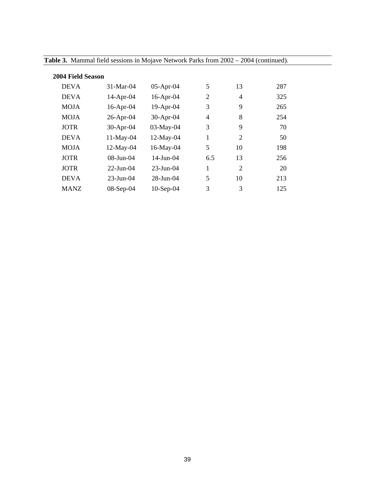| 2004 Field Season |                 |                        |     |                |     |  |  |
|-------------------|-----------------|------------------------|-----|----------------|-----|--|--|
| <b>DEVA</b>       | $31-Mar-04$     | $05-Apr-04$            | 5   | 13             | 287 |  |  |
| <b>DEVA</b>       | $14$ -Apr-04    | $16$ -Apr-04           | 2   | 4              | 325 |  |  |
| <b>MOJA</b>       | $16$ -Apr-04    | 19-Apr-04              | 3   | 9              | 265 |  |  |
| <b>MOJA</b>       | $26$ -Apr-04    | $30-Apr-04$            | 4   | 8              | 254 |  |  |
| <b>JOTR</b>       | $30-Apr-04$     | 03-May-04              | 3   | 9              | 70  |  |  |
| <b>DEVA</b>       | 11-May-04       | 12-May-04              | 1   | $\overline{2}$ | 50  |  |  |
| <b>MOJA</b>       | 12-May-04       | 16-May-04              | 5   | 10             | 198 |  |  |
| <b>JOTR</b>       | $08$ -Jun- $04$ | $14$ -Jun-04           | 6.5 | 13             | 256 |  |  |
| <b>JOTR</b>       | $22$ -Jun-04    | $23 - \text{Jun} - 04$ | 1   | $\overline{2}$ | 20  |  |  |
| <b>DEVA</b>       | $23$ -Jun-04    | $28 - \text{Jun} - 04$ | 5   | 10             | 213 |  |  |
| <b>MANZ</b>       | $08-Sep-04$     | $10-Sep-04$            | 3   | 3              | 125 |  |  |

**Table 3.** Mammal field sessions in Mojave Network Parks from 2002 – 2004 (continued).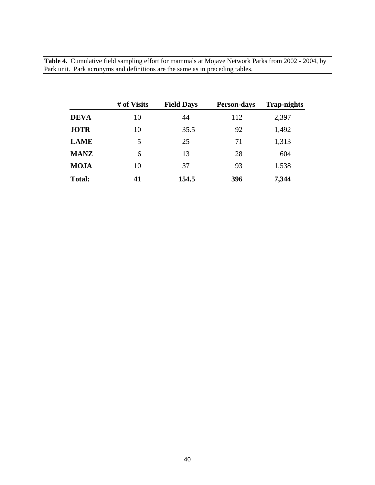**Table 4.** Cumulative field sampling effort for mammals at Mojave Network Parks from 2002 - 2004, by Park unit. Park acronyms and definitions are the same as in preceding tables.

|               | # of Visits | <b>Field Days</b> | <b>Person-days</b> | <b>Trap-nights</b> |
|---------------|-------------|-------------------|--------------------|--------------------|
| <b>DEVA</b>   | 10          | 44                | 112                | 2,397              |
| <b>JOTR</b>   | 10          | 35.5              | 92                 | 1,492              |
| <b>LAME</b>   | 5           | 25                | 71                 | 1,313              |
| <b>MANZ</b>   | 6           | 13                | 28                 | 604                |
| <b>MOJA</b>   | 10          | 37                | 93                 | 1,538              |
| <b>Total:</b> | 41          | 154.5             | 396                | 7,344              |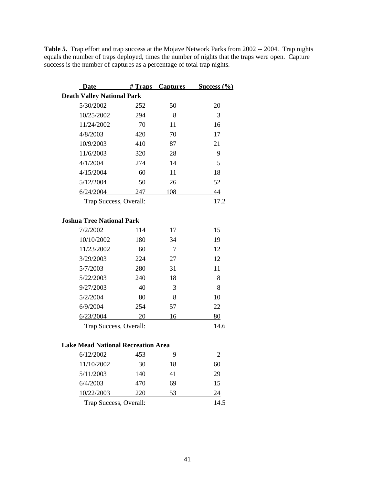**Table 5.** Trap effort and trap success at the Mojave Network Parks from 2002 -- 2004. Trap nights equals the number of traps deployed, times the number of nights that the traps were open. Capture success is the number of captures as a percentage of total trap nights.

| <b>Date</b>                               | $#$ Traps | <b>Captures</b> | Success $(\frac{6}{6})$ |  |  |  |
|-------------------------------------------|-----------|-----------------|-------------------------|--|--|--|
| <b>Death Valley National Park</b>         |           |                 |                         |  |  |  |
| 5/30/2002                                 | 252       | 50              | 20                      |  |  |  |
| 10/25/2002                                | 294       | 8               | 3                       |  |  |  |
| 11/24/2002                                | 70        | 11              | 16                      |  |  |  |
| 4/8/2003                                  | 420       | 70              | 17                      |  |  |  |
| 10/9/2003                                 | 410       | 87              | 21                      |  |  |  |
| 11/6/2003                                 | 320       | 28              | 9                       |  |  |  |
| 4/1/2004                                  | 274       | 14              | 5                       |  |  |  |
| 4/15/2004                                 | 60        | 11              | 18                      |  |  |  |
| 5/12/2004                                 | 50        | 26              | 52                      |  |  |  |
| 6/24/2004                                 | 247       | 108             | 44                      |  |  |  |
| Trap Success, Overall:                    |           |                 | 17.2                    |  |  |  |
| <b>Joshua Tree National Park</b>          |           |                 |                         |  |  |  |
| 7/2/2002                                  | 114       | 17              | 15                      |  |  |  |
| 10/10/2002                                | 180       | 34              | 19                      |  |  |  |
| 11/23/2002                                | 60        | 7               | 12                      |  |  |  |
| 3/29/2003                                 | 224       | 27              | 12                      |  |  |  |
| 5/7/2003                                  | 280       | 31              | 11                      |  |  |  |
| 5/22/2003                                 | 240       | 18              | 8                       |  |  |  |
| 9/27/2003                                 | 40        | 3               | 8                       |  |  |  |
| 5/2/2004                                  | 80        | 8               | 10                      |  |  |  |
| 6/9/2004                                  | 254       | 57              | 22                      |  |  |  |
| 6/23/2004                                 | 20        | 16              | 80                      |  |  |  |
| Trap Success, Overall:                    |           |                 | 14.6                    |  |  |  |
| <b>Lake Mead National Recreation Area</b> |           |                 |                         |  |  |  |
| 6/12/2002                                 | 453       | 9               | 2                       |  |  |  |
| 11/10/2002                                | 30        | 18              | 60                      |  |  |  |
| 5/11/2003                                 | 140       | 41              | 29                      |  |  |  |
| 6/4/2003                                  | 470       | 69              | 15                      |  |  |  |
| 10/22/2003                                | 220       | 53              | 24                      |  |  |  |
|                                           |           |                 |                         |  |  |  |

Trap Success, Overall: 14.5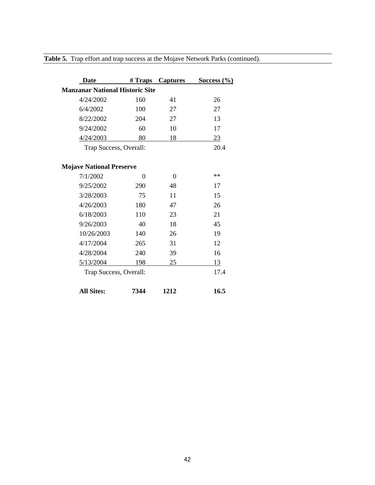| Date                                   |          | # Traps Captures | Success $(\frac{6}{6})$ |
|----------------------------------------|----------|------------------|-------------------------|
| <b>Manzanar National Historic Site</b> |          |                  |                         |
| 4/24/2002                              | 160      | 41               | 26                      |
| 6/4/2002                               | 100      | 27               | 27                      |
| 8/22/2002                              | 204      | 27               | 13                      |
| 9/24/2002                              | 60       | 10               | 17                      |
| 4/24/2003                              | 80       | 18               | 23                      |
| Trap Success, Overall:                 |          |                  | 20.4                    |
| <b>Mojave National Preserve</b>        |          |                  |                         |
| 7/1/2002                               | $\Omega$ | $\theta$         | **                      |
| 9/25/2002                              | 290      | 48               | 17                      |
| 3/28/2003                              | 75       | 11               | 15                      |
| 4/26/2003                              | 180      | 47               | 26                      |
| 6/18/2003                              | 110      | 23               | 21                      |
| 9/26/2003                              | 40       | 18               | 45                      |
| 10/26/2003                             | 140      | 26               | 19                      |
| 4/17/2004                              | 265      | 31               | 12                      |
| 4/28/2004                              | 240      | 39               | 16                      |
| 5/13/2004                              | 198      | 25               | 13                      |
| Trap Success, Overall:                 |          |                  | 17.4                    |
| <b>All Sites:</b>                      | 7344     | 1212             | 16.5                    |

**Table 5.** Trap effort and trap success at the Mojave Network Parks (continued).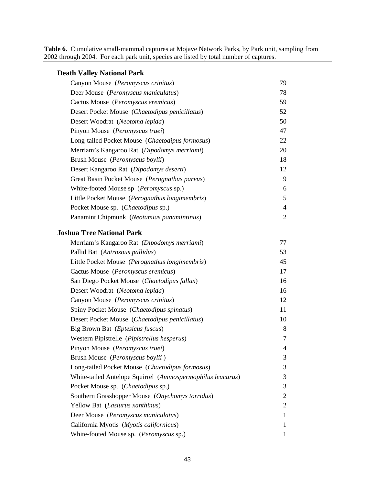**Table 6.** Cumulative small-mammal captures at Mojave Network Parks, by Park unit, sampling from 2002 through 2004. For each park unit, species are listed by total number of captures.

| <b>Death Valley National Park</b>                          |                |
|------------------------------------------------------------|----------------|
| Canyon Mouse (Peromyscus crinitus)                         | 79             |
| Deer Mouse (Peromyscus maniculatus)                        | 78             |
| Cactus Mouse (Peromyscus eremicus)                         | 59             |
| Desert Pocket Mouse (Chaetodipus penicillatus)             | 52             |
| Desert Woodrat (Neotoma lepida)                            | 50             |
| Pinyon Mouse (Peromyscus truei)                            | 47             |
| Long-tailed Pocket Mouse (Chaetodipus formosus)            | 22             |
| Merriam's Kangaroo Rat (Dipodomys merriami)                | 20             |
| Brush Mouse (Peromyscus boylii)                            | 18             |
| Desert Kangaroo Rat (Dipodomys deserti)                    | 12             |
| Great Basin Pocket Mouse (Perognathus parvus)              | 9              |
| White-footed Mouse sp (Peromyscus sp.)                     | 6              |
| Little Pocket Mouse (Perognathus longimembris)             | 5              |
| Pocket Mouse sp. (Chaetodipus sp.)                         | $\overline{4}$ |
| Panamint Chipmunk (Neotamias panamintinus)                 | $\overline{2}$ |
| <b>Joshua Tree National Park</b>                           |                |
| Merriam's Kangaroo Rat (Dipodomys merriami)                | 77             |
| Pallid Bat (Antrozous pallidus)                            | 53             |
| Little Pocket Mouse (Perognathus longimembris)             | 45             |
| Cactus Mouse (Peromyscus eremicus)                         | 17             |
| San Diego Pocket Mouse (Chaetodipus fallax)                | 16             |
| Desert Woodrat (Neotoma lepida)                            | 16             |
| Canyon Mouse (Peromyscus crinitus)                         | 12             |
| Spiny Pocket Mouse (Chaetodipus spinatus)                  | 11             |
| Desert Pocket Mouse (Chaetodipus penicillatus)             | 10             |
| Big Brown Bat (Eptesicus fuscus)                           | 8              |
| Western Pipistrelle (Pipistrellus hesperus)                | 7              |
| Pinyon Mouse (Peromyscus truei)                            | 4              |
| Brush Mouse (Peromyscus boylii)                            | 3              |
| Long-tailed Pocket Mouse (Chaetodipus formosus)            | 3              |
| White-tailed Antelope Squirrel (Ammospermophilus leucurus) | 3              |
| Pocket Mouse sp. (Chaetodipus sp.)                         | 3              |
| Southern Grasshopper Mouse (Onychomys torridus)            | 2              |
| Yellow Bat (Lasiurus xanthinus)                            | $\mathbf{2}$   |
| Deer Mouse (Peromyscus maniculatus)                        | 1              |
| California Myotis (Myotis californicus)                    | 1              |
| White-footed Mouse sp. (Peromyscus sp.)                    |                |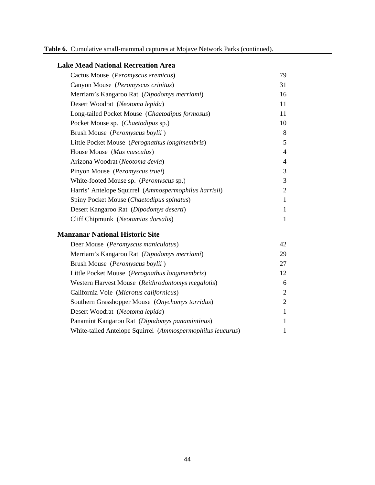|  | Table 6. Cumulative small-mammal captures at Mojave Network Parks (continued). |  |  |  |
|--|--------------------------------------------------------------------------------|--|--|--|
|--|--------------------------------------------------------------------------------|--|--|--|

| <b>Lake Mead National Recreation Area</b>             |                |
|-------------------------------------------------------|----------------|
| Cactus Mouse (Peromyscus eremicus)                    | 79             |
| Canyon Mouse (Peromyscus crinitus)                    | 31             |
| Merriam's Kangaroo Rat (Dipodomys merriami)           | 16             |
| Desert Woodrat (Neotoma lepida)                       | 11             |
| Long-tailed Pocket Mouse (Chaetodipus formosus)       | 11             |
| Pocket Mouse sp. (Chaetodipus sp.)                    | 10             |
| Brush Mouse (Peromyscus boylii)                       | 8              |
| Little Pocket Mouse (Perognathus longimembris)        | 5              |
| House Mouse (Mus musculus)                            | $\overline{4}$ |
| Arizona Woodrat (Neotoma devia)                       | 4              |
| Pinyon Mouse (Peromyscus truei)                       | 3              |
| White-footed Mouse sp. (Peromyscus sp.)               | 3              |
| Harris' Antelope Squirrel (Ammospermophilus harrisii) | $\overline{2}$ |
| Spiny Pocket Mouse (Chaetodipus spinatus)             | $\mathbf{1}$   |
| Desert Kangaroo Rat (Dipodomys deserti)               | $\mathbf{1}$   |
| Cliff Chipmunk (Neotamias dorsalis)                   | $\mathbf{1}$   |
| <b>Manzanar National Historic Site</b>                |                |
| Deer Mouse (Peromyscus maniculatus)                   | 42             |
| Merriam's Kangaroo Rat (Dipodomys merriami)           | 29             |
| Brush Mouse (Peromyscus boylii)                       | 27             |
| Little Pocket Mouse (Perognathus longimembris)        | 12             |
| Western Harvest Mouse (Reithrodontomys megalotis)     | 6              |
| California Vole (Microtus californicus)               | $\overline{2}$ |
| Southern Grasshopper Mouse (Onychomys torridus)       | $\overline{2}$ |
| Desert Woodrat (Neotoma lepida)                       | $\mathbf{1}$   |

Panamint Kangaroo Rat (*Dipodomys panamintinus*) 1 White-tailed Antelope Squirrel (*Ammospermophilus leucurus*) 1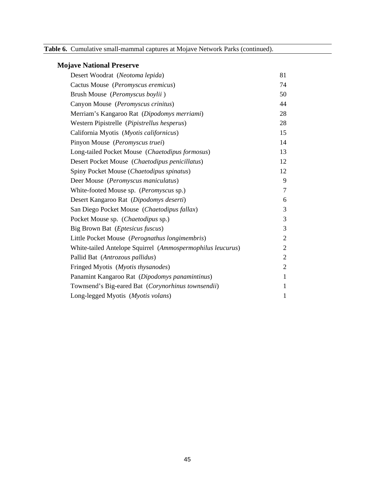| Table 6. Cumulative small-mammal captures at Mojave Network Parks (continued). |  |  |
|--------------------------------------------------------------------------------|--|--|
|                                                                                |  |  |

# **Mojave National Preserve**

| Desert Woodrat (Neotoma lepida)                            | 81             |
|------------------------------------------------------------|----------------|
| Cactus Mouse (Peromyscus eremicus)                         | 74             |
| Brush Mouse (Peromyscus boylii)                            | 50             |
| Canyon Mouse (Peromyscus crinitus)                         | 44             |
| Merriam's Kangaroo Rat (Dipodomys merriami)                | 28             |
| Western Pipistrelle (Pipistrellus hesperus)                | 28             |
| California Myotis (Myotis californicus)                    | 15             |
| Pinyon Mouse (Peromyscus truei)                            | 14             |
| Long-tailed Pocket Mouse (Chaetodipus formosus)            | 13             |
| Desert Pocket Mouse (Chaetodipus penicillatus)             | 12             |
| Spiny Pocket Mouse (Chaetodipus spinatus)                  | 12             |
| Deer Mouse (Peromyscus maniculatus)                        | 9              |
| White-footed Mouse sp. (Peromyscus sp.)                    | $\overline{7}$ |
| Desert Kangaroo Rat (Dipodomys deserti)                    | 6              |
| San Diego Pocket Mouse (Chaetodipus fallax)                | 3              |
| Pocket Mouse sp. (Chaetodipus sp.)                         | 3              |
| Big Brown Bat ( <i>Eptesicus fuscus</i> )                  | 3              |
| Little Pocket Mouse (Perognathus longimembris)             | $\overline{2}$ |
| White-tailed Antelope Squirrel (Ammospermophilus leucurus) | $\overline{2}$ |
| Pallid Bat (Antrozous pallidus)                            | $\mathfrak{2}$ |
| Fringed Myotis (Myotis thysanodes)                         | $\overline{2}$ |
| Panamint Kangaroo Rat (Dipodomys panamintinus)             | $\mathbf{1}$   |
| Townsend's Big-eared Bat (Corynorhinus townsendii)         | 1              |
| Long-legged Myotis (Myotis volans)                         | $\mathbf{1}$   |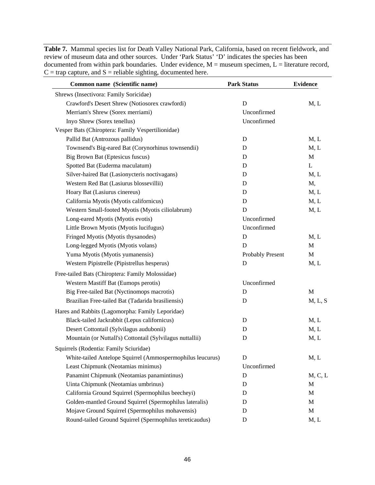**Table 7.** Mammal species list for Death Valley National Park, California, based on recent fieldwork, and review of museum data and other sources. Under 'Park Status' 'D' indicates the species has been documented from within park boundaries. Under evidence,  $M =$  museum specimen,  $L =$  literature record,  $C = \text{trap capture}, \text{and } S = \text{reliable slightly}, \text{documented here}.$ 

| Common name (Scientific name)                              | <b>Park Status</b> | <b>Evidence</b> |  |
|------------------------------------------------------------|--------------------|-----------------|--|
| Shrews (Insectivora: Family Soricidae)                     |                    |                 |  |
| Crawford's Desert Shrew (Notiosorex crawfordi)             | $\mathbf D$        | M, L            |  |
| Merriam's Shrew (Sorex merriami)                           | Unconfirmed        |                 |  |
| Inyo Shrew (Sorex tenellus)                                | Unconfirmed        |                 |  |
| Vesper Bats (Chiroptera: Family Vespertilionidae)          |                    |                 |  |
| Pallid Bat (Antrozous pallidus)                            | $\mathbf D$        | M, L            |  |
| Townsend's Big-eared Bat (Corynorhinus townsendii)         | D                  | M, L            |  |
| Big Brown Bat (Eptesicus fuscus)                           | D                  | M               |  |
| Spotted Bat (Euderma maculatum)                            | D                  | L               |  |
| Silver-haired Bat (Lasionycteris noctivagans)              | D                  | M, L            |  |
| Western Red Bat (Lasiurus blossevillii)                    | D                  | M,              |  |
| Hoary Bat (Lasiurus cinereus)                              | D                  | M, L            |  |
| California Myotis (Myotis californicus)                    | D                  | M, L            |  |
| Western Small-footed Myotis (Myotis ciliolabrum)           | D                  | M, L            |  |
| Long-eared Myotis (Myotis evotis)                          | Unconfirmed        |                 |  |
| Little Brown Myotis (Myotis lucifugus)                     | Unconfirmed        |                 |  |
| Fringed Myotis (Myotis thysanodes)                         | D                  | M, L            |  |
| Long-legged Myotis (Myotis volans)                         | D                  | M               |  |
| Yuma Myotis (Myotis yumanensis)                            | Probably Present   | M               |  |
| Western Pipistrelle (Pipistrellus hesperus)                | $\mathbf D$        | M, L            |  |
| Free-tailed Bats (Chiroptera: Family Molossidae)           |                    |                 |  |
| Western Mastiff Bat (Eumops perotis)                       | Unconfirmed        |                 |  |
| Big Free-tailed Bat (Nyctinomops macrotis)                 | D                  | M               |  |
| Brazilian Free-tailed Bat (Tadarida brasiliensis)          | D                  | M, L, S         |  |
| Hares and Rabbits (Lagomorpha: Family Leporidae)           |                    |                 |  |
| Black-tailed Jackrabbit (Lepus californicus)               | D                  | M, L            |  |
| Desert Cottontail (Sylvilagus audubonii)                   | D                  | M, L            |  |
| Mountain (or Nuttall's) Cottontail (Sylvilagus nuttallii)  | D                  | M, L            |  |
| Squirrels (Rodentia: Family Sciuridae)                     |                    |                 |  |
| White-tailed Antelope Squirrel (Ammospermophilus leucurus) | $\mathbf D$        | M, L            |  |
| Least Chipmunk (Neotamias minimus)                         | Unconfirmed        |                 |  |
| Panamint Chipmunk (Neotamias panamintinus)                 | D                  | M, C, L         |  |
| Uinta Chipmunk (Neotamias umbrinus)                        | D                  | M               |  |
| California Ground Squirrel (Spermophilus beecheyi)         | D                  | M               |  |
| Golden-mantled Ground Squirrel (Spermophilus lateralis)    | D                  | M               |  |
| Mojave Ground Squirrel (Spermophilus mohavensis)           | D                  | M               |  |
| Round-tailed Ground Squirrel (Spermophilus tereticaudus)   | ${\bf D}$          | M, L            |  |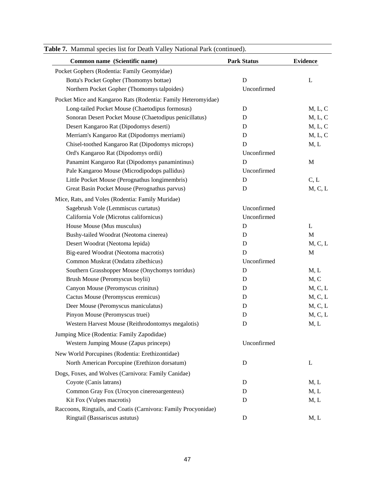| Common name (Scientific name)                                   | <b>Park Status</b> | <b>Evidence</b> |
|-----------------------------------------------------------------|--------------------|-----------------|
| Pocket Gophers (Rodentia: Family Geomyidae)                     |                    |                 |
| Botta's Pocket Gopher (Thomomys bottae)                         | D                  | L               |
| Northern Pocket Gopher (Thomomys talpoides)                     | Unconfirmed        |                 |
| Pocket Mice and Kangaroo Rats (Rodentia: Family Heteromyidae)   |                    |                 |
| Long-tailed Pocket Mouse (Chaetodipus formosus)                 | D                  | M, L, C         |
| Sonoran Desert Pocket Mouse (Chaetodipus penicillatus)          | D                  | M, L, C         |
| Desert Kangaroo Rat (Dipodomys deserti)                         | D                  | M, L, C         |
| Merriam's Kangaroo Rat (Dipodomys merriami)                     | D                  | M, L, C         |
| Chisel-toothed Kangaroo Rat (Dipodomys microps)                 | D                  | M, L            |
| Ord's Kangaroo Rat (Dipodomys ordii)                            | Unconfirmed        |                 |
| Panamint Kangaroo Rat (Dipodomys panamintinus)                  | $\mathbf D$        | M               |
| Pale Kangaroo Mouse (Microdipodops pallidus)                    | Unconfirmed        |                 |
| Little Pocket Mouse (Perognathus longimembris)                  | D                  | C, L            |
| Great Basin Pocket Mouse (Perognathus parvus)                   | D                  | M, C, L         |
| Mice, Rats, and Voles (Rodentia: Family Muridae)                |                    |                 |
| Sagebrush Vole (Lemmiscus curtatus)                             | Unconfirmed        |                 |
| California Vole (Microtus californicus)                         | Unconfirmed        |                 |
| House Mouse (Mus musculus)                                      | D                  | L               |
| Bushy-tailed Woodrat (Neotoma cinerea)                          | D                  | M               |
| Desert Woodrat (Neotoma lepida)                                 | D                  | M, C, L         |
| Big-eared Woodrat (Neotoma macrotis)                            | D                  | M               |
| Common Muskrat (Ondatra zibethicus)                             | Unconfirmed        |                 |
| Southern Grasshopper Mouse (Onychomys torridus)                 | D                  | M, L            |
| Brush Mouse (Peromyscus boylii)                                 | D                  | M, C            |
| Canyon Mouse (Peromyscus crinitus)                              | D                  | M, C, L         |
| Cactus Mouse (Peromyscus eremicus)                              | D                  | M, C, L         |
| Deer Mouse (Peromyscus maniculatus)                             | D                  | M, C, L         |
| Pinyon Mouse (Peromyscus truei)                                 | D                  | M, C, L         |
| Western Harvest Mouse (Reithrodontomys megalotis)               | D                  | M, L            |
| Jumping Mice (Rodentia: Family Zapodidae)                       |                    |                 |
| Western Jumping Mouse (Zapus princeps)                          | Unconfirmed        |                 |
| New World Porcupines (Rodentia: Erethizontidae)                 |                    |                 |
| North American Porcupine (Erethizon dorsatum)                   | D                  | L               |
| Dogs, Foxes, and Wolves (Carnivora: Family Canidae)             |                    |                 |
| Coyote (Canis latrans)                                          | D                  | M, L            |
| Common Gray Fox (Urocyon cinereoargenteus)                      | D                  | M, L            |
| Kit Fox (Vulpes macrotis)                                       | D                  | M, L            |
| Raccoons, Ringtails, and Coatis (Carnivora: Family Procyonidae) |                    |                 |
| Ringtail (Bassariscus astutus)                                  | D                  | M, L            |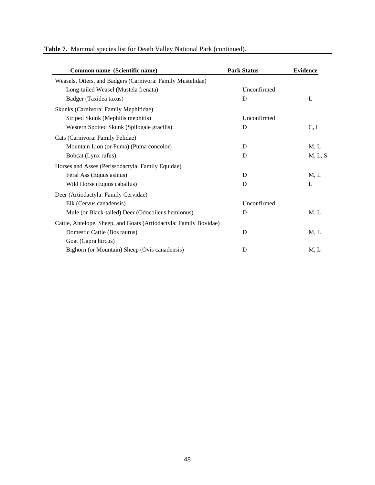| Common name (Scientific name)                                     | <b>Park Status</b> | <b>Evidence</b> |  |
|-------------------------------------------------------------------|--------------------|-----------------|--|
| Weasels, Otters, and Badgers (Carnivora: Family Mustelidae)       |                    |                 |  |
| Long-tailed Weasel (Mustela frenata)                              | Unconfirmed        |                 |  |
| Badger (Taxidea taxus)                                            | D                  | L               |  |
| Skunks (Carnivora: Family Mephitidae)                             |                    |                 |  |
| Striped Skunk (Mephitis mephitis)                                 | Unconfirmed        |                 |  |
| Western Spotted Skunk (Spilogale gracilis)                        | D                  | C, L            |  |
| Cats (Carnivora: Family Felidae)                                  |                    |                 |  |
| Mountain Lion (or Puma) (Puma concolor)                           | D                  | M, L            |  |
| Bobcat (Lynx rufus)                                               | D                  | M, L, S         |  |
| Horses and Asses (Perissodactyla: Family Equidae)                 |                    |                 |  |
| Feral Ass (Equus asinus)                                          | D                  | M, L            |  |
| Wild Horse (Equus caballus)                                       | D                  | L               |  |
| Deer (Artiodactyla: Family Cervidae)                              |                    |                 |  |
| Elk (Cervus canadensis)                                           | Unconfirmed        |                 |  |
| Mule (or Black-tailed) Deer (Odocoileus hemionus)                 | D                  | M, L            |  |
| Cattle, Antelope, Sheep, and Goats (Artiodactyla: Family Bovidae) |                    |                 |  |
| Domestic Cattle (Bos taurus)                                      | D                  | M, L            |  |
| Goat (Capra hircus)                                               |                    |                 |  |
| Bighorn (or Mountain) Sheep (Ovis canadensis)                     | D                  | M, L            |  |

## **Table 7.** Mammal species list for Death Valley National Park (continued).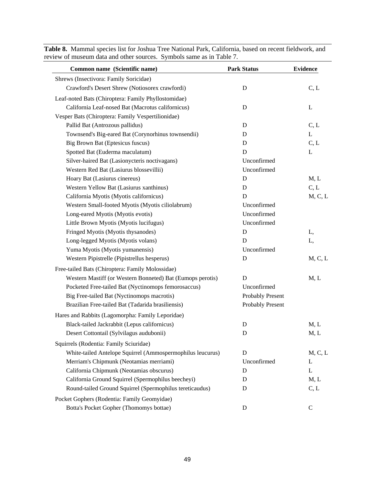| Common name (Scientific name)                              | <b>Park Status</b>      | <b>Evidence</b> |  |
|------------------------------------------------------------|-------------------------|-----------------|--|
| Shrews (Insectivora: Family Soricidae)                     |                         |                 |  |
| Crawford's Desert Shrew (Notiosorex crawfordi)             | $\mathbf D$             | C, L            |  |
| Leaf-noted Bats (Chiroptera: Family Phyllostomidae)        |                         |                 |  |
| California Leaf-nosed Bat (Macrotus californicus)          | D                       | L               |  |
| Vesper Bats (Chiroptera: Family Vespertilionidae)          |                         |                 |  |
| Pallid Bat (Antrozous pallidus)                            | D                       | C, L            |  |
| Townsend's Big-eared Bat (Corynorhinus townsendii)         | D                       | $\mathbf L$     |  |
| Big Brown Bat (Eptesicus fuscus)                           | D                       | C, L            |  |
| Spotted Bat (Euderma maculatum)                            | D                       | L               |  |
| Silver-haired Bat (Lasionycteris noctivagans)              | Unconfirmed             |                 |  |
| Western Red Bat (Lasiurus blossevillii)                    | Unconfirmed             |                 |  |
| Hoary Bat (Lasiurus cinereus)                              | D                       | M, L            |  |
| Western Yellow Bat (Lasiurus xanthinus)                    | D                       | C, L            |  |
| California Myotis (Myotis californicus)                    | D                       | M, C, L         |  |
| Western Small-footed Myotis (Myotis ciliolabrum)           | Unconfirmed             |                 |  |
| Long-eared Myotis (Myotis evotis)                          | Unconfirmed             |                 |  |
| Little Brown Myotis (Myotis lucifugus)                     | Unconfirmed             |                 |  |
| Fringed Myotis (Myotis thysanodes)                         | D                       | L,              |  |
| Long-legged Myotis (Myotis volans)                         | D                       | L,              |  |
| Yuma Myotis (Myotis yumanensis)                            | Unconfirmed             |                 |  |
| Western Pipistrelle (Pipistrellus hesperus)                | D                       | M, C, L         |  |
| Free-tailed Bats (Chiroptera: Family Molossidae)           |                         |                 |  |
| Western Mastiff (or Western Bonneted) Bat (Eumops perotis) | D                       | M, L            |  |
| Pocketed Free-tailed Bat (Nyctinomops femorosaccus)        | Unconfirmed             |                 |  |
| Big Free-tailed Bat (Nyctinomops macrotis)                 | Probably Present        |                 |  |
| Brazilian Free-tailed Bat (Tadarida brasiliensis)          | <b>Probably Present</b> |                 |  |
| Hares and Rabbits (Lagomorpha: Family Leporidae)           |                         |                 |  |
| Black-tailed Jackrabbit (Lepus californicus)               | D                       | M, L            |  |
| Desert Cottontail (Sylvilagus audubonii)                   | D                       | M, L            |  |
| Squirrels (Rodentia: Family Sciuridae)                     |                         |                 |  |
| White-tailed Antelope Squirrel (Ammospermophilus leucurus) | D                       | M, C, L         |  |
| Merriam's Chipmunk (Neotamias merriami)                    | Unconfirmed             | L               |  |
| California Chipmunk (Neotamias obscurus)                   | D                       | L               |  |
| California Ground Squirrel (Spermophilus beecheyi)         | D                       | M, L            |  |
| Round-tailed Ground Squirrel (Spermophilus tereticaudus)   | D                       | C, L            |  |
| Pocket Gophers (Rodentia: Family Geomyidae)                |                         |                 |  |
| Botta's Pocket Gopher (Thomomys bottae)                    | D                       | $\mathbf C$     |  |

**Table 8.** Mammal species list for Joshua Tree National Park, California, based on recent fieldwork, and review of museum data and other sources. Symbols same as in Table 7.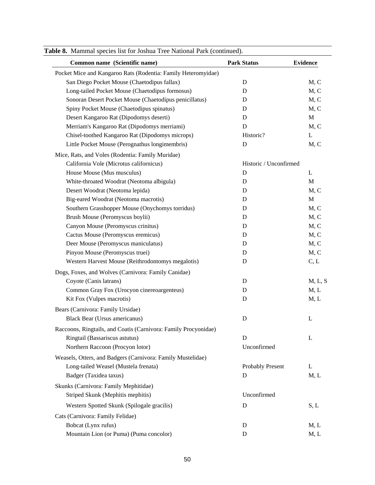| Common name (Scientific name)                                   | <b>Park Status</b>     | <b>Evidence</b> |
|-----------------------------------------------------------------|------------------------|-----------------|
| Pocket Mice and Kangaroo Rats (Rodentia: Family Heteromyidae)   |                        |                 |
| San Diego Pocket Mouse (Chaetodipus fallax)                     | $\mathbf D$            | M, C            |
| Long-tailed Pocket Mouse (Chaetodipus formosus)                 | D                      | M, C            |
| Sonoran Desert Pocket Mouse (Chaetodipus penicillatus)          | D                      | M, C            |
| Spiny Pocket Mouse (Chaetodipus spinatus)                       | D                      | M, C            |
| Desert Kangaroo Rat (Dipodomys deserti)                         | $\mathbf D$            | $\mathbf{M}$    |
| Merriam's Kangaroo Rat (Dipodomys merriami)                     | D                      | M, C            |
| Chisel-toothed Kangaroo Rat (Dipodomys microps)                 | Historic?              | L               |
| Little Pocket Mouse (Perognathus longimembris)                  | D                      | M, C            |
| Mice, Rats, and Voles (Rodentia: Family Muridae)                |                        |                 |
| California Vole (Microtus californicus)                         | Historic / Unconfirmed |                 |
| House Mouse (Mus musculus)                                      | $\mathbf D$            | L               |
| White-throated Woodrat (Neotoma albigula)                       | $\mathbf D$            | M               |
| Desert Woodrat (Neotoma lepida)                                 | D                      | M, C            |
| Big-eared Woodrat (Neotoma macrotis)                            | D                      | $\mathbf M$     |
| Southern Grasshopper Mouse (Onychomys torridus)                 | D                      | M, C            |
| Brush Mouse (Peromyscus boylii)                                 | D                      | M, C            |
| Canyon Mouse (Peromyscus crinitus)                              | D                      | M, C            |
| Cactus Mouse (Peromyscus eremicus)                              | D                      | M, C            |
| Deer Mouse (Peromyscus maniculatus)                             | D                      | M, C            |
| Pinyon Mouse (Peromyscus truei)                                 | D                      | M, C            |
| Western Harvest Mouse (Reithrodontomys megalotis)               | D                      | C, L            |
| Dogs, Foxes, and Wolves (Carnivora: Family Canidae)             |                        |                 |
| Coyote (Canis latrans)                                          | D                      | M, L, S         |
| Common Gray Fox (Urocyon cinereoargenteus)                      | D                      | M, L            |
| Kit Fox (Vulpes macrotis)                                       | D                      | M, L            |
| Bears (Carnivora: Family Ursidae)                               |                        |                 |
| <b>Black Bear (Ursus americanus)</b>                            | D                      | L               |
| Raccoons, Ringtails, and Coatis (Carnivora: Family Procyonidae) |                        |                 |
| Ringtail (Bassariscus astutus)                                  | D                      | L               |
| Northern Raccoon (Procyon lotor)                                | Unconfirmed            |                 |
|                                                                 |                        |                 |
| Weasels, Otters, and Badgers (Carnivora: Family Mustelidae)     |                        |                 |
| Long-tailed Weasel (Mustela frenata)<br>Badger (Taxidea taxus)  | Probably Present<br>D  | L<br>M, L       |
|                                                                 |                        |                 |
| Skunks (Carnivora: Family Mephitidae)                           |                        |                 |
| Striped Skunk (Mephitis mephitis)                               | Unconfirmed            |                 |
| Western Spotted Skunk (Spilogale gracilis)                      | D                      | S, L            |
| Cats (Carnivora: Family Felidae)                                |                        |                 |
| Bobcat (Lynx rufus)                                             | D                      | M, L            |
| Mountain Lion (or Puma) (Puma concolor)                         | $\mathbf D$            | M, L            |

**Table 8.** Mammal species list for Joshua Tree National Park (continued).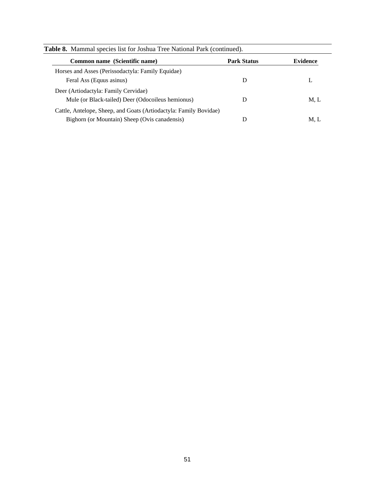| <b>Table 8.</b> Mammal species list for Joshua Tree National Park (continued). |                    |                 |  |  |  |
|--------------------------------------------------------------------------------|--------------------|-----------------|--|--|--|
| Common name (Scientific name)                                                  | <b>Park Status</b> | <b>Evidence</b> |  |  |  |
| Horses and Asses (Perissodactyla: Family Equidae)                              |                    |                 |  |  |  |
| Feral Ass (Equus asinus)                                                       | D                  | L               |  |  |  |
| Deer (Artiodactyla: Family Cervidae)                                           |                    |                 |  |  |  |
| Mule (or Black-tailed) Deer (Odocoileus hemionus)                              | D                  | M, L            |  |  |  |
| Cattle, Antelope, Sheep, and Goats (Artiodactyla: Family Bovidae)              |                    |                 |  |  |  |
| Bighorn (or Mountain) Sheep (Ovis canadensis)                                  | D                  | M, L            |  |  |  |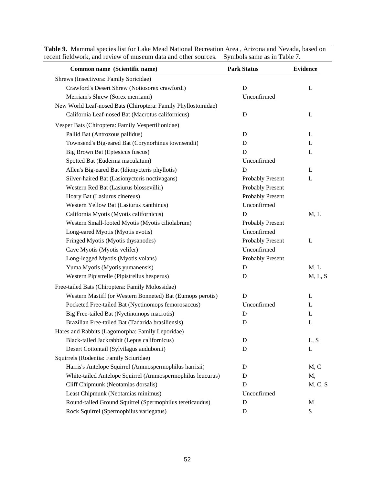| eccin neigwork, and review of muscum data and other sources.  | Dyniuois sanne as in Taone <i>T</i> . |                 |  |
|---------------------------------------------------------------|---------------------------------------|-----------------|--|
| Common name (Scientific name)                                 | <b>Park Status</b>                    | <b>Evidence</b> |  |
| Shrews (Insectivora: Family Soricidae)                        |                                       |                 |  |
| Crawford's Desert Shrew (Notiosorex crawfordi)                | $\mathbf D$                           | L               |  |
| Merriam's Shrew (Sorex merriami)                              | Unconfirmed                           |                 |  |
| New World Leaf-nosed Bats (Chiroptera: Family Phyllostomidae) |                                       |                 |  |
| California Leaf-nosed Bat (Macrotus californicus)             | D                                     | L               |  |
| Vesper Bats (Chiroptera: Family Vespertilionidae)             |                                       |                 |  |
| Pallid Bat (Antrozous pallidus)                               | D                                     | L               |  |
| Townsend's Big-eared Bat (Corynorhinus townsendii)            | D                                     | L               |  |
| Big Brown Bat (Eptesicus fuscus)                              | D                                     | L               |  |
| Spotted Bat (Euderma maculatum)                               | Unconfirmed                           |                 |  |
| Allen's Big-eared Bat (Idionycteris phyllotis)                | D                                     | L               |  |
| Silver-haired Bat (Lasionycteris noctivagans)                 | Probably Present                      | L               |  |
| Western Red Bat (Lasiurus blossevillii)                       | Probably Present                      |                 |  |
| Hoary Bat (Lasiurus cinereus)                                 | <b>Probably Present</b>               |                 |  |
| Western Yellow Bat (Lasiurus xanthinus)                       | Unconfirmed                           |                 |  |
| California Myotis (Myotis californicus)                       | D                                     | M, L            |  |
| Western Small-footed Myotis (Myotis ciliolabrum)              | Probably Present                      |                 |  |
| Long-eared Myotis (Myotis evotis)                             | Unconfirmed                           |                 |  |
| Fringed Myotis (Myotis thysanodes)                            | Probably Present                      | L               |  |
| Cave Myotis (Myotis velifer)                                  | Unconfirmed                           |                 |  |
| Long-legged Myotis (Myotis volans)                            | <b>Probably Present</b>               |                 |  |
| Yuma Myotis (Myotis yumanensis)                               | D                                     | M, L            |  |
| Western Pipistrelle (Pipistrellus hesperus)                   | D                                     | M, L, S         |  |
| Free-tailed Bats (Chiroptera: Family Molossidae)              |                                       |                 |  |
| Western Mastiff (or Western Bonneted) Bat (Eumops perotis)    | D                                     | L               |  |
| Pocketed Free-tailed Bat (Nyctinomops femorosaccus)           | Unconfirmed                           | L               |  |
| Big Free-tailed Bat (Nyctinomops macrotis)                    | D                                     | L               |  |
| Brazilian Free-tailed Bat (Tadarida brasiliensis)             | D                                     | L               |  |
| Hares and Rabbits (Lagomorpha: Family Leporidae)              |                                       |                 |  |
| Black-tailed Jackrabbit (Lepus californicus)                  | D                                     | L, S            |  |
| Desert Cottontail (Sylvilagus audubonii)                      | D                                     | L               |  |
| Squirrels (Rodentia: Family Sciuridae)                        |                                       |                 |  |
| Harris's Antelope Squirrel (Ammospermophilus harrisii)        | D                                     | M, C            |  |
| White-tailed Antelope Squirrel (Ammospermophilus leucurus)    | D                                     | M,              |  |
| Cliff Chipmunk (Neotamias dorsalis)                           | D                                     | M, C, S         |  |
| Least Chipmunk (Neotamias minimus)                            | Unconfirmed                           |                 |  |
| Round-tailed Ground Squirrel (Spermophilus tereticaudus)      | D                                     | M               |  |
| Rock Squirrel (Spermophilus variegatus)                       | D                                     | S               |  |

**Table 9.** Mammal species list for Lake Mead National Recreation Area , Arizona and Nevada, based on recent fieldwork, and review of museum data and other sources. Symbols same as in Table 7.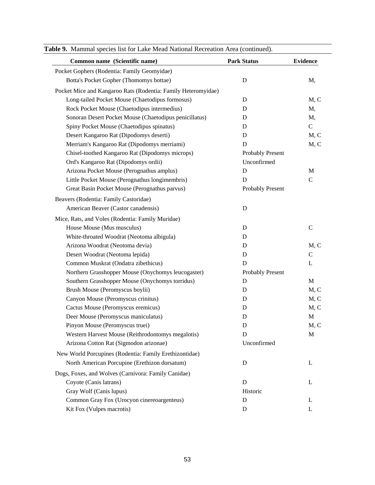| Common name (Scientific name)                                 | <b>Park Status</b>      | <b>Evidence</b> |
|---------------------------------------------------------------|-------------------------|-----------------|
| Pocket Gophers (Rodentia: Family Geomyidae)                   |                         |                 |
| Botta's Pocket Gopher (Thomomys bottae)                       | D                       | M,              |
| Pocket Mice and Kangaroo Rats (Rodentia: Family Heteromyidae) |                         |                 |
| Long-tailed Pocket Mouse (Chaetodipus formosus)               | D                       | M, C            |
| Rock Pocket Mouse (Chaetodipus intermedius)                   | D                       | M,              |
| Sonoran Desert Pocket Mouse (Chaetodipus penicillatus)        | D                       | M,              |
| Spiny Pocket Mouse (Chaetodipus spinatus)                     | D                       | $\mathbf C$     |
| Desert Kangaroo Rat (Dipodomys deserti)                       | D                       | M, C            |
| Merriam's Kangaroo Rat (Dipodomys merriami)                   | D                       | M, C            |
| Chisel-toothed Kangaroo Rat (Dipodomys microps)               | <b>Probably Present</b> |                 |
| Ord's Kangaroo Rat (Dipodomys ordii)                          | Unconfirmed             |                 |
| Arizona Pocket Mouse (Perognathus amplus)                     | $\mathbf D$             | M               |
| Little Pocket Mouse (Perognathus longimembris)                | D                       | $\mathbf C$     |
| Great Basin Pocket Mouse (Perognathus parvus)                 | <b>Probably Present</b> |                 |
| Beavers (Rodentia: Family Castoridae)                         |                         |                 |
| American Beaver (Castor canadensis)                           | D                       |                 |
| Mice, Rats, and Voles (Rodentia: Family Muridae)              |                         |                 |
| House Mouse (Mus musculus)                                    | D                       | $\mathsf{C}$    |
| White-throated Woodrat (Neotoma albigula)                     | D                       |                 |
| Arizona Woodrat (Neotoma devia)                               | D                       | M, C            |
| Desert Woodrat (Neotoma lepida)                               | D                       | $\mathsf{C}$    |
| Common Muskrat (Ondatra zibethicus)                           | D                       | L               |
| Northern Grasshopper Mouse (Onychomys leucogaster)            | Probably Present        |                 |
| Southern Grasshopper Mouse (Onychomys torridus)               | D                       | $\mathbf M$     |
| Brush Mouse (Peromyscus boylii)                               | D                       | M, C            |
| Canyon Mouse (Peromyscus crinitus)                            | D                       | M, C            |
| Cactus Mouse (Peromyscus eremicus)                            | D                       | M, C            |
| Deer Mouse (Peromyscus maniculatus)                           | D                       | M               |
| Pinyon Mouse (Peromyscus truei)                               | D                       | M, C            |
| Western Harvest Mouse (Reithrodontomys megalotis)             | D                       | M               |
| Arizona Cotton Rat (Sigmodon arizonae)                        | Unconfirmed             |                 |
| New World Porcupines (Rodentia: Family Erethizontidae)        |                         |                 |
| North American Porcupine (Erethizon dorsatum)                 | D                       | L               |
| Dogs, Foxes, and Wolves (Carnivora: Family Canidae)           |                         |                 |
| Coyote (Canis latrans)                                        | D                       | L               |
| Gray Wolf (Canis lupus)                                       | Historic                |                 |
| Common Gray Fox (Urocyon cinereoargenteus)                    | D                       | L               |
| Kit Fox (Vulpes macrotis)                                     | D                       | L               |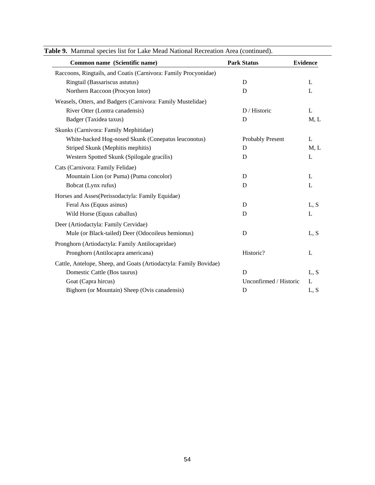| Common name (Scientific name)                                     | <b>Park Status</b>     | <b>Evidence</b> |
|-------------------------------------------------------------------|------------------------|-----------------|
| Raccoons, Ringtails, and Coatis (Carnivora: Family Procyonidae)   |                        |                 |
| Ringtail (Bassariscus astutus)                                    | D                      | L               |
| Northern Raccoon (Procyon lotor)                                  | D                      | L               |
| Weasels, Otters, and Badgers (Carnivora: Family Mustelidae)       |                        |                 |
| River Otter (Lontra canadensis)                                   | D / Historic           | L               |
| Badger (Taxidea taxus)                                            | D                      | M, L            |
| Skunks (Carnivora: Family Mephitidae)                             |                        |                 |
| White-backed Hog-nosed Skunk (Conepatus leuconotus)               | Probably Present       | L               |
| Striped Skunk (Mephitis mephitis)                                 | D                      | M, L            |
| Western Spotted Skunk (Spilogale gracilis)                        | D                      | L               |
| Cats (Carnivora: Family Felidae)                                  |                        |                 |
| Mountain Lion (or Puma) (Puma concolor)                           | D                      | L               |
| Bobcat (Lynx rufus)                                               | D                      | L               |
| Horses and Asses(Perissodactyla: Family Equidae)                  |                        |                 |
| Feral Ass (Equus asinus)                                          | D                      | L, S            |
| Wild Horse (Equus caballus)                                       | D                      | L               |
| Deer (Artiodactyla: Family Cervidae)                              |                        |                 |
| Mule (or Black-tailed) Deer (Odocoileus hemionus)                 | D                      | L, S            |
| Pronghorn (Artiodactyla: Family Antilocapridae)                   |                        |                 |
| Pronghorn (Antilocapra americana)                                 | Historic?              | L               |
| Cattle, Antelope, Sheep, and Goats (Artiodactyla: Family Bovidae) |                        |                 |
| Domestic Cattle (Bos taurus)                                      | D                      | L, S            |
| Goat (Capra hircus)                                               | Unconfirmed / Historic | L               |
| Bighorn (or Mountain) Sheep (Ovis canadensis)                     | D                      | L, S            |

|  |  |  |  |  |  |  |  |  | <b>Table 9.</b> Mammal species list for Lake Mead National Recreation Area (continued). |
|--|--|--|--|--|--|--|--|--|-----------------------------------------------------------------------------------------|
|--|--|--|--|--|--|--|--|--|-----------------------------------------------------------------------------------------|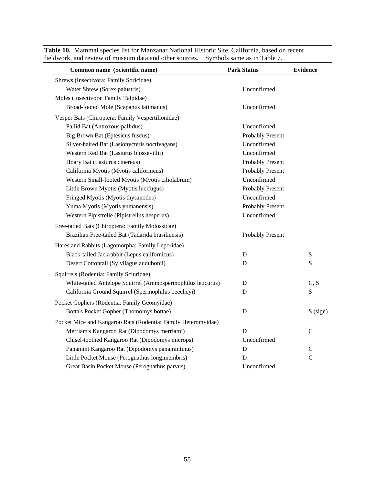| Common name (Scientific name)                                 | <b>Park Status</b>      | <b>Evidence</b> |
|---------------------------------------------------------------|-------------------------|-----------------|
| Shrews (Insectivora: Family Soricidae)                        |                         |                 |
| Water Shrew (Sorex palustris)                                 | Unconfirmed             |                 |
| Moles (Insectivora: Family Talpidae)                          |                         |                 |
| Broad-footed Mole (Scapanus latimanus)                        | Unconfirmed             |                 |
| Vesper Bats (Chiroptera: Family Vespertilionidae)             |                         |                 |
| Pallid Bat (Antrozous pallidus)                               | Unconfirmed             |                 |
| Big Brown Bat (Eptesicus fuscus)                              | <b>Probably Present</b> |                 |
| Silver-haired Bat (Lasionycteris noctivagans)                 | Unconfirmed             |                 |
| Western Red Bat (Lasiurus blossevillii)                       | Unconfirmed             |                 |
| Hoary Bat (Lasiurus cinereus)                                 | Probably Present        |                 |
| California Myotis (Myotis californicus)                       | <b>Probably Present</b> |                 |
| Western Small-footed Myotis (Myotis ciliolabrum)              | Unconfirmed             |                 |
| Little Brown Myotis (Myotis lucifugus)                        | <b>Probably Present</b> |                 |
| Fringed Myotis (Myotis thysanodes)                            | Unconfirmed             |                 |
| Yuma Myotis (Myotis yumanensis)                               | Probably Present        |                 |
| Western Pipistrelle (Pipistrellus hesperus)                   | Unconfirmed             |                 |
| Free-tailed Bats (Chiroptera: Family Molossidae)              |                         |                 |
| Brazilian Free-tailed Bat (Tadarida brasiliensis)             | Probably Present        |                 |
| Hares and Rabbits (Lagomorpha: Family Leporidae)              |                         |                 |
| Black-tailed Jackrabbit (Lepus californicus)                  | D                       | S               |
| Desert Cottontail (Sylvilagus audubonii)                      | D                       | S               |
| Squirrels (Rodentia: Family Sciuridae)                        |                         |                 |
| White-tailed Antelope Squirrel (Ammospermophilus leucurus)    | D                       | C, S            |
| California Ground Squirrel (Spermophilus beecheyi)            | D                       | S               |
| Pocket Gophers (Rodentia: Family Geomyidae)                   |                         |                 |
| Botta's Pocket Gopher (Thomomys bottae)                       | $\mathbf D$             | S (sign)        |
| Pocket Mice and Kangaroo Rats (Rodentia: Family Heteromyidae) |                         |                 |
| Merriam's Kangaroo Rat (Dipodomys merriami)                   | D                       | C               |
| Chisel-toothed Kangaroo Rat (Dipodomys microps)               | Unconfirmed             |                 |
| Panamint Kangaroo Rat (Dipodomys panamintinus)                | $\mathbf D$             | $\mathcal{C}$   |
| Little Pocket Mouse (Perognathus longimembris)                | D                       | $\mathbf C$     |
| Great Basin Pocket Mouse (Perognathus parvus)                 | Unconfirmed             |                 |

**Table 10.** Mammal species list for Manzanar National Historic Site, California, based on recent fieldwork, and review of museum data and other sources. Symbols same as in Table 7.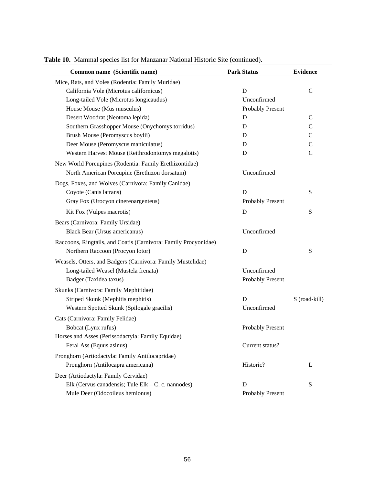| Common name (Scientific name)                                   | <b>Park Status</b>      | <b>Evidence</b> |
|-----------------------------------------------------------------|-------------------------|-----------------|
| Mice, Rats, and Voles (Rodentia: Family Muridae)                |                         |                 |
| California Vole (Microtus californicus)                         | D                       | $\mathsf{C}$    |
| Long-tailed Vole (Microtus longicaudus)                         | Unconfirmed             |                 |
| House Mouse (Mus musculus)                                      | <b>Probably Present</b> |                 |
| Desert Woodrat (Neotoma lepida)                                 | D                       | $\mathbf C$     |
| Southern Grasshopper Mouse (Onychomys torridus)                 | D                       | $\mathsf{C}$    |
| Brush Mouse (Peromyscus boylii)                                 | D                       | $\mathcal{C}$   |
| Deer Mouse (Peromyscus maniculatus)                             | D                       | $\mathsf C$     |
| Western Harvest Mouse (Reithrodontomys megalotis)               | D                       | $\mathcal{C}$   |
| New World Porcupines (Rodentia: Family Erethizontidae)          |                         |                 |
| North American Porcupine (Erethizon dorsatum)                   | Unconfirmed             |                 |
| Dogs, Foxes, and Wolves (Carnivora: Family Canidae)             |                         |                 |
| Coyote (Canis latrans)                                          | D                       | ${\bf S}$       |
| Gray Fox (Urocyon cinereoargenteus)                             | Probably Present        |                 |
| Kit Fox (Vulpes macrotis)                                       | D                       | ${\bf S}$       |
| Bears (Carnivora: Family Ursidae)                               |                         |                 |
| <b>Black Bear (Ursus americanus)</b>                            | Unconfirmed             |                 |
| Raccoons, Ringtails, and Coatis (Carnivora: Family Procyonidae) |                         |                 |
| Northern Raccoon (Procyon lotor)                                | D                       | ${\bf S}$       |
| Weasels, Otters, and Badgers (Carnivora: Family Mustelidae)     |                         |                 |
| Long-tailed Weasel (Mustela frenata)                            | Unconfirmed             |                 |
| Badger (Taxidea taxus)                                          | <b>Probably Present</b> |                 |
| Skunks (Carnivora: Family Mephitidae)                           |                         |                 |
| Striped Skunk (Mephitis mephitis)                               | D                       | S (road-kill)   |
| Western Spotted Skunk (Spilogale gracilis)                      | Unconfirmed             |                 |
|                                                                 |                         |                 |
| Cats (Carnivora: Family Felidae)<br>Bobcat (Lynx rufus)         | <b>Probably Present</b> |                 |
| Horses and Asses (Perissodactyla: Family Equidae)               |                         |                 |
| Feral Ass (Equus asinus)                                        | Current status?         |                 |
|                                                                 |                         |                 |
| Pronghorn (Artiodactyla: Family Antilocapridae)                 |                         |                 |
| Pronghorn (Antilocapra americana)                               | Historic?               | L               |
| Deer (Artiodactyla: Family Cervidae)                            |                         |                 |
| Elk (Cervus canadensis; Tule Elk – C. c. nannodes)              | D                       | ${\bf S}$       |
| Mule Deer (Odocoileus hemionus)                                 | <b>Probably Present</b> |                 |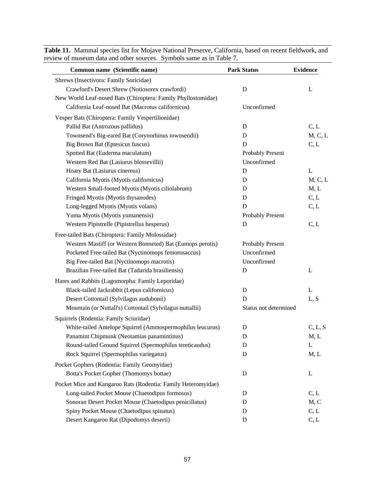| Common name (Scientific name)                                                                             | <b>Park Status</b>    | <b>Evidence</b> |
|-----------------------------------------------------------------------------------------------------------|-----------------------|-----------------|
| Shrews (Insectivora: Family Soricidae)                                                                    |                       |                 |
| Crawford's Desert Shrew (Notiosorex crawfordi)                                                            | D                     | L               |
| New World Leaf-nosed Bats (Chiroptera: Family Phyllostomidae)                                             |                       |                 |
| California Leaf-nosed Bat (Macrotus californicus)                                                         | Unconfirmed           |                 |
| Vesper Bats (Chiroptera: Family Vespertilionidae)                                                         |                       |                 |
| Pallid Bat (Antrozous pallidus)                                                                           | D                     | C, L            |
| Townsend's Big-eared Bat (Corynorhinus townsendii)                                                        | D                     | M, C, L         |
| <b>Big Brown Bat (Eptesicus fuscus)</b>                                                                   | D                     | C, L            |
| Spotted Bat (Euderma maculatum)                                                                           | Probably Present      |                 |
| Western Red Bat (Lasiurus blossevillii)                                                                   | Unconfirmed           |                 |
| Hoary Bat (Lasiurus cinereus)                                                                             | D                     | L               |
| California Myotis (Myotis californicus)                                                                   | D                     | M, C, L         |
| Western Small-footed Myotis (Myotis ciliolabrum)                                                          | D                     | M, L            |
| Fringed Myotis (Myotis thysanodes)                                                                        | D                     | C, L            |
| Long-legged Myotis (Myotis volans)                                                                        | D                     | C, L            |
| Yuma Myotis (Myotis yumanensis)                                                                           | Probably Present      |                 |
| Western Pipistrelle (Pipistrellus hesperus)                                                               | D                     | C, L            |
| Free-tailed Bats (Chiroptera: Family Molossidae)                                                          |                       |                 |
| Western Mastiff (or Western Bonneted) Bat (Eumops perotis)                                                | Probably Present      |                 |
| Pocketed Free-tailed Bat (Nyctinomops femorosaccus)                                                       | Unconfirmed           |                 |
| Big Free-tailed Bat (Nyctinomops macrotis)                                                                | Unconfirmed           |                 |
| Brazilian Free-tailed Bat (Tadarida brasiliensis)                                                         | D                     | L               |
| Hares and Rabbits (Lagomorpha: Family Leporidae)                                                          |                       |                 |
| Black-tailed Jackrabbit (Lepus californicus)                                                              | D                     | L               |
| Desert Cottontail (Sylvilagus audubonii)                                                                  | D                     | L, S            |
| Mountain (or Nuttall's) Cottontail (Sylvilagus nuttallii)                                                 | Status not determined |                 |
| Squirrels (Rodentia: Family Sciuridae)                                                                    |                       |                 |
| White-tailed Antelope Squirrel (Ammospermophilus leucurus)                                                | D                     | C, L, S         |
| Panamint Chipmunk (Neotamias panamintinus)                                                                | D                     | M, L            |
| Round-tailed Ground Squirrel (Spermophilus tereticaudus)                                                  | D                     | L               |
| Rock Squirrel (Spermophilus variegatus)                                                                   | D                     | M, L            |
| Pocket Gophers (Rodentia: Family Geomyidae)                                                               |                       |                 |
| Botta's Pocket Gopher (Thomomys bottae)                                                                   | D                     | L               |
|                                                                                                           |                       |                 |
| Pocket Mice and Kangaroo Rats (Rodentia: Family Heteromyidae)                                             |                       |                 |
| Long-tailed Pocket Mouse (Chaetodipus formosus)<br>Sonoran Desert Pocket Mouse (Chaetodipus penicillatus) | D<br>D                | C, L<br>M, C    |
| Spiny Pocket Mouse (Chaetodipus spinatus)                                                                 | $\mathbf D$           | C, L            |
| Desert Kangaroo Rat (Dipodomys deserti)                                                                   | $\mathbf D$           | C, L            |
|                                                                                                           |                       |                 |

**Table 11.** Mammal species list for Mojave National Preserve, California, based on recent fieldwork, and review of museum data and other sources. Symbols same as in Table 7.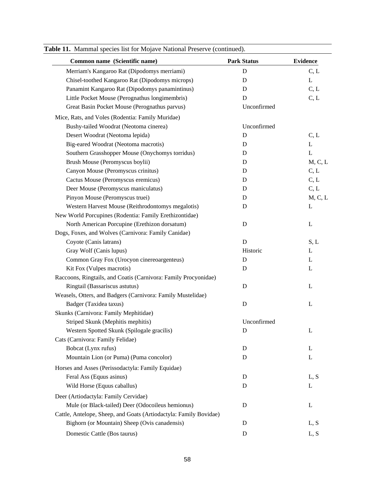| <b>Evidence</b> |
|-----------------|
| C, L            |
| L               |
| C, L            |
| C, L            |
| Unconfirmed     |
|                 |
| Unconfirmed     |
| C, L            |
| L               |
| L               |
| M, C, L         |
| C, L            |
| C, L            |
| C, L            |
| M, C, L         |
| L               |
|                 |
| L               |
|                 |
| S, L            |
| L               |
| L               |
| L               |
|                 |
| L               |
|                 |
| L               |
|                 |
| Unconfirmed     |
| L               |
|                 |
| L               |
| L               |
|                 |
| L, S            |
| L               |
|                 |
| L               |
|                 |
| L, S            |
| L, S            |
|                 |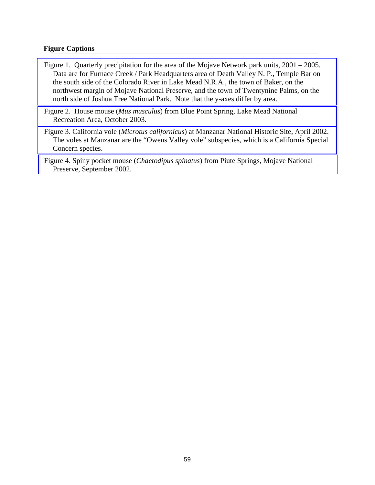## **Figure Captions**

- [Figure 1. Quarterly precipitation for the area of the Mojave Network park units, 2001 2005.](#page-61-0)  Data are for Furnace Creek / Park Headquarters area of Death Valley N. P., Temple Bar on the south side of the Colorado River in Lake Mead N.R.A., the town of Baker, on the northwest margin of Mojave National Preserve, and the town of Twentynine Palms, on the north side of Joshua Tree National Park. Note that the y-axes differ by area.
- Figure 2. House mouse (*Mus musculus*[\) from Blue Point Spring, Lake Mead National](#page-62-0)  Recreation Area, October 2003.
- Figure 3. California vole (*Microtus californicus*) at Manzanar National Historic Site, April 2002. [The voles at Manzanar are the "Owens Valley vole" subspecies, which is a California Special](#page-62-0)  Concern species.
- Figure 4. Spiny pocket mouse (*Chaetodipus spinatus*[\) from Piute Springs, Mojave National](#page-63-0)  Preserve, September 2002.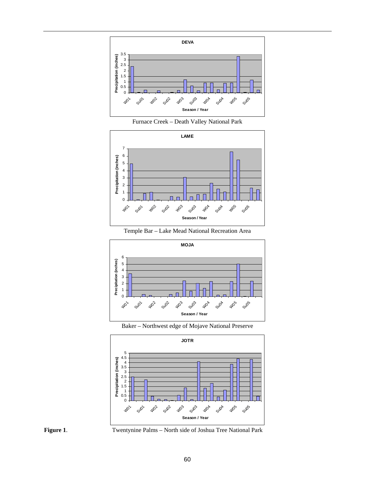<span id="page-61-0"></span>

Furnace Creek – Death Valley National Park



Temple Bar – Lake Mead National Recreation Area



Baker – Northwest edge of Mojave National Preserve





**Figure 1**. Twentynine Palms – North side of Joshua Tree National Park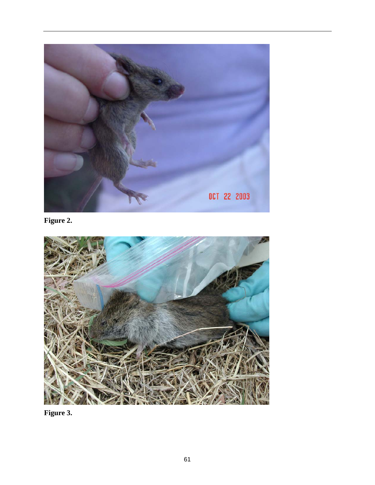<span id="page-62-0"></span>

**Figure 2.** 



**Figure 3.**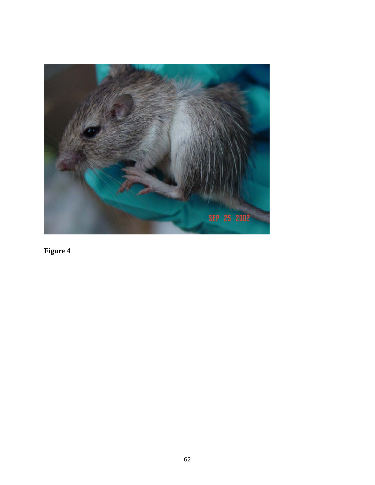<span id="page-63-0"></span>

**Figure 4**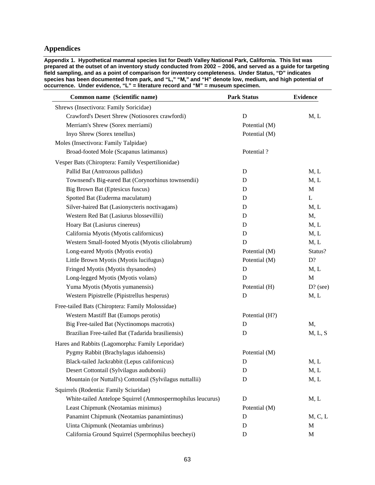## **Appendices**

**Appendix 1. Hypothetical mammal species list for Death Valley National Park, California. This list was prepared at the outset of an inventory study conducted from 2002 – 2006, and served as a guide for targeting field sampling, and as a point of comparison for inventory completeness. Under Status, "D" indicates species has been documented from park, and "L," "M," and "H" denote low, medium, and high potential of occurrence. Under evidence, "L" = literature record and "M" = museum specimen.** 

| Common name (Scientific name)                              | <b>Park Status</b> | <b>Evidence</b> |
|------------------------------------------------------------|--------------------|-----------------|
| Shrews (Insectivora: Family Soricidae)                     |                    |                 |
| Crawford's Desert Shrew (Notiosorex crawfordi)             | $\mathbf D$        | M, L            |
| Merriam's Shrew (Sorex merriami)                           | Potential (M)      |                 |
| Inyo Shrew (Sorex tenellus)                                | Potential (M)      |                 |
| Moles (Insectivora: Family Talpidae)                       |                    |                 |
| Broad-footed Mole (Scapanus latimanus)                     | Potential?         |                 |
| Vesper Bats (Chiroptera: Family Vespertilionidae)          |                    |                 |
| Pallid Bat (Antrozous pallidus)                            | D                  | M, L            |
| Townsend's Big-eared Bat (Corynorhinus townsendii)         | D                  | M, L            |
| Big Brown Bat (Eptesicus fuscus)                           | D                  | M               |
| Spotted Bat (Euderma maculatum)                            | D                  | L               |
| Silver-haired Bat (Lasionycteris noctivagans)              | D                  | M, L            |
| Western Red Bat (Lasiurus blossevillii)                    | D                  | M,              |
| Hoary Bat (Lasiurus cinereus)                              | D                  | M, L            |
| California Myotis (Myotis californicus)                    | D                  | M, L            |
| Western Small-footed Myotis (Myotis ciliolabrum)           | D                  | M, L            |
| Long-eared Myotis (Myotis evotis)                          | Potential (M)      | Status?         |
| Little Brown Myotis (Myotis lucifugus)                     | Potential (M)      | D?              |
| Fringed Myotis (Myotis thysanodes)                         | D                  | M, L            |
| Long-legged Myotis (Myotis volans)                         | D                  | $\mathbf M$     |
| Yuma Myotis (Myotis yumanensis)                            | Potential (H)      | $D?$ (see)      |
| Western Pipistrelle (Pipistrellus hesperus)                | D                  | M, L            |
| Free-tailed Bats (Chiroptera: Family Molossidae)           |                    |                 |
| Western Mastiff Bat (Eumops perotis)                       | Potential (H?)     |                 |
| Big Free-tailed Bat (Nyctinomops macrotis)                 | $\mathbf D$        | M,              |
| Brazilian Free-tailed Bat (Tadarida brasiliensis)          | D                  | M, L, S         |
| Hares and Rabbits (Lagomorpha: Family Leporidae)           |                    |                 |
| Pygmy Rabbit (Brachylagus idahoensis)                      | Potential (M)      |                 |
| Black-tailed Jackrabbit (Lepus californicus)               | D                  | M, L            |
| Desert Cottontail (Sylvilagus audubonii)                   | D                  | M, L            |
| Mountain (or Nuttall's) Cottontail (Sylvilagus nuttallii)  | D                  | M, L            |
| Squirrels (Rodentia: Family Sciuridae)                     |                    |                 |
| White-tailed Antelope Squirrel (Ammospermophilus leucurus) | D                  | M, L            |
| Least Chipmunk (Neotamias minimus)                         | Potential (M)      |                 |
| Panamint Chipmunk (Neotamias panamintinus)                 | D                  | M, C, L         |
| Uinta Chipmunk (Neotamias umbrinus)                        | D                  | M               |
| California Ground Squirrel (Spermophilus beecheyi)         | $\mathbf D$        | M               |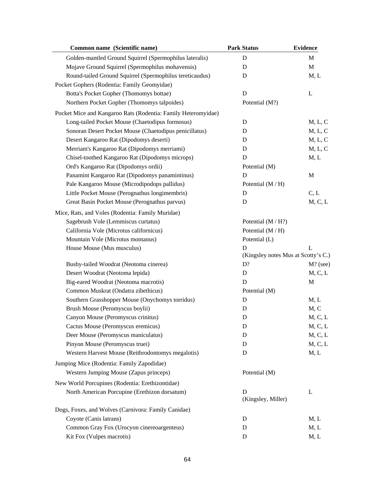| Common name (Scientific name)                                 | <b>Park Status</b>                  | <b>Evidence</b> |
|---------------------------------------------------------------|-------------------------------------|-----------------|
| Golden-mantled Ground Squirrel (Spermophilus lateralis)       | D                                   | M               |
| Mojave Ground Squirrel (Spermophilus mohavensis)              | D                                   | M               |
| Round-tailed Ground Squirrel (Spermophilus tereticaudus)      | D                                   | M, L            |
| Pocket Gophers (Rodentia: Family Geomyidae)                   |                                     |                 |
| Botta's Pocket Gopher (Thomomys bottae)                       | D                                   | L               |
| Northern Pocket Gopher (Thomomys talpoides)                   | Potential (M?)                      |                 |
| Pocket Mice and Kangaroo Rats (Rodentia: Family Heteromyidae) |                                     |                 |
| Long-tailed Pocket Mouse (Chaetodipus formosus)               | D                                   | M, L, C         |
| Sonoran Desert Pocket Mouse (Chaetodipus penicillatus)        | D                                   | M, L, C         |
| Desert Kangaroo Rat (Dipodomys deserti)                       | D                                   | M, L, C         |
| Merriam's Kangaroo Rat (Dipodomys merriami)                   | D                                   | M, L, C         |
| Chisel-toothed Kangaroo Rat (Dipodomys microps)               | D                                   | M, L            |
| Ord's Kangaroo Rat (Dipodomys ordii)                          | Potential (M)                       |                 |
| Panamint Kangaroo Rat (Dipodomys panamintinus)                | D                                   | M               |
| Pale Kangaroo Mouse (Microdipodops pallidus)                  | Potential $(M/H)$                   |                 |
| Little Pocket Mouse (Perognathus longimembris)                | $\mathbf D$                         | C, L            |
| Great Basin Pocket Mouse (Perognathus parvus)                 | D                                   | M, C, L         |
| Mice, Rats, and Voles (Rodentia: Family Muridae)              |                                     |                 |
| Sagebrush Vole (Lemmiscus curtatus)                           | Potential (M / H?)                  |                 |
| California Vole (Microtus californicus)                       | Potential (M / H)                   |                 |
| Mountain Vole (Microtus montanus)                             | Potential (L)                       |                 |
| House Mouse (Mus musculus)                                    | D                                   | L               |
|                                                               | (Kingsley notes Mus at Scotty's C.) |                 |
| Bushy-tailed Woodrat (Neotoma cinerea)                        | D?                                  | $M$ ? (see)     |
| Desert Woodrat (Neotoma lepida)                               | D                                   | M, C, L         |
| Big-eared Woodrat (Neotoma macrotis)                          | D                                   | M               |
| Common Muskrat (Ondatra zibethicus)                           | Potential (M)                       |                 |
| Southern Grasshopper Mouse (Onychomys torridus)               | D                                   | M, L            |
| Brush Mouse (Peromyscus boylii)                               | D                                   | M, C            |
| Canyon Mouse (Peromyscus crinitus)                            | D                                   | M, C, L         |
| Cactus Mouse (Peromyscus eremicus)                            | D                                   | M, C, L         |
| Deer Mouse (Peromyscus maniculatus)                           | D                                   | M, C, L         |
| Pinyon Mouse (Peromyscus truei)                               | D                                   | M, C, L         |
| Western Harvest Mouse (Reithrodontomys megalotis)             | D                                   | M, L            |
| Jumping Mice (Rodentia: Family Zapodidae)                     |                                     |                 |
| Western Jumping Mouse (Zapus princeps)                        | Potential (M)                       |                 |
| New World Porcupines (Rodentia: Erethizontidae)               |                                     |                 |
| North American Porcupine (Erethizon dorsatum)                 | D                                   | L               |
|                                                               | (Kingsley, Miller)                  |                 |
| Dogs, Foxes, and Wolves (Carnivora: Family Canidae)           |                                     |                 |
| Coyote (Canis latrans)                                        | D                                   | M, L            |
| Common Gray Fox (Urocyon cinereoargenteus)                    | $\mathbf D$                         | M, L            |
| Kit Fox (Vulpes macrotis)                                     | $\mathbf D$                         | M, L            |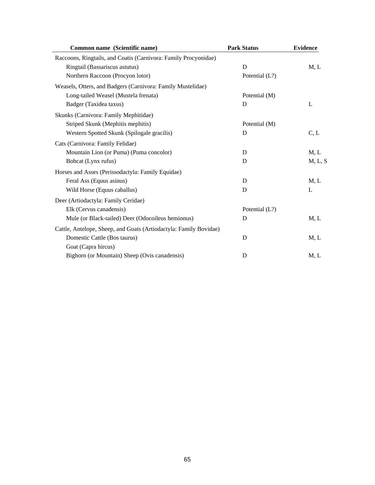| Common name (Scientific name)                                     | <b>Park Status</b> | <b>Evidence</b> |
|-------------------------------------------------------------------|--------------------|-----------------|
| Raccoons, Ringtails, and Coatis (Carnivora: Family Procyonidae)   |                    |                 |
| Ringtail (Bassariscus astutus)                                    | D                  | M, L            |
| Northern Raccoon (Procyon lotor)                                  | Potential (L?)     |                 |
| Weasels, Otters, and Badgers (Carnivora: Family Mustelidae)       |                    |                 |
| Long-tailed Weasel (Mustela frenata)                              | Potential (M)      |                 |
| Badger (Taxidea taxus)                                            | D                  | L               |
| Skunks (Carnivora: Family Mephitidae)                             |                    |                 |
| Striped Skunk (Mephitis mephitis)                                 | Potential (M)      |                 |
| Western Spotted Skunk (Spilogale gracilis)                        | D                  | C, L            |
| Cats (Carnivora: Family Felidae)                                  |                    |                 |
| Mountain Lion (or Puma) (Puma concolor)                           | D                  | M, L            |
| Bobcat (Lynx rufus)                                               | D                  | M, L, S         |
| Horses and Asses (Perissodactyla: Family Equidae)                 |                    |                 |
| Feral Ass (Equus asinus)                                          | D                  | M, L            |
| Wild Horse (Equus caballus)                                       | D                  | L               |
| Deer (Artiodactyla: Family Ceridae)                               |                    |                 |
| Elk (Cervus canadensis)                                           | Potential (L?)     |                 |
| Mule (or Black-tailed) Deer (Odocoileus hemionus)                 | D                  | M, L            |
| Cattle, Antelope, Sheep, and Goats (Artiodactyla: Family Bovidae) |                    |                 |
| Domestic Cattle (Bos taurus)                                      | D                  | M, L            |
| Goat (Capra hircus)                                               |                    |                 |
| Bighorn (or Mountain) Sheep (Ovis canadensis)                     | D                  | M, L            |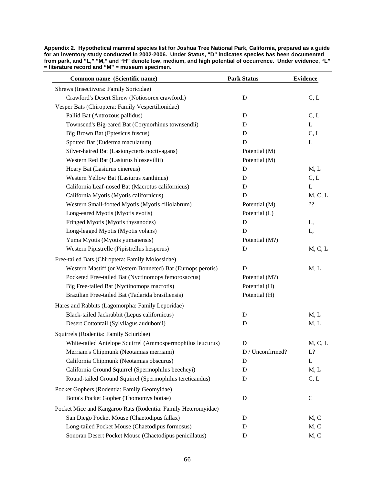**Appendix 2. Hypothetical mammal species list for Joshua Tree National Park, California, prepared as a guide for an inventory study conducted in 2002-2006. Under Status, "D" indicates species has been documented from park, and "L," "M," and "H" denote low, medium, and high potential of occurrence. Under evidence, "L" = literature record and "M" = museum specimen.** 

| Common name (Scientific name)                                 | <b>Park Status</b> | <b>Evidence</b> |
|---------------------------------------------------------------|--------------------|-----------------|
| Shrews (Insectivora: Family Soricidae)                        |                    |                 |
| Crawford's Desert Shrew (Notiosorex crawfordi)                | D                  | C, L            |
| Vesper Bats (Chiroptera: Family Vespertilionidae)             |                    |                 |
| Pallid Bat (Antrozous pallidus)                               | D                  | C, L            |
| Townsend's Big-eared Bat (Corynorhinus townsendii)            | D                  | $\mathbf L$     |
| Big Brown Bat (Eptesicus fuscus)                              | D                  | C, L            |
| Spotted Bat (Euderma maculatum)                               | D                  | L               |
| Silver-haired Bat (Lasionycteris noctivagans)                 | Potential (M)      |                 |
| Western Red Bat (Lasiurus blossevillii)                       | Potential (M)      |                 |
| Hoary Bat (Lasiurus cinereus)                                 | D                  | M, L            |
| Western Yellow Bat (Lasiurus xanthinus)                       | D                  | C, L            |
| California Leaf-nosed Bat (Macrotus californicus)             | D                  | L               |
| California Myotis (Myotis californicus)                       | D                  | M, C, L         |
| Western Small-footed Myotis (Myotis ciliolabrum)              | Potential (M)      | ??              |
| Long-eared Myotis (Myotis evotis)                             | Potential (L)      |                 |
| Fringed Myotis (Myotis thysanodes)                            | D                  | L,              |
| Long-legged Myotis (Myotis volans)                            | D                  | L,              |
| Yuma Myotis (Myotis yumanensis)                               | Potential (M?)     |                 |
| Western Pipistrelle (Pipistrellus hesperus)                   | $\mathbf D$        | M, C, L         |
| Free-tailed Bats (Chiroptera: Family Molossidae)              |                    |                 |
| Western Mastiff (or Western Bonneted) Bat (Eumops perotis)    | D                  | M, L            |
| Pocketed Free-tailed Bat (Nyctinomops femorosaccus)           | Potential (M?)     |                 |
| Big Free-tailed Bat (Nyctinomops macrotis)                    | Potential (H)      |                 |
| Brazilian Free-tailed Bat (Tadarida brasiliensis)             | Potential (H)      |                 |
| Hares and Rabbits (Lagomorpha: Family Leporidae)              |                    |                 |
| Black-tailed Jackrabbit (Lepus californicus)                  | D                  | M, L            |
| Desert Cottontail (Sylvilagus audubonii)                      | D                  | M, L            |
| Squirrels (Rodentia: Family Sciuridae)                        |                    |                 |
| White-tailed Antelope Squirrel (Ammospermophilus leucurus)    | D                  | M, C, L         |
| Merriam's Chipmunk (Neotamias merriami)                       | D / Unconfirmed?   | L?              |
| California Chipmunk (Neotamias obscurus)                      | D                  | L               |
| California Ground Squirrel (Spermophilus beecheyi)            | D                  | M, L            |
| Round-tailed Ground Squirrel (Spermophilus tereticaudus)      | D                  | C, L            |
|                                                               |                    |                 |
| Pocket Gophers (Rodentia: Family Geomyidae)                   |                    |                 |
| Botta's Pocket Gopher (Thomomys bottae)                       | D                  | $\mathbf C$     |
| Pocket Mice and Kangaroo Rats (Rodentia: Family Heteromyidae) |                    |                 |
| San Diego Pocket Mouse (Chaetodipus fallax)                   | D                  | M, C            |
| Long-tailed Pocket Mouse (Chaetodipus formosus)               | D                  | M, C            |
| Sonoran Desert Pocket Mouse (Chaetodipus penicillatus)        | D                  | M, C            |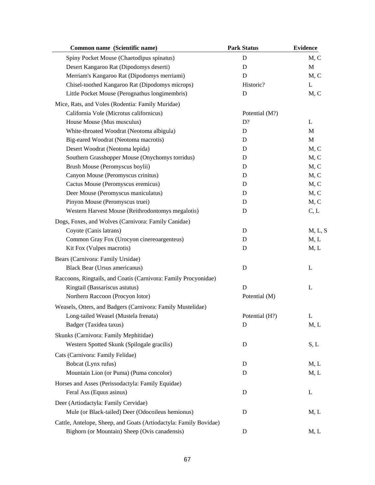| <b>Park Status</b> | <b>Evidence</b>                                                    |
|--------------------|--------------------------------------------------------------------|
| D                  | M, C                                                               |
| D                  | M                                                                  |
| D                  | M, C                                                               |
| Historic?          | L                                                                  |
| D                  | M, C                                                               |
|                    |                                                                    |
| Potential (M?)     |                                                                    |
| D?                 | L                                                                  |
| D                  | M                                                                  |
| D                  | M                                                                  |
| D                  | M, C                                                               |
| D                  | M, C                                                               |
| D                  | M, C                                                               |
| D                  | M, C                                                               |
| D                  | M, C                                                               |
| D                  | M, C                                                               |
| D                  | M, C                                                               |
| D                  | C, L                                                               |
|                    |                                                                    |
| D                  | M, L, S                                                            |
| D                  | M, L                                                               |
| D                  | M, L                                                               |
|                    |                                                                    |
| D                  | L                                                                  |
|                    |                                                                    |
|                    | L                                                                  |
|                    |                                                                    |
|                    |                                                                    |
|                    | L                                                                  |
|                    | M, L                                                               |
|                    |                                                                    |
|                    |                                                                    |
|                    | S, L                                                               |
|                    |                                                                    |
| D                  | M, L                                                               |
|                    | M, L                                                               |
|                    |                                                                    |
| D                  | L                                                                  |
|                    |                                                                    |
| D                  | M, L                                                               |
|                    |                                                                    |
|                    | M, L                                                               |
|                    | D<br>Potential (M)<br>Potential (H?)<br>D<br>D<br>D<br>$\mathbf D$ |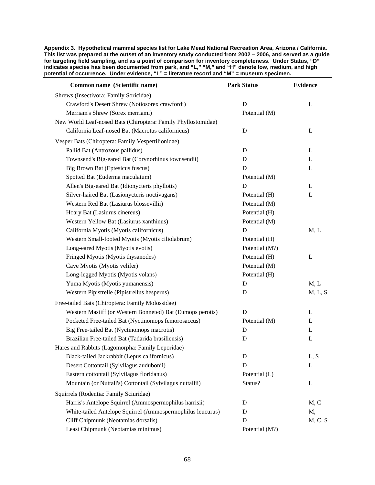**Appendix 3. Hypothetical mammal species list for Lake Mead National Recreation Area, Arizona / California. This list was prepared at the outset of an inventory study conducted from 2002 – 2006, and served as a guide for targeting field sampling, and as a point of comparison for inventory completeness. Under Status, "D" indicates species has been documented from park, and "L," "M," and "H" denote low, medium, and high potential of occurrence. Under evidence, "L" = literature record and "M" = museum specimen.** 

| Common name (Scientific name)                                 | <b>Park Status</b> | <b>Evidence</b> |
|---------------------------------------------------------------|--------------------|-----------------|
| Shrews (Insectivora: Family Soricidae)                        |                    |                 |
| Crawford's Desert Shrew (Notiosorex crawfordi)                | D                  | L               |
| Merriam's Shrew (Sorex merriami)                              | Potential (M)      |                 |
| New World Leaf-nosed Bats (Chiroptera: Family Phyllostomidae) |                    |                 |
| California Leaf-nosed Bat (Macrotus californicus)             | D                  | L               |
| Vesper Bats (Chiroptera: Family Vespertilionidae)             |                    |                 |
| Pallid Bat (Antrozous pallidus)                               | D                  | L               |
| Townsend's Big-eared Bat (Corynorhinus townsendii)            | $\mathbf D$        | L               |
| Big Brown Bat (Eptesicus fuscus)                              | D                  | L               |
| Spotted Bat (Euderma maculatum)                               | Potential (M)      |                 |
| Allen's Big-eared Bat (Idionycteris phyllotis)                | D                  | L               |
| Silver-haired Bat (Lasionycteris noctivagans)                 | Potential (H)      | L               |
| Western Red Bat (Lasiurus blossevillii)                       | Potential (M)      |                 |
| Hoary Bat (Lasiurus cinereus)                                 | Potential (H)      |                 |
| Western Yellow Bat (Lasiurus xanthinus)                       | Potential (M)      |                 |
| California Myotis (Myotis californicus)                       | D                  | M, L            |
| Western Small-footed Myotis (Myotis ciliolabrum)              | Potential (H)      |                 |
| Long-eared Myotis (Myotis evotis)                             | Potential (M?)     |                 |
| Fringed Myotis (Myotis thysanodes)                            | Potential (H)      | L               |
| Cave Myotis (Myotis velifer)                                  | Potential (M)      |                 |
| Long-legged Myotis (Myotis volans)                            | Potential (H)      |                 |
| Yuma Myotis (Myotis yumanensis)                               | D                  | M, L            |
| Western Pipistrelle (Pipistrellus hesperus)                   | D                  | M, L, S         |
| Free-tailed Bats (Chiroptera: Family Molossidae)              |                    |                 |
| Western Mastiff (or Western Bonneted) Bat (Eumops perotis)    | D                  | L               |
| Pocketed Free-tailed Bat (Nyctinomops femorosaccus)           | Potential (M)      | L               |
| Big Free-tailed Bat (Nyctinomops macrotis)                    | D                  | L               |
| Brazilian Free-tailed Bat (Tadarida brasiliensis)             | D                  | L               |
| Hares and Rabbits (Lagomorpha: Family Leporidae)              |                    |                 |
| Black-tailed Jackrabbit (Lepus californicus)                  | D                  | L, S            |
| Desert Cottontail (Sylvilagus audubonii)                      | D                  | L               |
| Eastern cottontail (Sylvilagus floridanus)                    | Potential (L)      |                 |
| Mountain (or Nuttall's) Cottontail (Sylvilagus nuttallii)     | Status?            | L               |
| Squirrels (Rodentia: Family Sciuridae)                        |                    |                 |
| Harris's Antelope Squirrel (Ammospermophilus harrisii)        | D                  | M, C            |
| White-tailed Antelope Squirrel (Ammospermophilus leucurus)    | D                  | M,              |
| Cliff Chipmunk (Neotamias dorsalis)                           | D                  | M, C, S         |
| Least Chipmunk (Neotamias minimus)                            | Potential (M?)     |                 |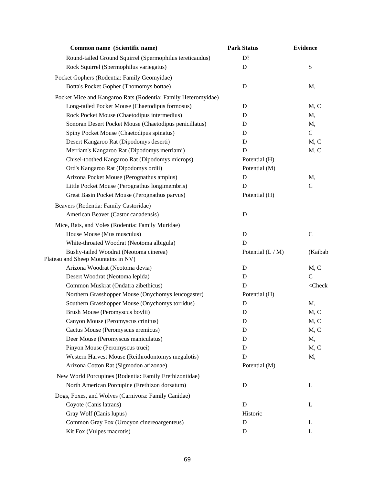| Common name (Scientific name)                                 | <b>Park Status</b> | <b>Evidence</b> |
|---------------------------------------------------------------|--------------------|-----------------|
| Round-tailed Ground Squirrel (Spermophilus tereticaudus)      | D?                 |                 |
| Rock Squirrel (Spermophilus variegatus)                       | D                  | S               |
| Pocket Gophers (Rodentia: Family Geomyidae)                   |                    |                 |
| Botta's Pocket Gopher (Thomomys bottae)                       | D                  | M,              |
| Pocket Mice and Kangaroo Rats (Rodentia: Family Heteromyidae) |                    |                 |
| Long-tailed Pocket Mouse (Chaetodipus formosus)               | D                  | M, C            |
| Rock Pocket Mouse (Chaetodipus intermedius)                   | D                  | M,              |
| Sonoran Desert Pocket Mouse (Chaetodipus penicillatus)        | D                  | M,              |
| Spiny Pocket Mouse (Chaetodipus spinatus)                     | D                  | $\mathcal{C}$   |
| Desert Kangaroo Rat (Dipodomys deserti)                       | D                  | M, C            |
| Merriam's Kangaroo Rat (Dipodomys merriami)                   | D                  | M, C            |
| Chisel-toothed Kangaroo Rat (Dipodomys microps)               | Potential (H)      |                 |
| Ord's Kangaroo Rat (Dipodomys ordii)                          | Potential (M)      |                 |
| Arizona Pocket Mouse (Perognathus amplus)                     | D                  | M,              |
| Little Pocket Mouse (Perognathus longimembris)                | D                  | $\mathcal{C}$   |
| Great Basin Pocket Mouse (Perognathus parvus)                 | Potential (H)      |                 |
| Beavers (Rodentia: Family Castoridae)                         |                    |                 |
| American Beaver (Castor canadensis)                           | D                  |                 |
| Mice, Rats, and Voles (Rodentia: Family Muridae)              |                    |                 |
| House Mouse (Mus musculus)                                    | D                  | $\mathbf C$     |
| White-throated Woodrat (Neotoma albigula)                     | D                  |                 |
| Bushy-tailed Woodrat (Neotoma cinerea)                        | Potential $(L/M)$  | (Kaibab         |
| Plateau and Sheep Mountains in NV)                            |                    |                 |
| Arizona Woodrat (Neotoma devia)                               | D                  | M, C            |
| Desert Woodrat (Neotoma lepida)                               | D                  | $\mathcal{C}$   |
| Common Muskrat (Ondatra zibethicus)                           | D                  | $<$ Check       |
| Northern Grasshopper Mouse (Onychomys leucogaster)            | Potential (H)      |                 |
| Southern Grasshopper Mouse (Onychomys torridus)               | D                  | M,              |
| Brush Mouse (Peromyscus boylii)                               | D                  | M, C            |
| Canyon Mouse (Peromyscus crinitus)                            | D                  | M, C            |
| Cactus Mouse (Peromyscus eremicus)                            | D                  | M, C            |
| Deer Mouse (Peromyscus maniculatus)                           | D                  | M,              |
| Pinyon Mouse (Peromyscus truei)                               | D                  | M, C            |
| Western Harvest Mouse (Reithrodontomys megalotis)             | D                  | M,              |
| Arizona Cotton Rat (Sigmodon arizonae)                        | Potential (M)      |                 |
| New World Porcupines (Rodentia: Family Erethizontidae)        |                    |                 |
| North American Porcupine (Erethizon dorsatum)                 | D                  | L               |
| Dogs, Foxes, and Wolves (Carnivora: Family Canidae)           |                    |                 |
| Coyote (Canis latrans)                                        | D                  | L               |
| Gray Wolf (Canis lupus)                                       | Historic           |                 |
| Common Gray Fox (Urocyon cinereoargenteus)                    | D                  | L               |
| Kit Fox (Vulpes macrotis)                                     | D                  | L               |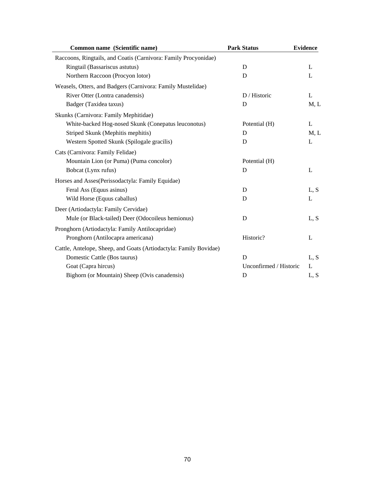| Common name (Scientific name)                                     | <b>Park Status</b>     | <b>Evidence</b> |
|-------------------------------------------------------------------|------------------------|-----------------|
| Raccoons, Ringtails, and Coatis (Carnivora: Family Procyonidae)   |                        |                 |
| Ringtail (Bassariscus astutus)                                    | D                      | L               |
| Northern Raccoon (Procyon lotor)                                  | D                      | L               |
| Weasels, Otters, and Badgers (Carnivora: Family Mustelidae)       |                        |                 |
| River Otter (Lontra canadensis)                                   | D / Historic           | L               |
| Badger (Taxidea taxus)                                            | D                      | M, L            |
| Skunks (Carnivora: Family Mephitidae)                             |                        |                 |
| White-backed Hog-nosed Skunk (Conepatus leuconotus)               | Potential (H)          | L               |
| Striped Skunk (Mephitis mephitis)                                 | D                      | M, L            |
| Western Spotted Skunk (Spilogale gracilis)                        | D                      | L               |
| Cats (Carnivora: Family Felidae)                                  |                        |                 |
| Mountain Lion (or Puma) (Puma concolor)                           | Potential (H)          |                 |
| Bobcat (Lynx rufus)                                               | D                      | L               |
| Horses and Asses(Perissodactyla: Family Equidae)                  |                        |                 |
| Feral Ass (Equus asinus)                                          | D                      | L, S            |
| Wild Horse (Equus caballus)                                       | D                      | L               |
| Deer (Artiodactyla: Family Cervidae)                              |                        |                 |
| Mule (or Black-tailed) Deer (Odocoileus hemionus)                 | D                      | L, S            |
| Pronghorn (Artiodactyla: Family Antilocapridae)                   |                        |                 |
| Pronghorn (Antilocapra americana)                                 | Historic?              | L               |
| Cattle, Antelope, Sheep, and Goats (Artiodactyla: Family Bovidae) |                        |                 |
| Domestic Cattle (Bos taurus)                                      | D                      | L, S            |
| Goat (Capra hircus)                                               | Unconfirmed / Historic | L               |
| Bighorn (or Mountain) Sheep (Ovis canadensis)                     | D                      | L, S            |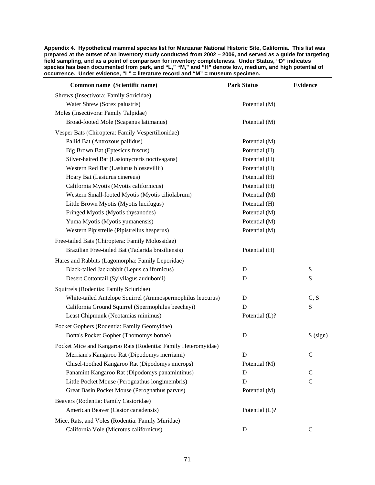**Appendix 4. Hypothetical mammal species list for Manzanar National Historic Site, California. This list was prepared at the outset of an inventory study conducted from 2002 – 2006, and served as a guide for targeting field sampling, and as a point of comparison for inventory completeness. Under Status, "D" indicates species has been documented from park, and "L," "M," and "H" denote low, medium, and high potential of occurrence. Under evidence, "L" = literature record and "M" = museum specimen.** 

| Potential (M) |                                                                                                            |
|---------------|------------------------------------------------------------------------------------------------------------|
|               |                                                                                                            |
| Potential (M) |                                                                                                            |
|               |                                                                                                            |
| Potential (M) |                                                                                                            |
| Potential (H) |                                                                                                            |
| Potential (H) |                                                                                                            |
| Potential (H) |                                                                                                            |
| Potential (H) |                                                                                                            |
| Potential (H) |                                                                                                            |
| Potential (M) |                                                                                                            |
| Potential (H) |                                                                                                            |
| Potential (M) |                                                                                                            |
| Potential (M) |                                                                                                            |
| Potential (M) |                                                                                                            |
|               |                                                                                                            |
| Potential (H) |                                                                                                            |
|               |                                                                                                            |
| D             | S                                                                                                          |
| D             | S                                                                                                          |
|               |                                                                                                            |
|               | C, S                                                                                                       |
| D             | ${\bf S}$                                                                                                  |
|               |                                                                                                            |
|               |                                                                                                            |
|               | $S$ (sign)                                                                                                 |
|               |                                                                                                            |
|               | $\mathsf{C}$                                                                                               |
|               |                                                                                                            |
|               | $\mathsf{C}$                                                                                               |
|               | $\mathcal{C}$                                                                                              |
|               |                                                                                                            |
|               |                                                                                                            |
|               |                                                                                                            |
|               |                                                                                                            |
|               | $\mathsf{C}$                                                                                               |
|               | D<br>Potential (L)?<br>$\mathbf D$<br>D<br>Potential (M)<br>D<br>D<br>Potential (M)<br>Potential (L)?<br>D |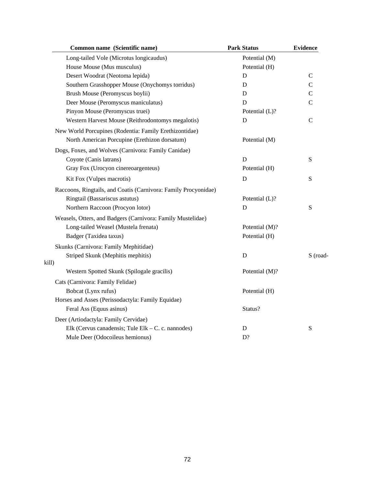| Common name (Scientific name)                                   | <b>Park Status</b> | <b>Evidence</b> |
|-----------------------------------------------------------------|--------------------|-----------------|
| Long-tailed Vole (Microtus longicaudus)                         | Potential (M)      |                 |
| House Mouse (Mus musculus)                                      | Potential (H)      |                 |
| Desert Woodrat (Neotoma lepida)                                 | D                  | $\mathcal{C}$   |
| Southern Grasshopper Mouse (Onychomys torridus)                 | D                  | $\mathcal{C}$   |
| Brush Mouse (Peromyscus boylii)                                 | D                  | $\mathcal{C}$   |
| Deer Mouse (Peromyscus maniculatus)                             | D                  | $\mathbf C$     |
| Pinyon Mouse (Peromyscus truei)                                 | Potential (L)?     |                 |
| Western Harvest Mouse (Reithrodontomys megalotis)               | D                  | $\mathcal{C}$   |
| New World Porcupines (Rodentia: Family Erethizontidae)          |                    |                 |
| North American Porcupine (Erethizon dorsatum)                   | Potential (M)      |                 |
| Dogs, Foxes, and Wolves (Carnivora: Family Canidae)             |                    |                 |
| Coyote (Canis latrans)                                          | D                  | ${\bf S}$       |
| Gray Fox (Urocyon cinereoargenteus)                             | Potential (H)      |                 |
| Kit Fox (Vulpes macrotis)                                       | D                  | ${\bf S}$       |
| Raccoons, Ringtails, and Coatis (Carnivora: Family Procyonidae) |                    |                 |
| Ringtail (Bassariscus astutus)                                  | Potential (L)?     |                 |
| Northern Raccoon (Procyon lotor)                                | D                  | ${\bf S}$       |
| Weasels, Otters, and Badgers (Carnivora: Family Mustelidae)     |                    |                 |
| Long-tailed Weasel (Mustela frenata)                            | Potential (M)?     |                 |
| Badger (Taxidea taxus)                                          | Potential (H)      |                 |
| Skunks (Carnivora: Family Mephitidae)                           |                    |                 |
| Striped Skunk (Mephitis mephitis)                               | D                  | S (road-        |
| kill)                                                           |                    |                 |
| Western Spotted Skunk (Spilogale gracilis)                      | Potential (M)?     |                 |
| Cats (Carnivora: Family Felidae)                                |                    |                 |
| Bobcat (Lynx rufus)                                             | Potential (H)      |                 |
| Horses and Asses (Perissodactyla: Family Equidae)               |                    |                 |
| Feral Ass (Equus asinus)                                        | Status?            |                 |
| Deer (Artiodactyla: Family Cervidae)                            |                    |                 |
| Elk (Cervus canadensis; Tule Elk – C. c. nannodes)              | D                  | S               |
| Mule Deer (Odocoileus hemionus)                                 | D?                 |                 |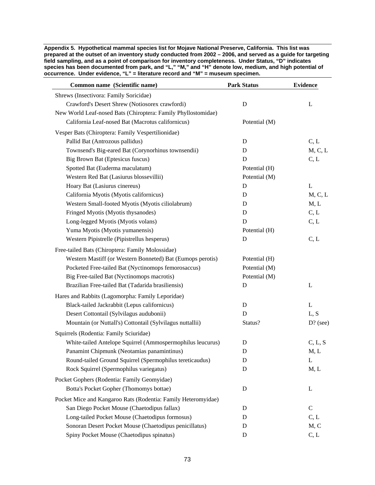**Appendix 5. Hypothetical mammal species list for Mojave National Preserve, California. This list was prepared at the outset of an inventory study conducted from 2002 – 2006, and served as a guide for targeting field sampling, and as a point of comparison for inventory completeness. Under Status, "D" indicates species has been documented from park, and "L," "M," and "H" denote low, medium, and high potential of occurrence. Under evidence, "L" = literature record and "M" = museum specimen.** 

| Common name (Scientific name)                                 | <b>Park Status</b> | <b>Evidence</b> |
|---------------------------------------------------------------|--------------------|-----------------|
| Shrews (Insectivora: Family Soricidae)                        |                    |                 |
| Crawford's Desert Shrew (Notiosorex crawfordi)                | ${\bf D}$          | L               |
| New World Leaf-nosed Bats (Chiroptera: Family Phyllostomidae) |                    |                 |
| California Leaf-nosed Bat (Macrotus californicus)             | Potential (M)      |                 |
| Vesper Bats (Chiroptera: Family Vespertilionidae)             |                    |                 |
| Pallid Bat (Antrozous pallidus)                               | D                  | C, L            |
| Townsend's Big-eared Bat (Corynorhinus townsendii)            | D                  | M, C, L         |
| Big Brown Bat (Eptesicus fuscus)                              | D                  | C, L            |
| Spotted Bat (Euderma maculatum)                               | Potential (H)      |                 |
| Western Red Bat (Lasiurus blossevillii)                       | Potential (M)      |                 |
| Hoary Bat (Lasiurus cinereus)                                 | D                  | $\mathbf L$     |
| California Myotis (Myotis californicus)                       | D                  | M, C, L         |
| Western Small-footed Myotis (Myotis ciliolabrum)              | D                  | M, L            |
| Fringed Myotis (Myotis thysanodes)                            | D                  | C, L            |
| Long-legged Myotis (Myotis volans)                            | D                  | C, L            |
| Yuma Myotis (Myotis yumanensis)                               | Potential (H)      |                 |
| Western Pipistrelle (Pipistrellus hesperus)                   | $\mathbf D$        | C, L            |
| Free-tailed Bats (Chiroptera: Family Molossidae)              |                    |                 |
| Western Mastiff (or Western Bonneted) Bat (Eumops perotis)    | Potential (H)      |                 |
| Pocketed Free-tailed Bat (Nyctinomops femorosaccus)           | Potential (M)      |                 |
| Big Free-tailed Bat (Nyctinomops macrotis)                    | Potential (M)      |                 |
| Brazilian Free-tailed Bat (Tadarida brasiliensis)             | D                  | L               |
| Hares and Rabbits (Lagomorpha: Family Leporidae)              |                    |                 |
| Black-tailed Jackrabbit (Lepus californicus)                  | D                  | L               |
| Desert Cottontail (Sylvilagus audubonii)                      | D                  | L, S            |
| Mountain (or Nuttall's) Cottontail (Sylvilagus nuttallii)     | Status?            | $D?$ (see)      |
| Squirrels (Rodentia: Family Sciuridae)                        |                    |                 |
| White-tailed Antelope Squirrel (Ammospermophilus leucurus)    | $\mathbf D$        | C, L, S         |
| Panamint Chipmunk (Neotamias panamintinus)                    | D                  | M, L            |
| Round-tailed Ground Squirrel (Spermophilus tereticaudus)      | D                  | L               |
| Rock Squirrel (Spermophilus variegatus)                       | D                  | M, L            |
| Pocket Gophers (Rodentia: Family Geomyidae)                   |                    |                 |
| Botta's Pocket Gopher (Thomomys bottae)                       | D                  | L               |
| Pocket Mice and Kangaroo Rats (Rodentia: Family Heteromyidae) |                    |                 |
| San Diego Pocket Mouse (Chaetodipus fallax)                   | D                  | $\mathcal{C}$   |
| Long-tailed Pocket Mouse (Chaetodipus formosus)               | D                  | C, L            |
| Sonoran Desert Pocket Mouse (Chaetodipus penicillatus)        | D                  | M, C            |
| Spiny Pocket Mouse (Chaetodipus spinatus)                     | D                  | C, L            |